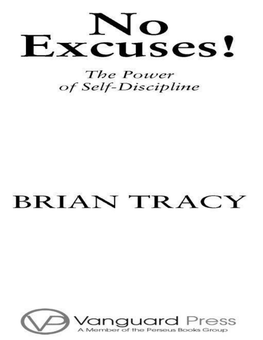

The Power of Self-Discipline

# BRIAN TRACY

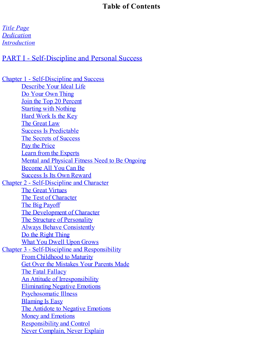#### **Table of Contents**

*Title [Page](#page-7-0) [Dedication](#page-8-0) [Introduction](#page-9-0)*

PART I - [Self-Discipline](#page-24-0) and Personal Success

Chapter 1 - [Self-Discipline](#page-25-0) and Success [Describe](#page-26-0) Your Ideal Life Do Your Own [Thing](#page-27-0) Join the Top 20 [Percent](#page-28-0) Starting with [Nothing](#page-29-0) Hard [Work](#page-30-0) Is the Key The [Great](#page-31-0) Law Success Is [Predictable](#page-32-0) The Secrets of [Success](#page-33-0) Pay the [Price](#page-34-0) Learn from the [Experts](#page-35-0) Mental and [Physical](#page-36-0) Fitness Need to Be Ongoing [Become](#page-38-0) All You Can Be Success Is Its Own [Reward](#page-39-0) Chapter 2 - [Self-Discipline](#page-40-0) and Character The Great [Virtues](#page-41-0) The Test of [Character](#page-42-0) The Big [Payoff](#page-43-0) The [Development](#page-44-0) of Character The Structure of [Personality](#page-46-0) Always Behave [Consistently](#page-49-0) Do the Right [Thing](#page-50-0) What You Dwell Upon [Grows](#page-51-0) Chapter 3 - [Self-Discipline](#page-53-0) and Responsibility From [Childhood](#page-55-0) to Maturity Get Over the [Mistakes](#page-56-0) Your Parents Made The Fatal [Fallacy](#page-57-0) An Attitude of [Irresponsibility](#page-58-0) [Eliminating](#page-59-0) Negative Emotions [Psychosomatic](#page-60-0) Illness **[Blaming](#page-61-0) Is Easy** The Antidote to Negative [Emotions](#page-62-0) Money and [Emotions](#page-63-0) [Responsibility](#page-64-0) and Control Never [Complain,](#page-65-0) Never Explain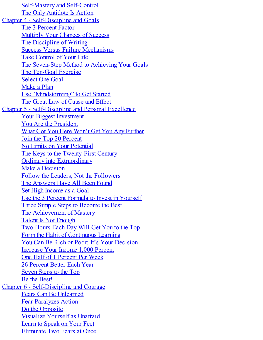[Self-Mastery](#page-66-0) and Self-Control The Only [Antidote](#page-67-0) Is Action Chapter 4 - [Self-Discipline](#page-68-0) and Goals The 3 [Percent](#page-69-0) Factor [Multiply](#page-70-0) Your Chances of Success The [Discipline](#page-71-0) of Writing Success Versus Failure [Mechanisms](#page-72-0) Take [Control](#page-73-0) of Your Life The [Seven-Step](#page-75-0) Method to Achieving Your Goals The [Ten-Goal](#page-78-0) Exercise [Select](#page-79-0) One Goal [Make](#page-80-0) a Plan Use ["Mindstorming"](#page-81-0) to Get Started The Great Law of [Cause](#page-82-0) and Effect Chapter 5 - [Self-Discipline](#page-84-0) and Personal Excellence Your Biggest [Investment](#page-85-0) You Are the [President](#page-86-0) What Got You Here Won't Get You Any [Further](#page-87-0) Join the Top 20 [Percent](#page-88-0) No Limits on Your [Potential](#page-89-0) The Keys to the [Twenty-First](#page-90-0) Century Ordinary into [Extraordinary](#page-91-0) Make a [Decision](#page-92-0) Follow the Leaders, Not the [Followers](#page-93-0) The [Answers](#page-96-0) Have All Been Found Set High [Income](#page-97-0) as a Goal Use the 3 Percent Formula to Invest in [Yourself](#page-98-0) Three Simple Steps to [Become](#page-100-0) the Best The [Achievement](#page-101-0) of Mastery Talent Is Not [Enough](#page-102-0) Two [Hours](#page-103-0) Each Day Will Get You to the Top Form the Habit of [Continuous](#page-104-0) Learning You Can Be Rich or Poor: It's Your [Decision](#page-105-0) [Increase](#page-106-0) Your Income 1,000 Percent One Half of 1 [Percent](#page-107-0) Per Week 26 [Percent](#page-108-0) Better Each Year [Seven](#page-109-0) Steps to the Top Be the [Best!](#page-112-0) Chapter 6 - [Self-Discipline](#page-113-0) and Courage Fears Can Be [Unlearned](#page-114-0) Fear [Paralyzes](#page-115-0) Action Do the [Opposite](#page-116-0) [Visualize](#page-117-0) Yourself as Unafraid Learn to [Speak](#page-119-0) on Your Feet [Eliminate](#page-120-0) Two Fears at Once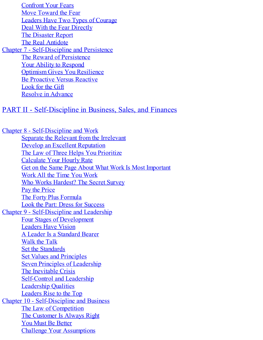[Confront](#page-121-0) Your Fears Move [Toward](#page-122-0) the Fear Leaders Have Two Types of [Courage](#page-123-0) Deal With the Fear [Directly](#page-124-0) The [Disaster](#page-125-0) Report The Real [Antidote](#page-126-0) Chapter 7 - [Self-Discipline](#page-127-0) and Persistence The Reward of [Persistence](#page-128-0) Your Ability to [Respond](#page-129-0) Optimism Gives You [Resilience](#page-130-0) Be [Proactive](#page-131-0) Versus Reactive [Look](#page-132-0) for the Gift Resolve in [Advance](#page-133-0)

#### PART II - [Self-Discipline](#page-135-0) in Business, Sales, and Finances

Chapter 8 - [Self-Discipline](#page-136-0) and Work Separate the Relevant from the [Irrelevant](#page-137-0) Develop an Excellent [Reputation](#page-138-0) The Law of Three Helps You [Prioritize](#page-139-0) [Calculate](#page-141-0) Your Hourly Rate Get on the Same Page About What Work Is Most [Important](#page-142-0) [Work](#page-143-0) All the Time You Work Who Works [Hardest?](#page-144-0) The Secret Survey Pay the [Price](#page-147-0) The Forty Plus [Formula](#page-148-0) Look the Part: Dress for [Success](#page-149-0) Chapter 9 - [Self-Discipline](#page-151-0) and Leadership Four Stages of [Development](#page-152-0) [Leaders](#page-153-0) Have Vision A Leader Is a [Standard](#page-154-0) Bearer [Walk](#page-155-0) the Talk Set the [Standards](#page-156-0) Set Values and [Principles](#page-157-0) Seven Principles of [Leadership](#page-158-0) The [Inevitable](#page-160-0) Crisis [Self-Control](#page-161-0) and Leadership [Leadership](#page-162-0) Qualities [Leaders](#page-163-0) Rise to the Top Chapter 10 - [Self-Discipline](#page-164-0) and Business The Law of [Competition](#page-165-0) The [Customer](#page-166-0) Is Always Right You Must Be [Better](#page-167-0) Challenge Your [Assumptions](#page-168-0)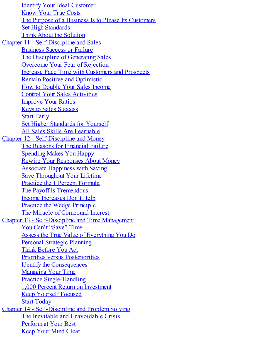Identify Your Ideal [Customer](#page-169-0) [Know](#page-170-0) Your True Costs The Purpose of a Business Is to Please Its [Customers](#page-171-0) Set High [Standards](#page-172-0) Think About the [Solution](#page-173-0) Chapter 11 - [Self-Discipline](#page-175-0) and Sales [Business](#page-176-0) Success or Failure The Discipline of [Generating](#page-177-0) Sales [Overcome](#page-179-0) Your Fear of Rejection Increase Face Time with [Customers](#page-180-0) and Prospects Remain Positive and [Optimistic](#page-181-0) How to [Double](#page-182-0) Your Sales Income Control Your Sales [Activities](#page-183-0) [Improve](#page-184-0) Your Ratios Keys to Sales [Success](#page-185-0) Start [Early](#page-186-0) Set Higher [Standards](#page-187-0) for Yourself All Sales Skills Are [Learnable](#page-188-0) Chapter 12 - [Self-Discipline](#page-190-0) and Money The Reasons for [Financial](#page-191-0) Failure [Spending](#page-192-0) Makes You Happy Rewire Your [Responses](#page-193-0) About Money Associate [Happiness](#page-194-0) with Saving Save [Throughout](#page-195-0) Your Lifetime Practice the 1 Percent [Formula](#page-196-0) The Payoff Is [Tremendous](#page-197-0) Income [Increases](#page-198-0) Don't Help Practice the Wedge [Principle](#page-199-0) The Miracle of [Compound](#page-200-0) Interest Chapter 13 - [Self-Discipline](#page-201-0) and Time Management You Can't ["Save"](#page-202-0) Time Assess the True Value of [Everything](#page-203-0) You Do Personal [Strategic](#page-204-0) Planning Think [Before](#page-205-0) You Act Priorities versus [Posteriorities](#page-206-0) Identify the [Consequences](#page-207-0) [Managing](#page-208-0) Your Time Practice [Single-Handling](#page-209-0) 1,000 Percent Return on [Investment](#page-210-0) Keep [Yourself](#page-211-0) Focused **Start [Today](#page-213-0)** Chapter 14 - [Self-Discipline](#page-214-0) and Problem Solving The Inevitable and [Unavoidable](#page-215-0) Crisis [Perform](#page-216-0) at Your Best Keep Your Mind [Clear](#page-217-0)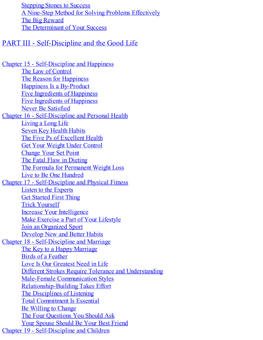**[Stepping](#page-218-0) Stones to Success** A Nine-Step Method for Solving Problems [Effectively](#page-219-0) The Big [Reward](#page-222-0) The [Determinant](#page-223-0) of Your Success

#### PART III - [Self-Discipline](#page-224-0) and the Good Life

Chapter 15 - [Self-Discipline](#page-225-0) and Happiness The Law of [Control](#page-226-0) The Reason for [Happiness](#page-228-0) Happiness Is a [By-Product](#page-229-0) Five [Ingredients](#page-230-0) of Happiness Five [Ingredients](#page-231-0) of Happiness Never Be [Satisfied](#page-235-0) Chapter 16 - [Self-Discipline](#page-236-0) and Personal Health [Living](#page-237-0) a Long Life Seven Key [Health](#page-238-0) Habits The Five Ps of [Excellent](#page-239-0) Health Get Your Weight Under [Control](#page-241-0) [Change](#page-242-0) Your Set Point The Fatal Flaw in [Dieting](#page-243-0) The Formula for [Permanent](#page-244-0) Weight Loss Live to Be One [Hundred](#page-246-0) Chapter 17 - [Self-Discipline](#page-247-0) and Physical Fitness Listen to the [Experts](#page-248-0) Get [Started](#page-249-0) First Thing Trick [Yourself](#page-250-0) Increase Your [Intelligence](#page-251-0) Make [Exercise](#page-252-0) a Part of Your Lifestyle Join an [Organized](#page-253-0) Sport [Develop](#page-254-0) New and Better Habits Chapter 18 - [Self-Discipline](#page-256-0) and Marriage The Key to a Happy [Marriage](#page-257-0) Birds of a [Feather](#page-258-0) Love Is Our [Greatest](#page-259-0) Need in Life Different Strokes Require Tolerance and [Understanding](#page-260-0) Male-Female [Communication](#page-261-0) Styles [Relationship-Building](#page-262-0) Takes Effort The [Disciplines](#page-263-0) of Listening Total [Commitment](#page-265-0) Is Essential Be [Willing](#page-266-0) to Change The Four [Questions](#page-267-0) You Should Ask Your [Spouse](#page-268-0) Should Be Your Best Friend Chapter 19 - [Self-Discipline](#page-270-0) and Children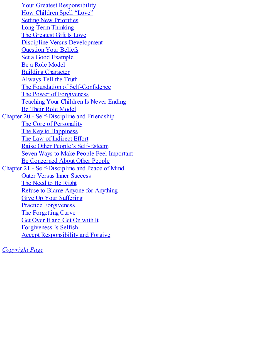Your Greatest [Responsibility](#page-271-0) How [Children](#page-272-0) Spell "Love" Setting New [Priorities](#page-273-0) [Long-Term](#page-274-0) Thinking The [Greatest](#page-275-0) Gift Is Love Discipline Versus [Development](#page-276-0) **[Question](#page-277-0) Your Beliefs** Set a Good [Example](#page-278-0) Be a Role [Model](#page-279-0) **Building [Character](#page-280-0)** [Always](#page-281-0) Tell the Truth The Foundation of [Self-Confidence](#page-282-0) The Power of [Forgiveness](#page-283-0) [Teaching](#page-284-0) Your Children Is Never Ending Be Their Role [Model](#page-285-0) Chapter 20 - [Self-Discipline](#page-286-0) and Friendship The Core of [Personality](#page-287-0) The Key to [Happiness](#page-288-0) The Law of [Indirect](#page-289-0) Effort Raise Other People's [Self-Esteem](#page-290-0) Seven Ways to Make People Feel [Important](#page-291-0) Be [Concerned](#page-295-0) About Other People Chapter 21 - [Self-Discipline](#page-297-0) and Peace of Mind Outer Versus Inner [Success](#page-298-0) The [Need](#page-299-0) to Be Right Refuse to Blame Anyone for [Anything](#page-300-0) Give Up Your [Suffering](#page-301-0) Practice [Forgiveness](#page-302-0) The [Forgetting](#page-303-0) Curve Get [Over](#page-304-0) It and Get On with It [Forgiveness](#page-305-0) Is Selfish Accept [Responsibility](#page-306-0) and Forgive

*[Copyright](#page-307-0) Page*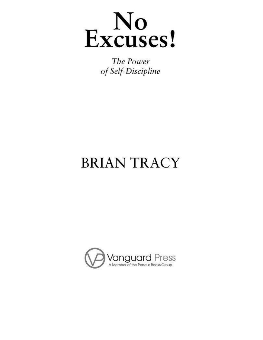# Excuses!

The Power of Self-Discipline

# **BRIAN TRACY**

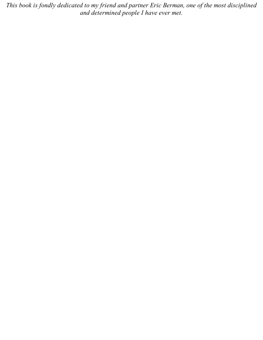<span id="page-8-0"></span>*This book is fondly dedicated to my friend and partner Eric Berman, one of the most disciplined and determined people I have ever met.*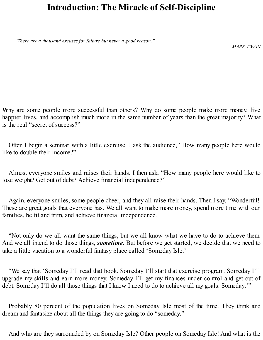## **Introduction: The Miracle of Self-Discipline**

<span id="page-9-0"></span>*"There are a thousand excuses for failure but never a good reason."*

*—MARK TWAIN*

Why are some people more successful than others? Why do some people make more money, live happier lives, and accomplish much more in the same number of years than the great majority? What is the real "secret of success?"

Often I begin a seminar with a little exercise. I ask the audience, "How many people here would like to double their income?"

Almost everyone smiles and raises their hands. I then ask, "How many people here would like to lose weight? Get out of debt? Achieve financial independence?"

Again, everyone smiles, some people cheer, and they all raise their hands. Then I say, "Wonderful! These are great goals that everyone has. We all want to make more money, spend more time with our families, be fit and trim, and achieve financial independence.

"Not only do we all want the same things, but we all know what we have to do to achieve them. And we all intend to do those things, *sometime*. But before we get started, we decide that we need to take a little vacation to a wonderful fantasy place called 'Someday Isle.'

"We say that 'Someday I'll read that book. Someday I'll start that exercise program. Someday I'll upgrade my skills and earn more money. Someday I'll get my finances under control and get out of debt. Someday I'll do all those things that I know I need to do to achieve all my goals. Someday.'"

Probably 80 percent of the population lives on Someday Isle most of the time. They think and dream and fantasize about all the things they are going to do "someday."

And who are they surrounded by on Someday Isle? Other people on Someday Isle! And what is the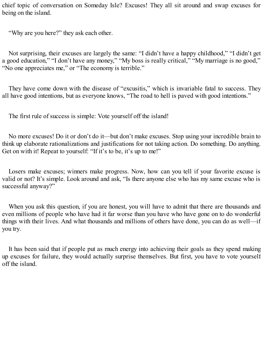chief topic of conversation on Someday Isle? Excuses! They all sit around and swap excuses for being on the island.

"Why are you here?" they ask each other.

Not surprising, their excuses are largely the same: "I didn't have a happy childhood," "I didn't get a good education," "I don't have any money," "My boss is really critical," "My marriage is no good," "No one appreciates me," or "The economy is terrible."

They have come down with the disease of "excusitis," which is invariable fatal to success. They all have good intentions, but as everyone knows, "The road to hell is paved with good intentions."

The first rule of success is simple: Vote yourself off the island!

No more excuses! Do it or don't do it—but don't make excuses. Stop using your incredible brain to think up elaborate rationalizations and justifications for not taking action. Do something. Do anything. Get on with it! Repeat to yourself: "If it's to be, it's up to me!"

Losers make excuses; winners make progress. Now, how can you tell if your favorite excuse is valid or not? It's simple. Look around and ask, "Is there anyone else who has my same excuse who is successful anyway?"

When you ask this question, if you are honest, you will have to admit that there are thousands and even millions of people who have had it far worse than you have who have gone on to do wonderful things with their lives. And what thousands and millions of others have done, you can do as well—if you try.

It has been said that if people put as much energy into achieving their goals as they spend making up excuses for failure, they would actually surprise themselves. But first, you have to vote yourself off the island.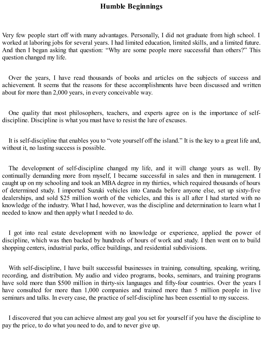#### **Humble Beginnings**

Very few people start off with many advantages. Personally, I did not graduate from high school. I worked at laboring jobs for several years. I had limited education, limited skills, and a limited future. And then I began asking that question: "Why are some people more successful than others?" This question changed my life.

Over the years, I have read thousands of books and articles on the subjects of success and achievement. It seems that the reasons for these accomplishments have been discussed and written about for more than 2,000 years, in every conceivable way.

One quality that most philosophers, teachers, and experts agree on is the importance of selfdiscipline. Discipline is what you must have to resist the lure of excuses.

It is self-discipline that enables you to "vote yourself off the island." It is the key to a great life and, without it, no lasting success is possible.

The development of self-discipline changed my life, and it will change yours as well. By continually demanding more from myself, I became successful in sales and then in management. I caught up on my schooling and took an MBA degree in my thirties, which required thousands of hours of determined study. I imported Suzuki vehicles into Canada before anyone else, set up sixty-five dealerships, and sold \$25 million worth of the vehicles, and this is all after I had started with no knowledge of the industry. What I had, however, was the discipline and determination to learn what I needed to know and then apply what I needed to do.

I got into real estate development with no knowledge or experience, applied the power of discipline, which was then backed by hundreds of hours of work and study. I then went on to build shopping centers, industrial parks, office buildings, and residential subdivisions.

With self-discipline, I have built successful businesses in training, consulting, speaking, writing, recording, and distribution. My audio and video programs, books, seminars, and training programs have sold more than \$500 million in thirty-six languages and fifty-four countries. Over the years I have consulted for more than 1,000 companies and trained more than 5 million people in live seminars and talks. In every case, the practice of self-discipline has been essential to my success.

I discovered that you can achieve almost any goal you set for yourself if you have the discipline to pay the price, to do what you need to do, and to never give up.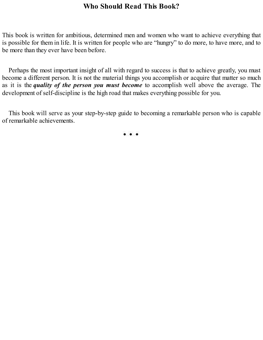#### **Who Should Read This Book?**

This book is written for ambitious, determined men and women who want to achieve everything that is possible for them in life. It is written for people who are "hungry" to do more, to have more, and to be more than they ever have been before.

Perhaps the most important insight of all with regard to success is that to achieve greatly, you must become a different person. It is not the material things you accomplish or acquire that matter so much as it is the *quality of the person you must become* to accomplish well above the average. The development of self-discipline is the high road that makes everything possible for you.

This book will serve as your step-by-step guide to becoming a remarkable person who is capable of remarkable achievements.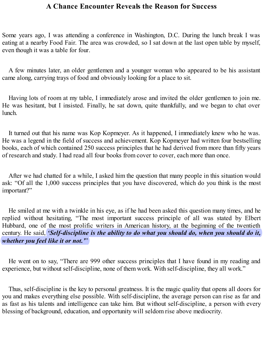#### **A Chance Encounter Reveals the Reason for Success**

Some years ago, I was attending a conference in Washington, D.C. During the lunch break I was eating at a nearby Food Fair. The area was crowded, so I sat down at the last open table by myself, even though it was a table for four.

A few minutes later, an older gentlemen and a younger woman who appeared to be his assistant came along, carrying trays of food and obviously looking for a place to sit.

Having lots of room at my table, I immediately arose and invited the older gentlemen to join me. He was hesitant, but I insisted. Finally, he sat down, quite thankfully, and we began to chat over lunch.

It turned out that his name was Kop Kopmeyer. As it happened, I immediately knew who he was. He was a legend in the field of success and achievement. Kop Kopmeyer had written four bestselling books, each of which contained 250 success principles that he had derived from more than fifty years of research and study. I had read all four books from cover to cover, each more than once.

After we had chatted for a while, I asked him the question that many people in this situation would ask: "Of all the 1,000 success principles that you have discovered, which do you think is the most important?"

He smiled at me with a twinkle in his eye, as if he had been asked this question many times, and he replied without hesitating, "The most important success principle of all was stated by Elbert Hubbard, one of the most prolific writers in American history, at the beginning of the twentieth century. He said, *'Self-discipline is the ability to do what you should do, when you should do it, whether you feel like it or not.'*"

He went on to say, "There are 999 other success principles that I have found in my reading and experience, but without self-discipline, none of them work. With self-discipline, they all work."

Thus, self-discipline is the key to personal greatness. It is the magic quality that opens all doors for you and makes everything else possible. With self-discipline, the average person can rise as far and as fast as his talents and intelligence can take him. But without self-discipline, a person with every blessing of background, education, and opportunity will seldom rise above mediocrity.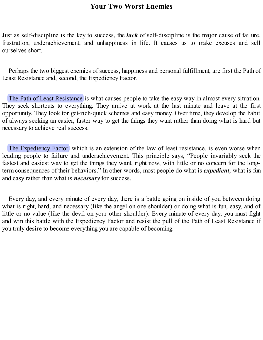#### **Your Two Worst Enemies**

Just as self-discipline is the key to success, the *lack* of self-discipline is the major cause of failure, frustration, underachievement, and unhappiness in life. It causes us to make excuses and sell ourselves short.

Perhaps the two biggest enemies of success, happiness and personal fulfillment, are first the Path of Least Resistance and, second, the Expediency Factor.

The Path of Least Resistance is what causes people to take the easy way in almost every situation. They seek shortcuts to everything. They arrive at work at the last minute and leave at the first opportunity. They look for get-rich-quick schemes and easy money. Over time, they develop the habit of always seeking an easier, faster way to get the things they want rather than doing what is hard but necessary to achieve real success.

The Expediency Factor, which is an extension of the law of least resistance, is even worse when leading people to failure and underachievement. This principle says, "People invariably seek the fastest and easiest way to get the things they want, right now, with little or no concern for the longterm consequences of their behaviors." In other words, most people do what is *expedient,* what is fun and easy rather than what is *necessary* for success.

Every day, and every minute of every day, there is a battle going on inside of you between doing what is right, hard, and necessary (like the angel on one shoulder) or doing what is fun, easy, and of little or no value (like the devil on your other shoulder). Every minute of every day, you must fight and win this battle with the Expediency Factor and resist the pull of the Path of Least Resistance if you truly desire to become everything you are capable of becoming.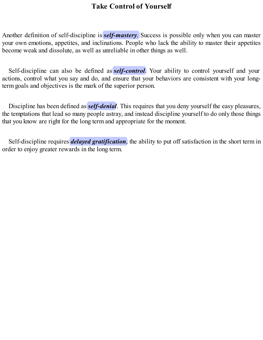#### **Take Control of Yourself**

Another definition of self-discipline is *self-mastery*. Success is possible only when you can master your own emotions, appetites, and inclinations. People who lack the ability to master their appetites become weak and dissolute, as well as unreliable in other things as well.

Self-discipline can also be defined as *self-control*. Your ability to control yourself and your actions, control what you say and do, and ensure that your behaviors are consistent with your longterm goals and objectives is the mark of the superior person.

Discipline has been defined as *self-denial*. This requires that you deny yourself the easy pleasures, the temptations that lead so many people astray, and instead discipline yourself to do only those things that you know are right for the long term and appropriate for the moment.

Self-discipline requires *delayed gratification*, the ability to put off satisfaction in the short term in order to enjoy greater rewards in the long term.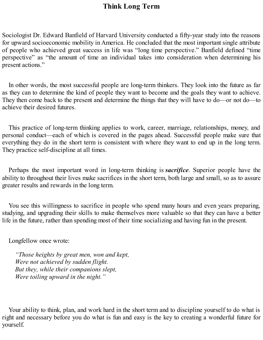#### **Think Long Term**

Sociologist Dr. Edward Banfield of Harvard University conducted a fifty-year study into the reasons for upward socioeconomic mobility in America. He concluded that the most important single attribute of people who achieved great success in life was "long time perspective." Banfield defined "time perspective" as "the amount of time an individual takes into consideration when determining his present actions."

In other words, the most successful people are long-term thinkers. They look into the future as far as they can to determine the kind of people they want to become and the goals they want to achieve. They then come back to the present and determine the things that they will have to do—or not do—to achieve their desired futures.

This practice of long-term thinking applies to work, career, marriage, relationships, money, and personal conduct—each of which is covered in the pages ahead. Successful people make sure that everything they do in the short term is consistent with where they want to end up in the long term. They practice self-discipline at all times.

Perhaps the most important word in long-term thinking is *sacrifice*. Superior people have the ability to throughout their lives make sacrifices in the short term, both large and small, so as to assure greater results and rewards in the long term.

You see this willingness to sacrifice in people who spend many hours and even years preparing, studying, and upgrading their skills to make themselves more valuable so that they can have a better life in the future, rather than spending most of their time socializing and having fun in the present.

Longfellow once wrote:

*"Those heights by great men, won and kept, Were not achieved by sudden flight. But they, while their companions slept, Were toiling upward in the night."*

Your ability to think, plan, and work hard in the short term and to discipline yourself to do what is right and necessary before you do what is fun and easy is the key to creating a wonderful future for yourself.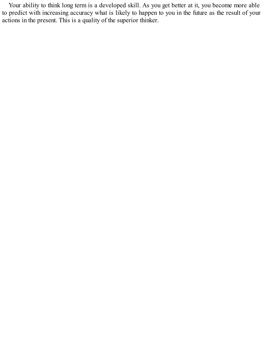Your ability to think long term is a developed skill. As you get better at it, you become more able to predict with increasing accuracy what is likely to happen to you in the future as the result of your actions in the present. This is a quality of the superior thinker.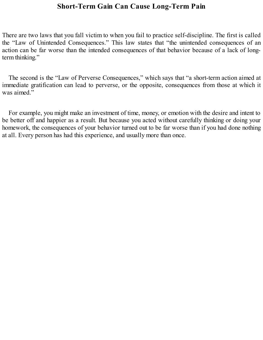#### **Short-Term Gain Can Cause Long-Term Pain**

There are two laws that you fall victim to when you fail to practice self-discipline. The first is called the "Law of Unintended Consequences." This law states that "the unintended consequences of an action can be far worse than the intended consequences of that behavior because of a lack of longterm thinking."

The second is the "Law of Perverse Consequences," which says that "a short-term action aimed at immediate gratification can lead to perverse, or the opposite, consequences from those at which it was aimed."

For example, you might make an investment of time, money, or emotion with the desire and intent to be better off and happier as a result. But because you acted without carefully thinking or doing your homework, the consequences of your behavior turned out to be far worse than if you had done nothing at all. Every person has had this experience, and usually more than once.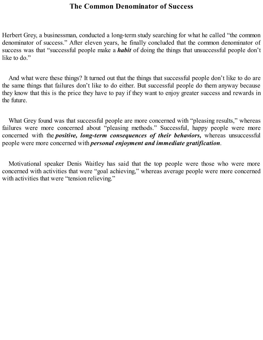#### **The Common Denominator of Success**

Herbert Grey, a businessman, conducted a long-term study searching for what he called "the common denominator of success." After eleven years, he finally concluded that the common denominator of success was that "successful people make a *habit* of doing the things that unsuccessful people don't like to do."

And what were these things? It turned out that the things that successful people don't like to do are the same things that failures don't like to do either. But successful people do them anyway because they know that this is the price they have to pay if they want to enjoy greater success and rewards in the future.

What Grey found was that successful people are more concerned with "pleasing results," whereas failures were more concerned about "pleasing methods." Successful, happy people were more concerned with the *positive, long-term consequences of their behaviors,* whereas unsuccessful people were more concerned with *personal enjoyment and immediate gratification*.

Motivational speaker Denis Waitley has said that the top people were those who were more concerned with activities that were "goal achieving," whereas average people were more concerned with activities that were "tension relieving."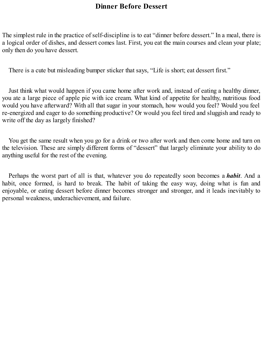#### **Dinner Before Dessert**

The simplest rule in the practice of self-discipline is to eat "dinner before dessert." In a meal, there is a logical order of dishes, and dessert comes last. First, you eat the main courses and clean your plate; only then do you have dessert.

There is a cute but misleading bumper sticker that says, "Life is short; eat dessert first."

Just think what would happen if you came home after work and, instead of eating a healthy dinner, you ate a large piece of apple pie with ice cream. What kind of appetite for healthy, nutritious food would you have afterward? With all that sugar in your stomach, how would you feel? Would you feel re-energized and eager to do something productive? Or would you feel tired and sluggish and ready to write off the day as largely finished?

You get the same result when you go for a drink or two after work and then come home and turn on the television. These are simply different forms of "dessert" that largely eliminate your ability to do anything useful for the rest of the evening.

Perhaps the worst part of all is that, whatever you do repeatedly soon becomes a *habit*. And a habit, once formed, is hard to break. The habit of taking the easy way, doing what is fun and enjoyable, or eating dessert before dinner becomes stronger and stronger, and it leads inevitably to personal weakness, underachievement, and failure.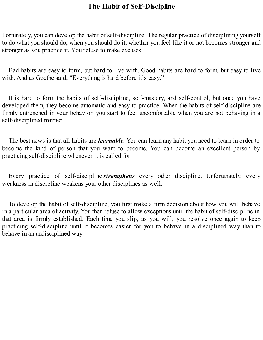#### **The Habit of Self-Discipline**

Fortunately, you can develop the habit of self-discipline. The regular practice of disciplining yourself to do what you should do, when you should do it, whether you feel like it or not becomes stronger and stronger as you practice it. You refuse to make excuses.

Bad habits are easy to form, but hard to live with. Good habits are hard to form, but easy to live with. And as Goethe said, "Everything is hard before it's easy."

It is hard to form the habits of self-discipline, self-mastery, and self-control, but once you have developed them, they become automatic and easy to practice. When the habits of self-discipline are firmly entrenched in your behavior, you start to feel uncomfortable when you are not behaving in a self-disciplined manner.

The best news is that all habits are *learnable.* You can learn any habit you need to learn in order to become the kind of person that you want to become. You can become an excellent person by practicing self-discipline whenever it is called for.

Every practice of self-discipline *strengthens* every other discipline. Unfortunately, every weakness in discipline weakens your other disciplines as well.

To develop the habit of self-discipline, you first make a firm decision about how you will behave in a particular area of activity. You then refuse to allow exceptions until the habit of self-discipline in that area is firmly established. Each time you slip, as you will, you resolve once again to keep practicing self-discipline until it becomes easier for you to behave in a disciplined way than to behave in an undisciplined way.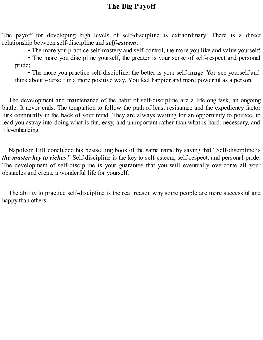#### **The Big Payoff**

The payoff for developing high levels of self-discipline is extraordinary! There is a direct relationship between self-discipline and *self-esteem*:

• The more you practice self-mastery and self-control, the more you like and value yourself;

• The more you discipline yourself, the greater is your sense of self-respect and personal pride;

• The more you practice self-discipline, the better is your self-image. You see yourself and think about yourself in a more positive way. You feel happier and more powerful as a person.

The development and maintenance of the habit of self-discipline are a lifelong task, an ongoing battle. It never ends. The temptation to follow the path of least resistance and the expediency factor lurk continually in the back of your mind. They are always waiting for an opportunity to pounce, to lead you astray into doing what is fun, easy, and unimportant rather than what is hard, necessary, and life-enhancing.

Napoleon Hill concluded his bestselling book of the same name by saying that "Self-discipline is *the master key to riches*." Self-discipline is the key to self-esteem, self-respect, and personal pride. The development of self-discipline is your guarantee that you will eventually overcome all your obstacles and create a wonderful life for yourself.

The ability to practice self-discipline is the real reason why some people are more successful and happy than others.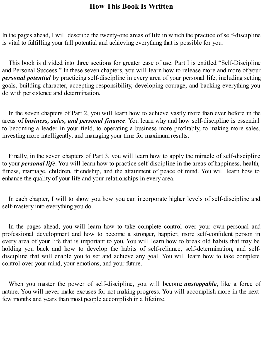#### **How This Book Is Written**

In the pages ahead, I will describe the twenty-one areas of life in which the practice of self-discipline is vital to fulfilling your full potential and achieving everything that is possible for you.

This book is divided into three sections for greater ease of use. Part I is entitled "Self-Discipline and Personal Success." In these seven chapters, you will learn how to release more and more of your *personal potential* by practicing self-discipline in every area of your personal life, including setting goals, building character, accepting responsibility, developing courage, and backing everything you do with persistence and determination.

In the seven chapters of Part 2, you will learn how to achieve vastly more than ever before in the areas of *business, sales, and personal finance*. You learn why and how self-discipline is essential to becoming a leader in your field, to operating a business more profitably, to making more sales, investing more intelligently, and managing your time for maximum results.

Finally, in the seven chapters of Part 3, you will learn how to apply the miracle of self-discipline to your *personal life*. You will learn how to practice self-discipline in the areas of happiness, health, fitness, marriage, children, friendship, and the attainment of peace of mind. You will learn how to enhance the quality of your life and your relationships in every area.

In each chapter, I will to show you how you can incorporate higher levels of self-discipline and self-mastery into everything you do.

In the pages ahead, you will learn how to take complete control over your own personal and professional development and how to become a stronger, happier, more self-confident person in every area of your life that is important to you. You will learn how to break old habits that may be holding you back and how to develop the habits of self-reliance, self-determination, and selfdiscipline that will enable you to set and achieve any goal. You will learn how to take complete control over your mind, your emotions, and your future.

When you master the power of self-discipline, you will become *unstoppable*, like a force of nature. You will never make excuses for not making progress. You will accomplish more in the next few months and years than most people accomplish in a lifetime.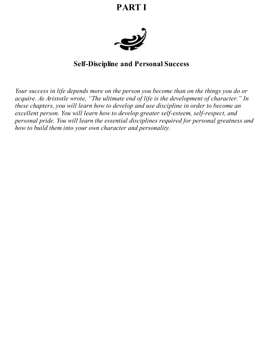## **PART I**



#### **Self-Discipline and Personal Success**

<span id="page-24-0"></span>*Your success in life depends more on the person you become than on the things you do or acquire. As Aristotle wrote, "The ultimate end of life is the development of character." In these chapters, you will learn how to develop and use discipline in order to become an excellent person. You will learn how to develop greater self-esteem, self-respect, and personal pride. You will learn the essential disciplines required for personal greatness and how to build them into your own character and personality.*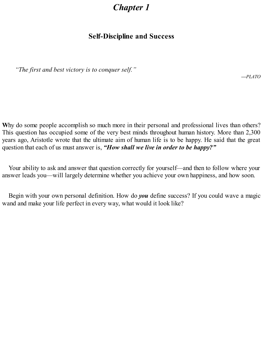### *Chapter 1*

#### **Self-Discipline and Success**

<span id="page-25-0"></span>*"The first and best victory is to conquer self."*

*—PLATO*

Why do some people accomplish so much more in their personal and professional lives than others? This question has occupied some of the very best minds throughout human history. More than 2,300 years ago, Aristotle wrote that the ultimate aim of human life is to be happy. He said that the great question that each of us must answer is, *"How shall we live in order to be happy?"*

Your ability to ask and answer that question correctly for yourself—and then to follow where your answer leads you—will largely determine whether you achieve your own happiness, and how soon.

Begin with your own personal definition. How do *you* define success? If you could wave a magic wand and make your life perfect in every way, what would it look like?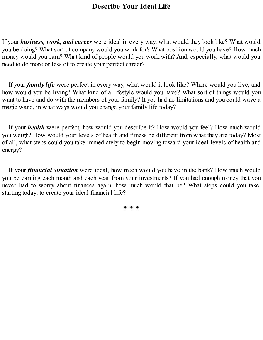#### **Describe Your Ideal Life**

<span id="page-26-0"></span>If your *business, work, and career* were ideal in every way, what would they look like? What would you be doing? What sort of company would you work for? What position would you have? How much money would you earn? What kind of people would you work with? And, especially, what would you need to do more or less of to create your perfect career?

If your *family life* were perfect in every way, what would it look like? Where would you live, and how would you be living? What kind of a lifestyle would you have? What sort of things would you want to have and do with the members of your family? If you had no limitations and you could wave a magic wand, in what ways would you change your family life today?

If your *health* were perfect, how would you describe it? How would you feel? How much would you weigh? How would your levels of health and fitness be different from what they are today? Most of all, what steps could you take immediately to begin moving toward your ideal levels of health and energy?

If your *financial situation* were ideal, how much would you have in the bank? How much would you be earning each month and each year from your investments? If you had enough money that you never had to worry about finances again, how much would that be? What steps could you take, starting today, to create your ideal financial life?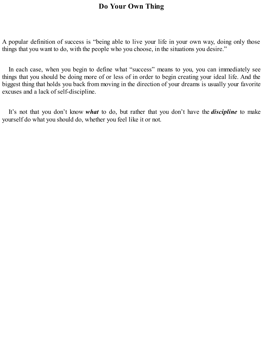#### **Do Your Own Thing**

<span id="page-27-0"></span>A popular definition of success is "being able to live your life in your own way, doing only those things that you want to do, with the people who you choose, in the situations you desire."

In each case, when you begin to define what "success" means to you, you can immediately see things that you should be doing more of or less of in order to begin creating your ideal life. And the biggest thing that holds you back from moving in the direction of your dreams is usually your favorite excuses and a lack of self-discipline.

It's not that you don't know *what* to do, but rather that you don't have the *discipline* to make yourself do what you should do, whether you feel like it or not.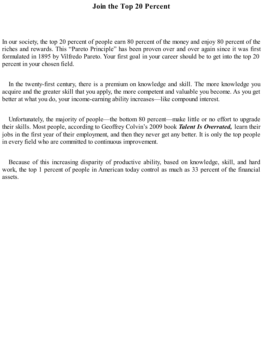#### **Join the Top 20 Percent**

<span id="page-28-0"></span>In our society, the top 20 percent of people earn 80 percent of the money and enjoy 80 percent of the riches and rewards. This "Pareto Principle" has been proven over and over again since it was first formulated in 1895 by Vilfredo Pareto. Your first goal in your career should be to get into the top 20 percent in your chosen field.

In the twenty-first century, there is a premium on knowledge and skill. The more knowledge you acquire and the greater skill that you apply, the more competent and valuable you become. As you get better at what you do, your income-earning ability increases—like compound interest.

Unfortunately, the majority of people—the bottom 80 percent—make little or no effort to upgrade their skills. Most people, according to Geoffrey Colvin's 2009 book *Talent Is Overrated,* learn their jobs in the first year of their employment, and then they never get any better. It is only the top people in every field who are committed to continuous improvement.

Because of this increasing disparity of productive ability, based on knowledge, skill, and hard work, the top 1 percent of people in American today control as much as 33 percent of the financial assets.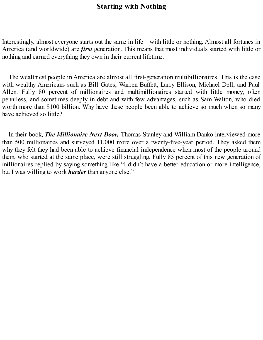#### **Starting with Nothing**

<span id="page-29-0"></span>Interestingly, almost everyone starts out the same in life—with little or nothing. Almost all fortunes in America (and worldwide) are *first* generation. This means that most individuals started with little or nothing and earned everything they own in their current lifetime.

The wealthiest people in America are almost all first-generation multibillionaires. This is the case with wealthy Americans such as Bill Gates, Warren Buffett, Larry Ellison, Michael Dell, and Paul Allen. Fully 80 percent of millionaires and multimillionaires started with little money, often penniless, and sometimes deeply in debt and with few advantages, such as Sam Walton, who died worth more than \$100 billion. Why have these people been able to achieve so much when so many have achieved so little?

In their book, *The Millionaire Next Door,* Thomas Stanley and William Danko interviewed more than 500 millionaires and surveyed 11,000 more over a twenty-five-year period. They asked them why they felt they had been able to achieve financial independence when most of the people around them, who started at the same place, were still struggling. Fully 85 percent of this new generation of millionaires replied by saying something like "I didn't have a better education or more intelligence, but I was willing to work *harder* than anyone else."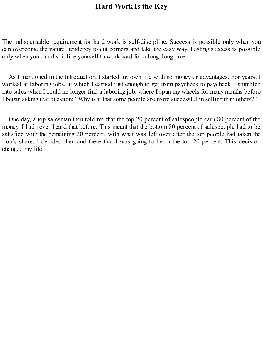#### **Hard Work Is the Key**

<span id="page-30-0"></span>The indispensable requirement for hard work is self-discipline. Success is possible only when you can overcome the natural tendency to cut corners and take the easy way. Lasting success is possible only when you can discipline yourself to work hard for a long, long time.

As I mentioned in the Introduction, I started my own life with no money or advantages. For years, I worked at laboring jobs, at which I earned just enough to get from paycheck to paycheck. I stumbled into sales when I could no longer find a laboring job, where I spun my wheels for many months before I began asking that question: "Why is it that some people are more successful in selling than others?"

One day, a top salesman then told me that the top 20 percent of salespeople earn 80 percent of the money. I had never heard that before. This meant that the bottom 80 percent of salespeople had to be satisfied with the remaining 20 percent, with what was left over after the top people had taken the lion's share. I decided then and there that I was going to be in the top 20 percent. This decision changed my life.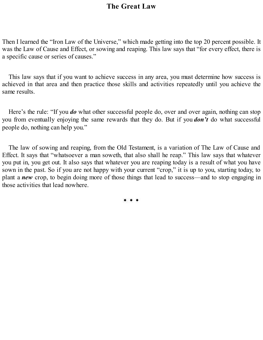#### **The Great Law**

<span id="page-31-0"></span>Then I learned the "Iron Law of the Universe," which made getting into the top 20 percent possible. It was the Law of Cause and Effect, or sowing and reaping. This law says that "for every effect, there is a specific cause or series of causes."

This law says that if you want to achieve success in any area, you must determine how success is achieved in that area and then practice those skills and activities repeatedly until you achieve the same results.

Here's the rule: "If you *do* what other successful people do, over and over again, nothing can stop you from eventually enjoying the same rewards that they do. But if you *don't* do what successful people do, nothing can help you."

The law of sowing and reaping, from the Old Testament, is a variation of The Law of Cause and Effect. It says that "whatsoever a man soweth, that also shall he reap." This law says that whatever you put in, you get out. It also says that whatever you are reaping today is a result of what you have sown in the past. So if you are not happy with your current "crop," it is up to you, starting today, to plant a *new* crop, to begin doing more of those things that lead to success—and to stop engaging in those activities that lead nowhere.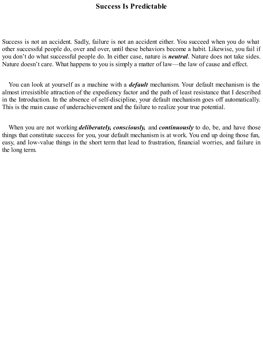#### **Success Is Predictable**

<span id="page-32-0"></span>Success is not an accident. Sadly, failure is not an accident either. You succeed when you do what other successful people do, over and over, until these behaviors become a habit. Likewise, you fail if you don't do what successful people do. In either case, nature is *neutral*. Nature does not take sides. Nature doesn't care. What happens to you is simply a matter of law—the law of cause and effect.

You can look at yourself as a machine with a *default* mechanism. Your default mechanism is the almost irresistible attraction of the expediency factor and the path of least resistance that I described in the Introduction. In the absence of self-discipline, your default mechanism goes off automatically. This is the main cause of underachievement and the failure to realize your true potential.

When you are not working *deliberately, consciously,* and *continuously* to do, be, and have those things that constitute success for you, your default mechanism is at work. You end up doing those fun, easy, and low-value things in the short term that lead to frustration, financial worries, and failure in the long term.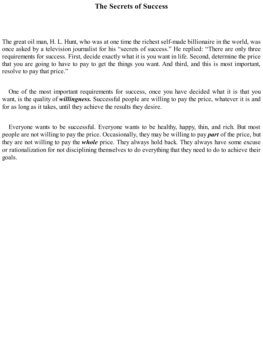#### **The Secrets of Success**

<span id="page-33-0"></span>The great oil man, H. L. Hunt, who was at one time the richest self-made billionaire in the world, was once asked by a television journalist for his "secrets of success." He replied: "There are only three requirements for success. First, decide exactly what it is you want in life. Second, determine the price that you are going to have to pay to get the things you want. And third, and this is most important, resolve to pay that price."

One of the most important requirements for success, once you have decided what it is that you want, is the quality of *willingness.* Successful people are willing to pay the price, whatever it is and for as long as it takes, until they achieve the results they desire.

Everyone wants to be successful. Everyone wants to be healthy, happy, thin, and rich. But most people are not willing to pay the price. Occasionally, they may be willing to pay *part* of the price, but they are not willing to pay the *whole* price. They always hold back. They always have some excuse or rationalization for not disciplining themselves to do everything that they need to do to achieve their goals.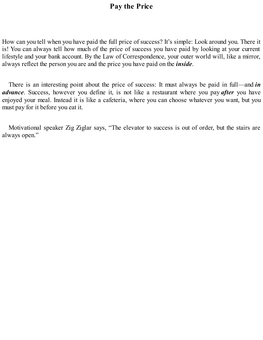#### **Pay the Price**

<span id="page-34-0"></span>How can you tell when you have paid the full price of success? It's simple: Look around you. There it is! You can always tell how much of the price of success you have paid by looking at your current lifestyle and your bank account. By the Law of Correspondence, your outer world will, like a mirror, always reflect the person you are and the price you have paid on the *inside*.

There is an interesting point about the price of success: It must always be paid in full—and *in advance*. Success, however you define it, is not like a restaurant where you pay *after* you have enjoyed your meal. Instead it is like a cafeteria, where you can choose whatever you want, but you must pay for it before you eat it.

Motivational speaker Zig Ziglar says, "The elevator to success is out of order, but the stairs are always open."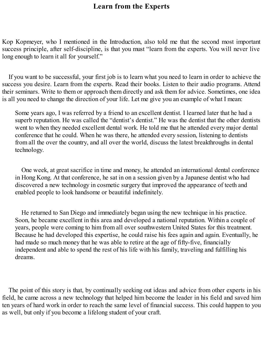#### **Learn from the Experts**

<span id="page-35-0"></span>Kop Kopmeyer, who I mentioned in the Introduction, also told me that the second most important success principle, after self-discipline, is that you must "learn from the experts. You will never live long enough to learn it all for yourself."

If you want to be successful, your first job is to learn what you need to learn in order to achieve the success you desire. Learn from the experts. Read their books. Listen to their audio programs. Attend their seminars. Write to them or approach them directly and ask them for advice. Sometimes, one idea is all you need to change the direction of your life. Let me give you an example of what I mean:

Some years ago, I was referred by a friend to an excellent dentist. I learned later that he had a superb reputation. He was called the "dentist's dentist." He was the dentist that the other dentists went to when they needed excellent dental work. He told me that he attended every major dental conference that he could. When he was there, he attended every session, listening to dentists from all the over the country, and all over the world, discuss the latest breakthroughs in dental technology.

One week, at great sacrifice in time and money, he attended an international dental conference in Hong Kong. At that conference, he sat in on a session given by a Japanese dentist who had discovered a new technology in cosmetic surgery that improved the appearance of teeth and enabled people to look handsome or beautiful indefinitely.

He returned to San Diego and immediately began using the new technique in his practice. Soon, he became excellent in this area and developed a national reputation. Within a couple of years, people were coming to him from all over southwestern United States for this treatment. Because he had developed this expertise, he could raise his fees again and again. Eventually, he had made so much money that he was able to retire at the age of fifty-five, financially independent and able to spend the rest of his life with his family, traveling and fulfilling his dreams.

The point of this story is that, by continually seeking out ideas and advice from other experts in his field, he came across a new technology that helped him become the leader in his field and saved him ten years of hard work in order to reach the same level of financial success. This could happen to you as well, but only if you become a lifelong student of your craft.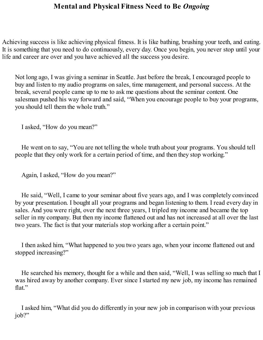# **Mental and Physical Fitness Need to Be** *Ongoing*

Achieving success is like achieving physical fitness. It is like bathing, brushing your teeth, and eating. It is something that you need to do continuously, every day. Once you begin, you never stop until your life and career are over and you have achieved all the success you desire.

Not long ago, I was giving a seminar in Seattle. Just before the break, I encouraged people to buy and listen to my audio programs on sales, time management, and personal success. At the break, several people came up to me to ask me questions about the seminar content. One salesman pushed his way forward and said, "When you encourage people to buy your programs, you should tell them the whole truth."

I asked, "How do you mean?"

He went on to say, "You are not telling the whole truth about your programs. You should tell people that they only work for a certain period of time, and then they stop working."

Again, I asked, "How do you mean?"

He said, "Well, I came to your seminar about five years ago, and I was completely convinced by your presentation. I bought all your programs and began listening to them. I read every day in sales. And you were right, over the next three years, I tripled my income and became the top seller in my company. But then my income flattened out and has not increased at all over the last two years. The fact is that your materials stop working after a certain point."

I then asked him, "What happened to you two years ago, when your income flattened out and stopped increasing?"

He searched his memory, thought for a while and then said, "Well, I was selling so much that I was hired away by another company. Ever since I started my new job, my income has remained flat."

I asked him, "What did you do differently in your new job in comparison with your previous job?"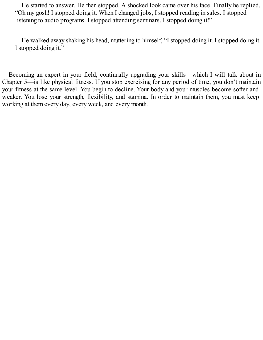He started to answer. He then stopped. A shocked look came over his face. Finally he replied, "Oh my gosh! I stopped doing it. When I changed jobs, I stopped reading in sales. I stopped listening to audio programs. I stopped attending seminars. I stopped doing it!"

He walked away shaking his head, muttering to himself, "I stopped doing it. I stopped doing it. I stopped doing it."

Becoming an expert in your field, continually upgrading your skills—which I will talk about in Chapter 5—is like physical fitness. If you stop exercising for any period of time, you don't maintain your fitness at the same level. You begin to decline. Your body and your muscles become softer and weaker. You lose your strength, flexibility, and stamina. In order to maintain them, you must keep working at them every day, every week, and every month.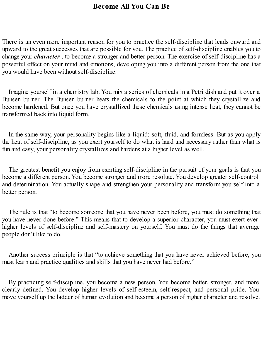#### **Become All You Can Be**

There is an even more important reason for you to practice the self-discipline that leads onward and upward to the great successes that are possible for you. The practice of self-discipline enables you to change your *character* , to become a stronger and better person. The exercise of self-discipline has a powerful effect on your mind and emotions, developing you into a different person from the one that you would have been without self-discipline.

Imagine yourself in a chemistry lab. You mix a series of chemicals in a Petri dish and put it over a Bunsen burner. The Bunsen burner heats the chemicals to the point at which they crystallize and become hardened. But once you have crystallized these chemicals using intense heat, they cannot be transformed back into liquid form.

In the same way, your personality begins like a liquid: soft, fluid, and formless. But as you apply the heat of self-discipline, as you exert yourself to do what is hard and necessary rather than what is fun and easy, your personality crystallizes and hardens at a higher level as well.

The greatest benefit you enjoy from exerting self-discipline in the pursuit of your goals is that you become a different person. You become stronger and more resolute. You develop greater self-control and determination. You actually shape and strengthen your personality and transform yourself into a better person.

The rule is that "to become someone that you have never been before, you must do something that you have never done before." This means that to develop a superior character, you must exert everhigher levels of self-discipline and self-mastery on yourself. You must do the things that average people don't like to do.

Another success principle is that "to achieve something that you have never achieved before, you must learn and practice qualities and skills that you have never had before."

By practicing self-discipline, you become a new person. You become better, stronger, and more clearly defined. You develop higher levels of self-esteem, self-respect, and personal pride. You move yourself up the ladder of human evolution and become a person of higher character and resolve.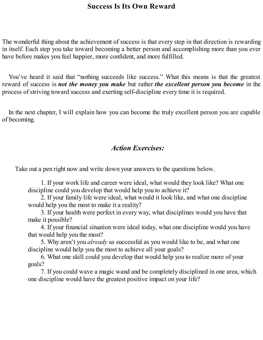## **Success Is Its Own Reward**

The wonderful thing about the achievement of success is that every step in that direction is rewarding in itself. Each step you take toward becoming a better person and accomplishing more than you ever have before makes you feel happier, more confident, and more fulfilled.

You've heard it said that "nothing succeeds like success." What this means is that the greatest reward of success is *not the money you make* but rather *the excellent person you become* in the process of striving toward success and exerting self-discipline every time it is required.

In the next chapter, I will explain how you can become the truly excellent person you are capable of becoming.

# *Action Exercises:*

Take out a pen right now and write down your answers to the questions below.

1. If your work life and career were ideal, what would they look like? What one discipline could you develop that would help you to achieve it?

2. If your family life were ideal, what would it look like, and what one discipline would help you the most to make it a reality?

3. If your health were perfect in every way, what disciplines would you have that make it possible?

4. If your financial situation were ideal today, what one discipline would you have that would help you the most?

5. Why aren't you *already* as successful as you would like to be, and what one discipline would help you the most to achieve all your goals?

6. What one skill could you develop that would help you to realize more of your goals?

7. If you could wave a magic wand and be completely disciplined in one area, which one discipline would have the greatest positive impact on your life?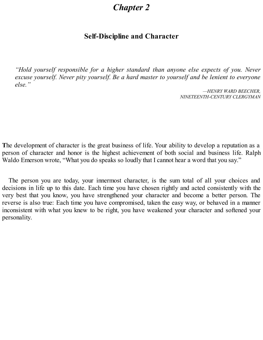# *Chapter 2*

#### **Self-Discipline and Character**

*"Hold yourself responsible for a higher standard than anyone else expects of you. Never excuse yourself. Never pity yourself. Be a hard master to yourself and be lenient to everyone else."*

> *—HENRY WARD BEECHER, NINETEENTH-CENTURY CLERGYMAN*

**T**he development of character is the great business of life. Your ability to develop a reputation as a person of character and honor is the highest achievement of both social and business life. Ralph Waldo Emerson wrote, "What you do speaks so loudly that I cannot hear a word that you say."

The person you are today, your innermost character, is the sum total of all your choices and decisions in life up to this date. Each time you have chosen rightly and acted consistently with the very best that you know, you have strengthened your character and become a better person. The reverse is also true: Each time you have compromised, taken the easy way, or behaved in a manner inconsistent with what you knew to be right, you have weakened your character and softened your personality.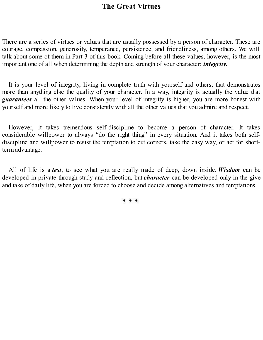# **The Great Virtues**

There are a series of virtues or values that are usually possessed by a person of character. These are courage, compassion, generosity, temperance, persistence, and friendliness, among others. We will talk about some of them in Part 3 of this book. Coming before all these values, however, is the most important one of all when determining the depth and strength of your character: *integrity.*

It is your level of integrity, living in complete truth with yourself and others, that demonstrates more than anything else the quality of your character. In a way, integrity is actually the value that *guarantees* all the other values. When your level of integrity is higher, you are more honest with yourself and more likely to live consistently with all the other values that you admire and respect.

However, it takes tremendous self-discipline to become a person of character. It takes considerable willpower to always "do the right thing" in every situation. And it takes both selfdiscipline and willpower to resist the temptation to cut corners, take the easy way, or act for shortterm advantage.

All of life is a *test*, to see what you are really made of deep, down inside. *Wisdom* can be developed in private through study and reflection, but *character* can be developed only in the give and take of daily life, when you are forced to choose and decide among alternatives and temptations.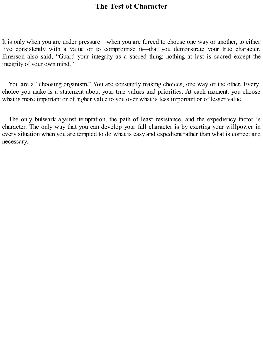# **The Test of Character**

It is only when you are under pressure—when you are forced to choose one way or another, to either live consistently with a value or to compromise it—that you demonstrate your true character. Emerson also said, "Guard your integrity as a sacred thing; nothing at last is sacred except the integrity of your own mind."

You are a "choosing organism." You are constantly making choices, one way or the other. Every choice you make is a statement about your true values and priorities. At each moment, you choose what is more important or of higher value to you over what is less important or of lesser value.

The only bulwark against temptation, the path of least resistance, and the expediency factor is character. The only way that you can develop your full character is by exerting your willpower in every situation when you are tempted to do what is easy and expedient rather than what is correct and necessary.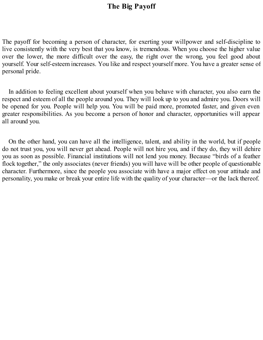# **The Big Payoff**

The payoff for becoming a person of character, for exerting your willpower and self-discipline to live consistently with the very best that you know, is tremendous. When you choose the higher value over the lower, the more difficult over the easy, the right over the wrong, you feel good about yourself. Your self-esteem increases. You like and respect yourself more. You have a greater sense of personal pride.

In addition to feeling excellent about yourself when you behave with character, you also earn the respect and esteem of all the people around you. They will look up to you and admire you. Doors will be opened for you. People will help you. You will be paid more, promoted faster, and given even greater responsibilities. As you become a person of honor and character, opportunities will appear all around you.

On the other hand, you can have all the intelligence, talent, and ability in the world, but if people do not trust you, you will never get ahead. People will not hire you, and if they do, they will dehire you as soon as possible. Financial institutions will not lend you money. Because "birds of a feather flock together," the only associates (never friends) you will have will be other people of questionable character. Furthermore, since the people you associate with have a major effect on your attitude and personality, you make or break your entire life with the quality of your character—or the lack thereof.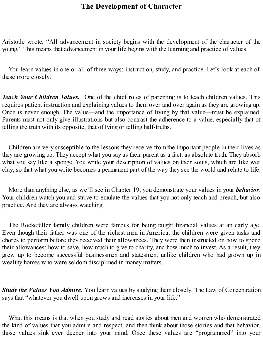### **The Development of Character**

Aristotle wrote, "All advancement in society begins with the development of the character of the young." This means that advancement in your life begins with the learning and practice of values.

You learn values in one or all of three ways: instruction, study, and practice. Let's look at each of these more closely.

*Teach Your Children Values.* One of the chief roles of parenting is to teach children values. This requires patient instruction and explaining values to them over and over again as they are growing up. Once is never enough. The value—and the importance of living by that value—must be explained. Parents must not only give illustrations but also contrast the adherence to a value, especially that of telling the truth with its opposite, that of lying or telling half-truths.

Children are very susceptible to the lessons they receive from the important people in their lives as they are growing up. They accept what you say as their parent as a fact, as absolute truth. They absorb what you say like a sponge. You write your description of values on their souls, which are like wet clay, so that what you write becomes a permanent part of the way they see the world and relate to life.

More than anything else, as we'll see in Chapter 19, you demonstrate your values in your *behavior*. Your children watch you and strive to emulate the values that you not only teach and preach, but also practice. And they are always watching.

The Rockefeller family children were famous for being taught financial values at an early age. Even though their father was one of the richest men in America, the children were given tasks and chores to perform before they received their allowances. They were then instructed on how to spend their allowances: how to save, how much to give to charity, and how much to invest. As a result, they grew up to become successful businessmen and statesmen, unlike children who had grown up in wealthy homes who were seldom disciplined in money matters.

*Study the Values You Admire.* You learn values by studying them closely. The Law of Concentration says that "whatever you dwell upon grows and increases in your life."

What this means is that when you study and read stories about men and women who demonstrated the kind of values that you admire and respect, and then think about those stories and that behavior, those values sink ever deeper into your mind. Once these values are "programmed" into your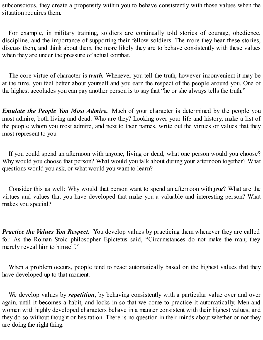subconscious, they create a propensity within you to behave consistently with those values when the situation requires them.

For example, in military training, soldiers are continually told stories of courage, obedience, discipline, and the importance of supporting their fellow soldiers. The more they hear these stories, discuss them, and think about them, the more likely they are to behave consistently with these values when they are under the pressure of actual combat.

The core virtue of character is *truth.* Whenever you tell the truth, however inconvenient it may be at the time, you feel better about yourself and you earn the respect of the people around you. One of the highest accolades you can pay another person is to say that "he or she always tells the truth."

*Emulate the People You Most Admire.* Much of your character is determined by the people you most admire, both living and dead. Who are they? Looking over your life and history, make a list of the people whom you most admire, and next to their names, write out the virtues or values that they most represent to you.

If you could spend an afternoon with anyone, living or dead, what one person would you choose? Why would you choose that person? What would you talk about during your afternoon together? What questions would you ask, or what would you want to learn?

Consider this as well: Why would that person want to spend an afternoon with *you*? What are the virtues and values that you have developed that make you a valuable and interesting person? What makes you special?

*Practice the Values You Respect.* You develop values by practicing them whenever they are called for. As the Roman Stoic philosopher Epictetus said, "Circumstances do not make the man; they merely reveal him to himself."

When a problem occurs, people tend to react automatically based on the highest values that they have developed up to that moment.

We develop values by *repetition*, by behaving consistently with a particular value over and over again, until it becomes a habit, and locks in so that we come to practice it automatically. Men and women with highly developed characters behave in a manner consistent with their highest values, and they do so without thought or hesitation. There is no question in their minds about whether or not they are doing the right thing.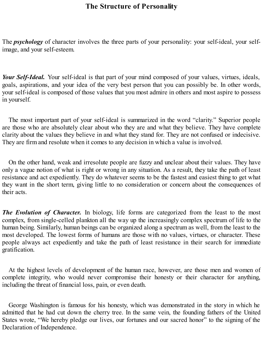### **The Structure of Personality**

The *psychology* of character involves the three parts of your personality: your self-ideal, your selfimage, and your self-esteem.

*Your Self-Ideal.* Your self-ideal is that part of your mind composed of your values, virtues, ideals, goals, aspirations, and your idea of the very best person that you can possibly be. In other words, your self-ideal is composed of those values that you most admire in others and most aspire to possess in yourself.

The most important part of your self-ideal is summarized in the word "clarity." Superior people are those who are absolutely clear about who they are and what they believe. They have complete clarity about the values they believe in and what they stand for. They are not confused or indecisive. They are firm and resolute when it comes to any decision in which a value is involved.

On the other hand, weak and irresolute people are fuzzy and unclear about their values. They have only a vague notion of what is right or wrong in any situation. As a result, they take the path of least resistance and act expediently. They do whatever seems to be the fastest and easiest thing to get what they want in the short term, giving little to no consideration or concern about the consequences of their acts.

*The Evolution of Character.* In biology, life forms are categorized from the least to the most complex, from single-celled plankton all the way up the increasingly complex spectrum of life to the human being. Similarly, human beings can be organized along a spectrum as well, from the least to the most developed. The lowest forms of humans are those with no values, virtues, or character. These people always act expediently and take the path of least resistance in their search for immediate gratification.

At the highest levels of development of the human race, however, are those men and women of complete integrity, who would never compromise their honesty or their character for anything, including the threat of financial loss, pain, or even death.

George Washington is famous for his honesty, which was demonstrated in the story in which he admitted that he had cut down the cherry tree. In the same vein, the founding fathers of the United States wrote, "We hereby pledge our lives, our fortunes and our sacred honor" to the signing of the Declaration of Independence.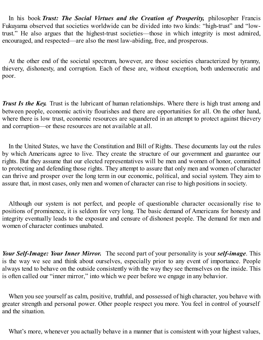In his book *Trust: The Social Virtues and the Creation of Prosperity,* philosopher Francis Fukuyama observed that societies worldwide can be divided into two kinds: "high-trust" and "lowtrust." He also argues that the highest-trust societies—those in which integrity is most admired, encouraged, and respected—are also the most law-abiding, free, and prosperous.

At the other end of the societal spectrum, however, are those societies characterized by tyranny, thievery, dishonesty, and corruption. Each of these are, without exception, both undemocratic and poor.

*Trust Is the Key.* Trust is the lubricant of human relationships. Where there is high trust among and between people, economic activity flourishes and there are opportunities for all. On the other hand, where there is low trust, economic resources are squandered in an attempt to protect against thievery and corruption—or these resources are not available at all.

In the United States, we have the Constitution and Bill of Rights. These documents lay out the rules by which Americans agree to live. They create the structure of our government and guarantee our rights. But they assume that our elected representatives will be men and women of honor, committed to protecting and defending those rights. They attempt to assure that only men and women of character can thrive and prosper over the long term in our economic, political, and social system. They aim to assure that, in most cases, only men and women of character can rise to high positions in society.

Although our system is not perfect, and people of questionable character occasionally rise to positions of prominence, it is seldom for very long. The basic demand of Americans for honesty and integrity eventually leads to the exposure and censure of dishonest people. The demand for men and women of character continues unabated.

*Your Self-Image: Your Inner Mirror.* The second part of your personality is your *self-image*. This is the way we see and think about ourselves, especially prior to any event of importance. People always tend to behave on the outside consistently with the way they see themselves on the inside. This is often called our "inner mirror," into which we peer before we engage in any behavior.

When you see yourself as calm, positive, truthful, and possessed of high character, you behave with greater strength and personal power. Other people respect you more. You feel in control of yourself and the situation.

What's more, whenever you actually behave in a manner that is consistent with your highest values,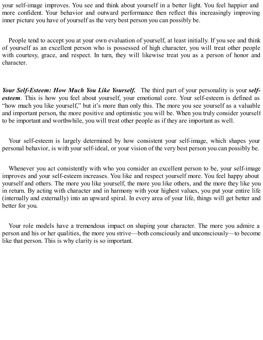your self-image improves. You see and think about yourself in a better light. You feel happier and more confident. Your behavior and outward performance then reflect this increasingly improving inner picture you have of yourself as the very best person you can possibly be.

People tend to accept you at your own evaluation of yourself, at least initially. If you see and think of yourself as an excellent person who is possessed of high character, you will treat other people with courtesy, grace, and respect. In turn, they will likewise treat you as a person of honor and character.

*Your Self-Esteem: How Much You Like Yourself.* The third part of your personality is your *selfesteem*. This is how you feel about yourself, your emotional core. Your self-esteem is defined as "how much you like yourself," but it's more than only this. The more you see yourself as a valuable and important person, the more positive and optimistic you will be. When you truly consider yourself to be important and worthwhile, you will treat other people as if they are important as well.

Your self-esteem is largely determined by how consistent your self-image, which shapes your personal behavior, is with your self-ideal, or your vision of the very best person you can possibly be.

Whenever you act consistently with who you consider an excellent person to be, your self-image improves and your self-esteem increases. You like and respect yourself more. You feel happy about yourself and others. The more you like yourself, the more you like others, and the more they like you in return. By acting with character and in harmony with your highest values, you put your entire life (internally and externally) into an upward spiral. In every area of your life, things will get better and better for you.

Your role models have a tremendous impact on shaping your character. The more you admire a person and his or her qualities, the more you strive—both consciously and unconsciously—to become like that person. This is why clarity is so important.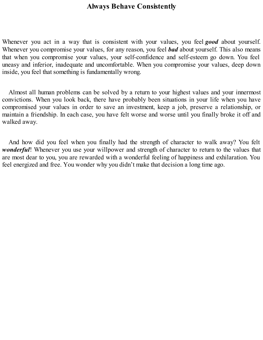#### **Always Behave Consistently**

Whenever you act in a way that is consistent with your values, you feel *good* about yourself. Whenever you compromise your values, for any reason, you feel *bad* about yourself. This also means that when you compromise your values, your self-confidence and self-esteem go down. You feel uneasy and inferior, inadequate and uncomfortable. When you compromise your values, deep down inside, you feel that something is fundamentally wrong.

Almost all human problems can be solved by a return to your highest values and your innermost convictions. When you look back, there have probably been situations in your life when you have compromised your values in order to save an investment, keep a job, preserve a relationship, or maintain a friendship. In each case, you have felt worse and worse until you finally broke it off and walked away.

And how did you feel when you finally had the strength of character to walk away? You felt *wonderful!* Whenever you use your willpower and strength of character to return to the values that are most dear to you, you are rewarded with a wonderful feeling of happiness and exhilaration. You feel energized and free. You wonder why you didn't make that decision a long time ago.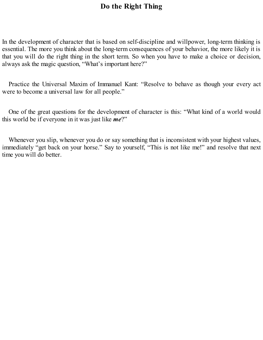# **Do the Right Thing**

In the development of character that is based on self-discipline and willpower, long-term thinking is essential. The more you think about the long-term consequences of your behavior, the more likely it is that you will do the right thing in the short term. So when you have to make a choice or decision, always ask the magic question, "What's important here?"

Practice the Universal Maxim of Immanuel Kant: "Resolve to behave as though your every act were to become a universal law for all people."

One of the great questions for the development of character is this: "What kind of a world would this world be if everyone in it was just like *me*?"

Whenever you slip, whenever you do or say something that is inconsistent with your highest values, immediately "get back on your horse." Say to yourself, "This is not like me!" and resolve that next time you will do better.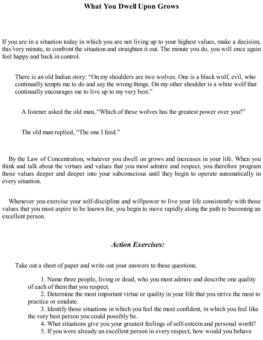# **What You Dwell Upon Grows**

If you are in a situation today in which you are not living up to your highest values, make a decision, this very minute, to confront the situation and straighten it out. The minute you do, you will once again feel happy and back in control.

There is an old Indian story: "On my shoulders are two wolves. One is a black wolf, evil, who continually tempts me to do and say the wrong things. On my other shoulder is a white wolf that continually encourages me to live up to my very best."

A listener asked the old man, "Which of these wolves has the greatest power over you?"

The old man replied, "The one I feed."

By the Law of Concentration, whatever you dwell on grows and increases in your life. When you think and talk about the virtues and values that you most admire and respect, you therefore program those values deeper and deeper into your subconscious until they begin to operate automatically in every situation.

Whenever you exercise your self-discipline and willpower to live your life consistently with those values that you most aspire to be known for, you begin to move rapidly along the path to becoming an excellent person.

# *Action Exercises:*

Take out a sheet of paper and write out your answers to these questions.

1. Name three people, living or dead, who you most admire and describe one quality of each of them that you respect.

2. Determine the most important virtue or quality in your life that you strive the most to practice or emulate.

3. Identify those situations in which you feel the most confident, in which you feel like the very best person you could possibly be.

4. What situations give you your greatest feelings of self-esteem and personal worth?

5. If you were already an excellent person in every respect, how would you behave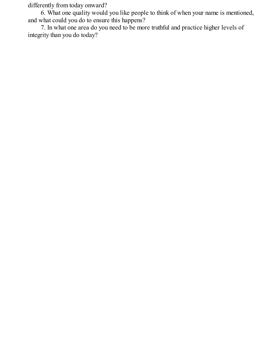differently from today onward?

6. What one quality would you like people to think of when your name is mentioned, and what could you do to ensure this happens?

7. In what one area do you need to be more truthful and practice higher levels of integrity than you do today?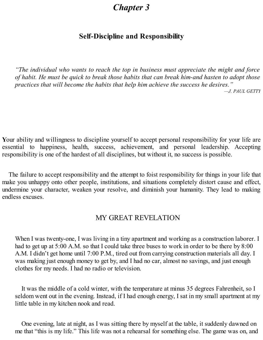# *Chapter 3*

#### **Self-Discipline and Responsibility**

*"The individual who wants to reach the top in business must appreciate the might and force of habit. He must be quick to break those habits that can break him-and hasten to adopt those practices that will become the habits that help him achieve the success he desires."*

*—J. PAUL GETTY*

**Y**our ability and willingness to discipline yourself to accept personal responsibility for your life are essential to happiness, health, success, achievement, and personal leadership. Accepting responsibility is one of the hardest of all disciplines, but without it, no success is possible.

The failure to accept responsibility and the attempt to foist responsibility for things in your life that make you unhappy onto other people, institutions, and situations completely distort cause and effect, undermine your character, weaken your resolve, and diminish your humanity. They lead to making endless excuses.

#### MY GREAT REVELATION

When I was twenty-one, I was living in a tiny apartment and working as a construction laborer. I had to get up at 5:00 A.M. so that I could take three buses to work in order to be there by 8:00 A.M. I didn't get home until 7:00 P.M., tired out from carrying construction materials all day. I was making just enough money to get by, and I had no car, almost no savings, and just enough clothes for my needs. I had no radio or television.

It was the middle of a cold winter, with the temperature at minus 35 degrees Fahrenheit, so I seldom went out in the evening. Instead, if I had enough energy, I sat in my small apartment at my little table in my kitchen nook and read.

One evening, late at night, as I was sitting there by myself at the table, it suddenly dawned on me that "this is my life." This life was not a rehearsal for something else. The game was on, and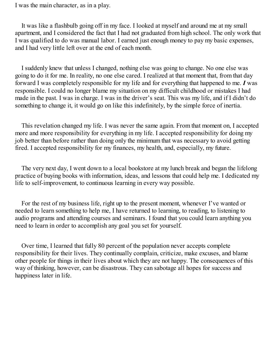I was the main character, as in a play.

It was like a flashbulb going off in my face. I looked at myself and around me at my small apartment, and I considered the fact that I had not graduated from high school. The only work that I was qualified to do was manual labor. I earned just enough money to pay my basic expenses, and I had very little left over at the end of each month.

I suddenly knew that unless I changed, nothing else was going to change. No one else was going to do it for me. In reality, no one else cared. I realized at that moment that, from that day forward I was completely responsible for my life and for everything that happened to me. *I* was responsible. I could no longer blame my situation on my difficult childhood or mistakes I had made in the past. I was in charge. I was in the driver's seat. This was my life, and if I didn't do something to change it, it would go on like this indefinitely, by the simple force of inertia.

This revelation changed my life. I was never the same again. From that moment on, I accepted more and more responsibility for everything in my life. I accepted responsibility for doing my job better than before rather than doing only the minimum that was necessary to avoid getting fired. I accepted responsibility for my finances, my health, and, especially, my future.

The very next day, I went down to a local bookstore at my lunch break and began the lifelong practice of buying books with information, ideas, and lessons that could help me. I dedicated my life to self-improvement, to continuous learning in every way possible.

For the rest of my business life, right up to the present moment, whenever I've wanted or needed to learn something to help me, I have returned to learning, to reading, to listening to audio programs and attending courses and seminars. I found that you could learn anything you need to learn in order to accomplish any goal you set for yourself.

Over time, I learned that fully 80 percent of the population never accepts complete responsibility for their lives. They continually complain, criticize, make excuses, and blame other people for things in their lives about which they are not happy. The consequences of this way of thinking, however, can be disastrous. They can sabotage all hopes for success and happiness later in life.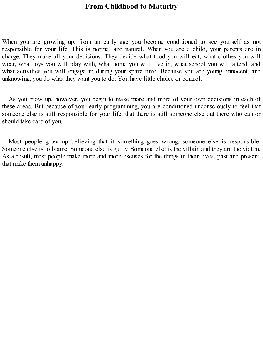### **From Childhood to Maturity**

When you are growing up, from an early age you become conditioned to see yourself as not responsible for your life. This is normal and natural. When you are a child, your parents are in charge. They make all your decisions. They decide what food you will eat, what clothes you will wear, what toys you will play with, what home you will live in, what school you will attend, and what activities you will engage in during your spare time. Because you are young, innocent, and unknowing, you do what they want you to do. You have little choice or control.

As you grow up, however, you begin to make more and more of your own decisions in each of these areas. But because of your early programming, you are conditioned unconsciously to feel that someone else is still responsible for your life, that there is still someone else out there who can or should take care of you.

Most people grow up believing that if something goes wrong, someone else is responsible. Someone else is to blame. Someone else is guilty. Someone else is the villain and they are the victim. As a result, most people make more and more excuses for the things in their lives, past and present, that make them unhappy.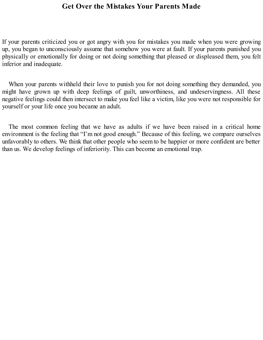#### **Get Over the Mistakes Your Parents Made**

If your parents criticized you or got angry with you for mistakes you made when you were growing up, you began to unconsciously assume that somehow you were at fault. If your parents punished you physically or emotionally for doing or not doing something that pleased or displeased them, you felt inferior and inadequate.

When your parents withheld their love to punish you for not doing something they demanded, you might have grown up with deep feelings of guilt, unworthiness, and undeservingness. All these negative feelings could then intersect to make you feel like a victim, like you were not responsible for yourself or your life once you became an adult.

The most common feeling that we have as adults if we have been raised in a critical home environment is the feeling that "I'm not good enough." Because of this feeling, we compare ourselves unfavorably to others. We think that other people who seem to be happier or more confident are better than us. We develop feelings of inferiority. This can become an emotional trap.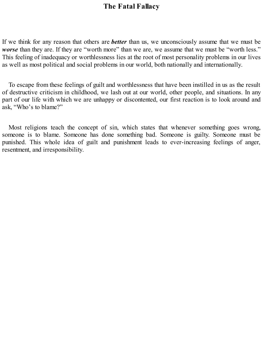#### **The Fatal Fallacy**

If we think for any reason that others are *better* than us, we unconsciously assume that we must be *worse* than they are. If they are "worth more" than we are, we assume that we must be "worth less." This feeling of inadequacy or worthlessness lies at the root of most personality problems in our lives as well as most political and social problems in our world, both nationally and internationally.

To escape from these feelings of guilt and worthlessness that have been instilled in us as the result of destructive criticism in childhood, we lash out at our world, other people, and situations. In any part of our life with which we are unhappy or discontented, our first reaction is to look around and ask, "Who's to blame?"

Most religions teach the concept of sin, which states that whenever something goes wrong, someone is to blame. Someone has done something bad. Someone is guilty. Someone must be punished. This whole idea of guilt and punishment leads to ever-increasing feelings of anger, resentment, and irresponsibility.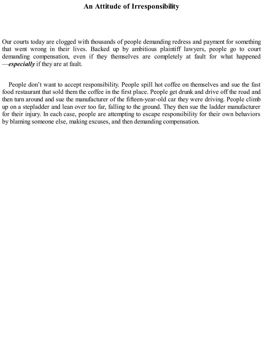# **An Attitude of Irresponsibility**

Our courts today are clogged with thousands of people demanding redress and payment for something that went wrong in their lives. Backed up by ambitious plaintiff lawyers, people go to court demanding compensation, even if they themselves are completely at fault for what happened —*especially* if they are at fault.

People don't want to accept responsibility. People spill hot coffee on themselves and sue the fast food restaurant that sold them the coffee in the first place. People get drunk and drive off the road and then turn around and sue the manufacturer of the fifteen-year-old car they were driving. People climb up on a stepladder and lean over too far, falling to the ground. They then sue the ladder manufacturer for their injury. In each case, people are attempting to escape responsibility for their own behaviors by blaming someone else, making excuses, and then demanding compensation.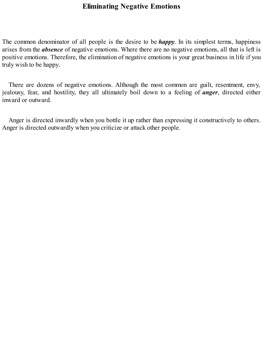# **Eliminating Negative Emotions**

The common denominator of all people is the desire to be *happy*. In its simplest terms, happiness arises from the *absence* of negative emotions. Where there are no negative emotions, all that is left is positive emotions. Therefore, the elimination of negative emotions is your great business in life if you truly wish to be happy.

There are dozens of negative emotions. Although the most common are guilt, resentment, envy, jealousy, fear, and hostility, they all ultimately boil down to a feeling of *anger*, directed either inward or outward.

Anger is directed inwardly when you bottle it up rather than expressing it constructively to others. Anger is directed outwardly when you criticize or attack other people.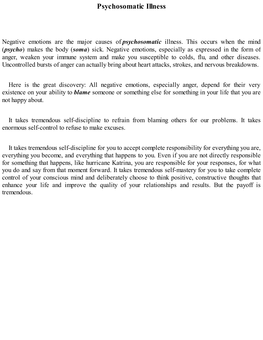#### **Psychosomatic Illness**

Negative emotions are the major causes of *psychosomatic* illness. This occurs when the mind (*psycho*) makes the body (*soma*) sick. Negative emotions, especially as expressed in the form of anger, weaken your immune system and make you susceptible to colds, flu, and other diseases. Uncontrolled bursts of anger can actually bring about heart attacks, strokes, and nervous breakdowns.

Here is the great discovery: All negative emotions, especially anger, depend for their very existence on your ability to *blame* someone or something else for something in your life that you are not happy about.

It takes tremendous self-discipline to refrain from blaming others for our problems. It takes enormous self-control to refuse to make excuses.

It takes tremendous self-discipline for you to accept complete responsibility for everything you are, everything you become, and everything that happens to you. Even if you are not directly responsible for something that happens, like hurricane Katrina, you are responsible for your responses, for what you do and say from that moment forward. It takes tremendous self-mastery for you to take complete control of your conscious mind and deliberately choose to think positive, constructive thoughts that enhance your life and improve the quality of your relationships and results. But the payoff is tremendous.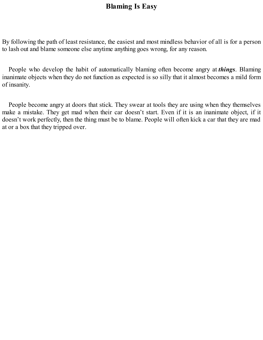# **Blaming Is Easy**

By following the path of least resistance, the easiest and most mindless behavior of all is for a person to lash out and blame someone else anytime anything goes wrong, for any reason.

People who develop the habit of automatically blaming often become angry at *things*. Blaming inanimate objects when they do not function as expected is so silly that it almost becomes a mild form of insanity.

People become angry at doors that stick. They swear at tools they are using when they themselves make a mistake. They get mad when their car doesn't start. Even if it is an inanimate object, if it doesn't work perfectly, then the thing must be to blame. People will often kick a car that they are mad at or a box that they tripped over.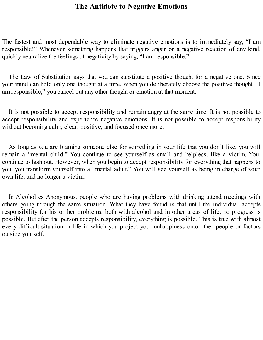#### **The Antidote to Negative Emotions**

The fastest and most dependable way to eliminate negative emotions is to immediately say, "I am responsible!" Whenever something happens that triggers anger or a negative reaction of any kind, quickly neutralize the feelings of negativity by saying, "I am responsible."

The Law of Substitution says that you can substitute a positive thought for a negative one. Since your mind can hold only one thought at a time, when you deliberately choose the positive thought, "I am responsible," you cancel out any other thought or emotion at that moment.

It is not possible to accept responsibility and remain angry at the same time. It is not possible to accept responsibility and experience negative emotions. It is not possible to accept responsibility without becoming calm, clear, positive, and focused once more.

As long as you are blaming someone else for something in your life that you don't like, you will remain a "mental child." You continue to see yourself as small and helpless, like a victim. You continue to lash out. However, when you begin to accept responsibility for everything that happens to you, you transform yourself into a "mental adult." You will see yourself as being in charge of your own life, and no longer a victim.

In Alcoholics Anonymous, people who are having problems with drinking attend meetings with others going through the same situation. What they have found is that until the individual accepts responsibility for his or her problems, both with alcohol and in other areas of life, no progress is possible. But after the person accepts responsibility, everything is possible. This is true with almost every difficult situation in life in which you project your unhappiness onto other people or factors outside yourself.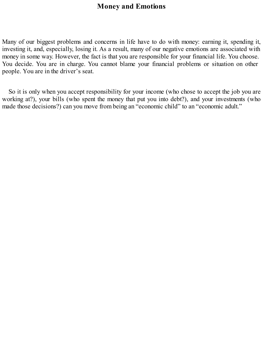# **Money and Emotions**

Many of our biggest problems and concerns in life have to do with money: earning it, spending it, investing it, and, especially, losing it. As a result, many of our negative emotions are associated with money in some way. However, the fact is that you are responsible for your financial life. You choose. You decide. You are in charge. You cannot blame your financial problems or situation on other people. You are in the driver's seat.

So it is only when you accept responsibility for your income (who chose to accept the job you are working at?), your bills (who spent the money that put you into debt?), and your investments (who made those decisions?) can you move from being an "economic child" to an "economic adult."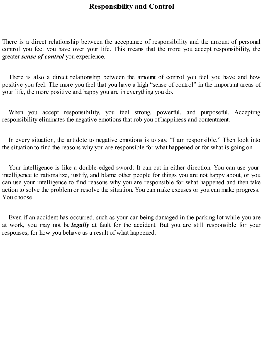# **Responsibility and Control**

There is a direct relationship between the acceptance of responsibility and the amount of personal control you feel you have over your life. This means that the more you accept responsibility, the greater *sense of control* you experience.

There is also a direct relationship between the amount of control you feel you have and how positive you feel. The more you feel that you have a high "sense of control" in the important areas of your life, the more positive and happy you are in everything you do.

When you accept responsibility, you feel strong, powerful, and purposeful. Accepting responsibility eliminates the negative emotions that rob you of happiness and contentment.

In every situation, the antidote to negative emotions is to say, "I am responsible." Then look into the situation to find the reasons why you are responsible for what happened or for what is going on.

Your intelligence is like a double-edged sword: It can cut in either direction. You can use your intelligence to rationalize, justify, and blame other people for things you are not happy about, or you can use your intelligence to find reasons why you are responsible for what happened and then take action to solve the problem or resolve the situation. You can make excuses or you can make progress. You choose.

Even if an accident has occurred, such as your car being damaged in the parking lot while you are at work, you may not be *legally* at fault for the accident. But you are still responsible for your responses, for how you behave as a result of what happened.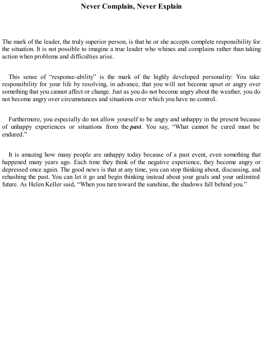#### **Never Complain, Never Explain**

The mark of the leader, the truly superior person, is that he or she accepts complete responsibility for the situation. It is not possible to imagine a true leader who whines and complains rather than taking action when problems and difficulties arise.

This sense of "response-ability" is the mark of the highly developed personality: You take responsibility for your life by resolving, in advance, that you will not become upset or angry over something that you cannot affect or change. Just as you do not become angry about the weather, you do not become angry over circumstances and situations over which you have no control.

Furthermore, you especially do not allow yourself to be angry and unhappy in the present because of unhappy experiences or situations from the *past*. You say, "What cannot be cured must be endured."

It is amazing how many people are unhappy today because of a past event, even something that happened many years ago. Each time they think of the negative experience, they become angry or depressed once again. The good news is that at any time, you can stop thinking about, discussing, and rehashing the past. You can let it go and begin thinking instead about your goals and your unlimited future. As Helen Keller said, "When you turn toward the sunshine, the shadows fall behind you."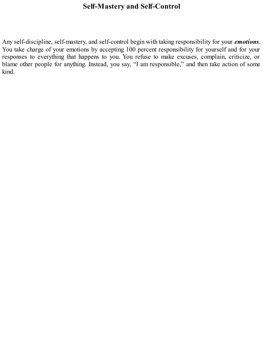# **Self-Mastery and Self-Control**

Any self-discipline, self-mastery, and self-control begin with taking responsibility for your *emotions*. You take charge of your emotions by accepting 100 percent responsibility for yourself and for your responses to everything that happens to you. You refuse to make excuses, complain, criticize, or blame other people for anything. Instead, you say, "I am responsible," and then take action of some kind.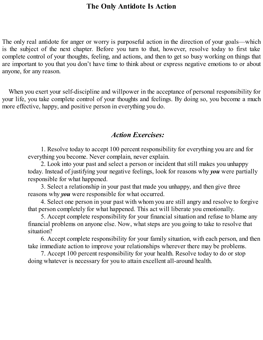#### **The Only Antidote Is Action**

The only real antidote for anger or worry is purposeful action in the direction of your goals—which is the subject of the next chapter. Before you turn to that, however, resolve today to first take complete control of your thoughts, feeling, and actions, and then to get so busy working on things that are important to you that you don't have time to think about or express negative emotions to or about anyone, for any reason.

When you exert your self-discipline and willpower in the acceptance of personal responsibility for your life, you take complete control of your thoughts and feelings. By doing so, you become a much more effective, happy, and positive person in everything you do.

#### *Action Exercises:*

1. Resolve today to accept 100 percent responsibility for everything you are and for everything you become. Never complain, never explain.

2. Look into your past and select a person or incident that still makes you unhappy today. Instead of justifying your negative feelings, look for reasons why *you* were partially responsible for what happened.

3. Select a relationship in your past that made you unhappy, and then give three reasons why *you* were responsible for what occurred.

4. Select one person in your past with whom you are still angry and resolve to forgive that person completely for what happened. This act will liberate you emotionally.

5. Accept complete responsibility for your financial situation and refuse to blame any financial problems on anyone else. Now, what steps are you going to take to resolve that situation?

6. Accept complete responsibility for your family situation, with each person, and then take immediate action to improve your relationships wherever there may be problems.

7. Accept 100 percent responsibility for your health. Resolve today to do or stop doing whatever is necessary for you to attain excellent all-around health.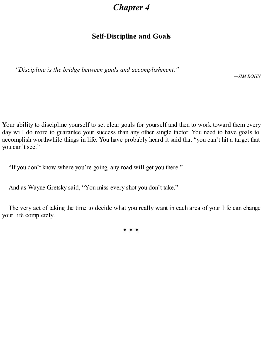# *Chapter 4*

# **Self-Discipline and Goals**

*"Discipline is the bridge between goals and accomplishment."*

*—JIM ROHN*

Your ability to discipline yourself to set clear goals for yourself and then to work toward them every day will do more to guarantee your success than any other single factor. You need to have goals to accomplish worthwhile things in life. You have probably heard it said that "you can't hit a target that you can't see."

"If you don't know where you're going, any road will get you there."

And as Wayne Gretsky said, "You miss every shot you don't take."

The very act of taking the time to decide what you really want in each area of your life can change your life completely.

 $\bullet\hspace{0.4mm}\bullet\hspace{0.4mm}\bullet\hspace{0.4mm}\bullet$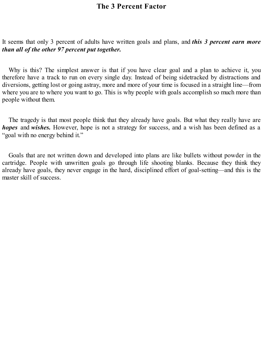#### **The 3 Percent Factor**

It seems that only 3 percent of adults have written goals and plans, and *this 3 percent earn more than all of the other 97 percent put together.*

Why is this? The simplest answer is that if you have clear goal and a plan to achieve it, you therefore have a track to run on every single day. Instead of being sidetracked by distractions and diversions, getting lost or going astray, more and more of your time is focused in a straight line—from where you are to where you want to go. This is why people with goals accomplish so much more than people without them.

The tragedy is that most people think that they already have goals. But what they really have are *hopes* and *wishes.* However, hope is not a strategy for success, and a wish has been defined as a "goal with no energy behind it."

Goals that are not written down and developed into plans are like bullets without powder in the cartridge. People with unwritten goals go through life shooting blanks. Because they think they already have goals, they never engage in the hard, disciplined effort of goal-setting—and this is the master skill of success.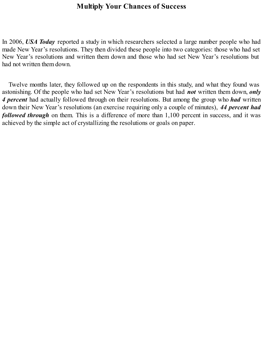### **Multiply Your Chances of Success**

In 2006, *USA Today* reported a study in which researchers selected a large number people who had made New Year's resolutions. They then divided these people into two categories: those who had set New Year's resolutions and written them down and those who had set New Year's resolutions but had not written them down.

Twelve months later, they followed up on the respondents in this study, and what they found was astonishing. Of the people who had set New Year's resolutions but had *not* written them down, *only 4 percent* had actually followed through on their resolutions. But among the group who *had* written down their New Year's resolutions (an exercise requiring only a couple of minutes), *44 percent had followed through* on them. This is a difference of more than 1,100 percent in success, and it was achieved by the simple act of crystallizing the resolutions or goals on paper.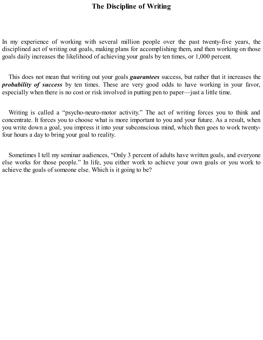#### **The Discipline of Writing**

In my experience of working with several million people over the past twenty-five years, the disciplined act of writing out goals, making plans for accomplishing them, and then working on those goals daily increases the likelihood of achieving your goals by ten times, or 1,000 percent.

This does not mean that writing out your goals *guarantees* success, but rather that it increases the *probability of success* by ten times. These are very good odds to have working in your favor, especially when there is no cost or risk involved in putting pen to paper—just a little time.

Writing is called a "psycho-neuro-motor activity." The act of writing forces you to think and concentrate. It forces you to choose what is more important to you and your future. As a result, when you write down a goal, you impress it into your subconscious mind, which then goes to work twentyfour hours a day to bring your goal to reality.

Sometimes I tell my seminar audiences, "Only 3 percent of adults have written goals, and everyone else works for those people." In life, you either work to achieve your own goals or you work to achieve the goals of someone else. Which is it going to be?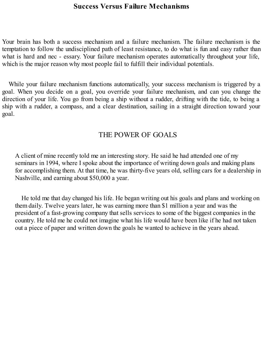#### **Success Versus Failure Mechanisms**

Your brain has both a success mechanism and a failure mechanism. The failure mechanism is the temptation to follow the undisciplined path of least resistance, to do what is fun and easy rather than what is hard and nec - essary. Your failure mechanism operates automatically throughout your life, which is the major reason why most people fail to fulfill their individual potentials.

While your failure mechanism functions automatically, your success mechanism is triggered by a goal. When you decide on a goal, you override your failure mechanism, and can you change the direction of your life. You go from being a ship without a rudder, drifting with the tide, to being a ship with a rudder, a compass, and a clear destination, sailing in a straight direction toward your goal.

#### THE POWER OF GOALS

A client of mine recently told me an interesting story. He said he had attended one of my seminars in 1994, where I spoke about the importance of writing down goals and making plans for accomplishing them. At that time, he was thirty-five years old, selling cars for a dealership in Nashville, and earning about \$50,000 a year.

He told me that day changed his life. He began writing out his goals and plans and working on them daily. Twelve years later, he was earning more than \$1 million a year and was the president of a fast-growing company that sells services to some of the biggest companies in the country. He told me he could not imagine what his life would have been like if he had not taken out a piece of paper and written down the goals he wanted to achieve in the years ahead.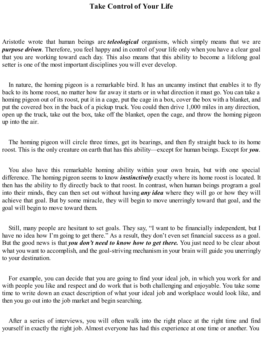#### **Take Control of Your Life**

Aristotle wrote that human beings are *teleological* organisms, which simply means that we are *purpose driven*. Therefore, you feel happy and in control of your life only when you have a clear goal that you are working toward each day. This also means that this ability to become a lifelong goal setter is one of the most important disciplines you will ever develop.

In nature, the homing pigeon is a remarkable bird. It has an uncanny instinct that enables it to fly back to its home roost, no matter how far away it starts or in what direction it must go. You can take a homing pigeon out of its roost, put it in a cage, put the cage in a box, cover the box with a blanket, and put the covered box in the back of a pickup truck. You could then drive 1,000 miles in any direction, open up the truck, take out the box, take off the blanket, open the cage, and throw the homing pigeon up into the air.

The homing pigeon will circle three times, get its bearings, and then fly straight back to its home roost. This is the only creature on earth that has this ability—except for human beings. Except for *you*.

You also have this remarkable homing ability within your own brain, but with one special difference. The homing pigeon seems to know *instinctively* exactly where its home roost is located. It then has the ability to fly directly back to that roost. In contrast, when human beings program a goal into their minds, they can then set out without having *any idea* where they will go or how they will achieve that goal. But by some miracle, they will begin to move unerringly toward that goal, and the goal will begin to move toward them.

Still, many people are hesitant to set goals. They say, "I want to be financially independent, but I have no idea how I'm going to get there." As a result, they don't even set financial success as a goal. But the good news is that *you don't need to know how to get there.* You just need to be clear about what you want to accomplish, and the goal-striving mechanism in your brain will guide you unerringly to your destination.

For example, you can decide that you are going to find your ideal job, in which you work for and with people you like and respect and do work that is both challenging and enjoyable. You take some time to write down an exact description of what your ideal job and workplace would look like, and then you go out into the job market and begin searching.

After a series of interviews, you will often walk into the right place at the right time and find yourself in exactly the right job. Almost everyone has had this experience at one time or another. You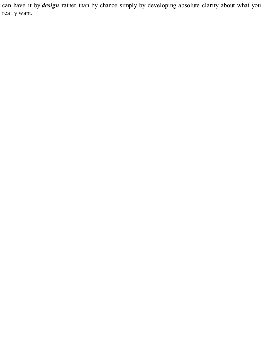can have it by *design* rather than by chance simply by developing absolute clarity about what you really want.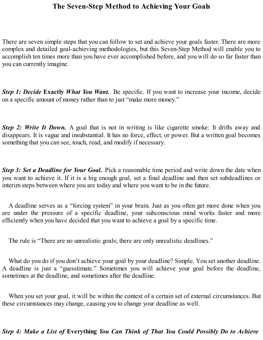# **The Seven-Step Method to Achieving Your Goals**

There are seven simple steps that you can follow to set and achieve your goals faster. There are more complex and detailed goal-achieving methodologies, but this Seven-Step Method will enable you to accomplish ten times more than you have ever accomplished before, and you will do so far faster than you can currently imagine.

*Step 1: Decide* **Exactly** *What You Want.* Be specific. If you want to increase your income, decide on a specific amount of money rather than to just "make more money."

*Step 2: Write It Down.* A goal that is not in writing is like cigarette smoke: It drifts away and disappears. It is vague and insubstantial. It has no force, effect, or power. But a written goal becomes something that you can see, touch, read, and modify if necessary.

*Step 3: Set a Deadline for Your Goal.* Pick a reasonable time period and write down the date when you want to achieve it. If it is a big enough goal, set a final deadline and then set subdeadlines or interim steps between where you are today and where you want to be in the future.

A deadline serves as a "forcing system" in your brain. Just as you often get more done when you are under the pressure of a specific deadline, your subconscious mind works faster and more efficiently when you have decided that you want to achieve a goal by a specific time.

The rule is "There are no unrealistic goals; there are only unrealistic deadlines."

What do you do if you don't achieve your goal by your deadline? Simple. You set another deadline. A deadline is just a "guesstimate." Sometimes you will achieve your goal before the deadline, sometimes at the deadline, and sometimes after the deadline.

When you set your goal, it will be within the context of a certain set of external circumstances. But these circumstances may change, causing you to change your deadline as well.

*Step 4: Make a List of* **Everything** *You Can Think of That You Could Possibly Do to Achieve*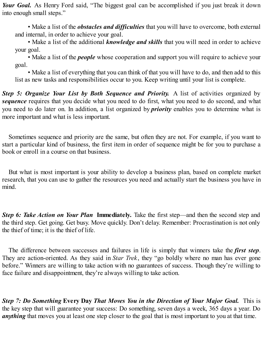*Your Goal.* As Henry Ford said, "The biggest goal can be accomplished if you just break it down into enough small steps."

• Make a list of the *obstacles and difficulties* that you will have to overcome, both external and internal, in order to achieve your goal.

• Make a list of the additional *knowledge and skills* that you will need in order to achieve your goal.

• Make a list of the *people* whose cooperation and support you will require to achieve your goal.

• Make a list of everything that you can think of that you will have to do, and then add to this list as new tasks and responsibilities occur to you. Keep writing until your list is complete.

*Step 5: Organize Your List by Both Sequence and Priority.* A list of activities organized by *sequence* requires that you decide what you need to do first, what you need to do second, and what you need to do later on. In addition, a list organized by *priority* enables you to determine what is more important and what is less important.

Sometimes sequence and priority are the same, but often they are not. For example, if you want to start a particular kind of business, the first item in order of sequence might be for you to purchase a book or enroll in a course on that business.

But what is most important is your ability to develop a business plan, based on complete market research, that you can use to gather the resources you need and actually start the business you have in mind.

*Step 6: Take Action on Your Plan* **Immediately***.* Take the first step—and then the second step and the third step. Get going. Get busy. Move quickly. Don't delay. Remember: Procrastination is not only the thief of time; it is the thief of life.

The difference between successes and failures in life is simply that winners take the *first step*. They are action-oriented. As they said in *Star Trek*, they "go boldly where no man has ever gone before." Winners are willing to take action with no guarantees of success. Though they're willing to face failure and disappointment, they're always willing to take action.

*Step 7: Do Something* **Every Day** *That Moves You in the Direction of Your Major Goal.* This is the key step that will guarantee your success: Do something, seven days a week, 365 days a year. Do *anything* that moves you at least one step closer to the goal that is most important to you at that time.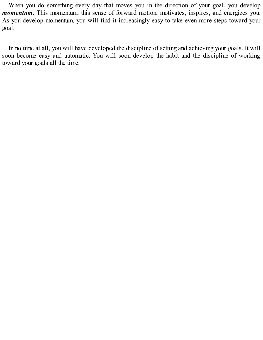When you do something every day that moves you in the direction of your goal, you develop *momentum*. This momentum, this sense of forward motion, motivates, inspires, and energizes you. As you develop momentum, you will find it increasingly easy to take even more steps toward your goal.

In no time at all, you will have developed the discipline of setting and achieving your goals. It will soon become easy and automatic. You will soon develop the habit and the discipline of working toward your goals all the time.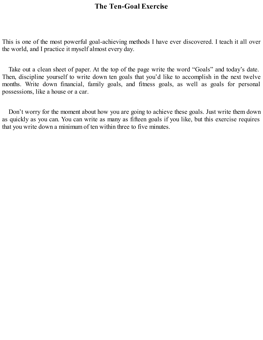# **The Ten-Goal Exercise**

This is one of the most powerful goal-achieving methods I have ever discovered. I teach it all over the world, and I practice it myself almost every day.

Take out a clean sheet of paper. At the top of the page write the word "Goals" and today's date. Then, discipline yourself to write down ten goals that you'd like to accomplish in the next twelve months. Write down financial, family goals, and fitness goals, as well as goals for personal possessions, like a house or a car.

Don't worry for the moment about how you are going to achieve these goals. Just write them down as quickly as you can. You can write as many as fifteen goals if you like, but this exercise requires that you write down a minimum of ten within three to five minutes.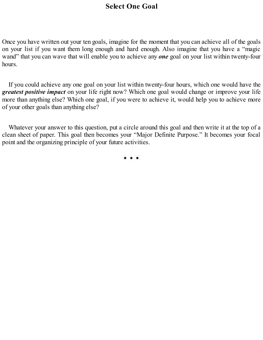# **Select One Goal**

Once you have written out your ten goals, imagine for the moment that you can achieve all of the goals on your list if you want them long enough and hard enough. Also imagine that you have a "magic wand" that you can wave that will enable you to achieve any *one* goal on your list within twenty-four hours.

If you could achieve any one goal on your list within twenty-four hours, which one would have the *greatest positive impact* on your life right now? Which one goal would change or improve your life more than anything else? Which one goal, if you were to achieve it, would help you to achieve more of your other goals than anything else?

Whatever your answer to this question, put a circle around this goal and then write it at the top of a clean sheet of paper. This goal then becomes your "Major Definite Purpose." It becomes your focal point and the organizing principle of your future activities.

 $\bullet\quad \bullet\quad \bullet$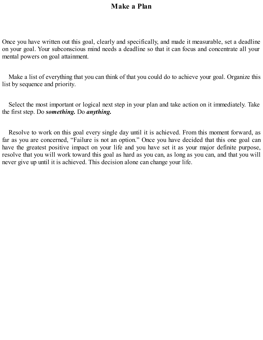# **Make a Plan**

Once you have written out this goal, clearly and specifically, and made it measurable, set a deadline on your goal. Your subconscious mind needs a deadline so that it can focus and concentrate all your mental powers on goal attainment.

Make a list of everything that you can think of that you could do to achieve your goal. Organize this list by sequence and priority.

Select the most important or logical next step in your plan and take action on it immediately. Take the first step. Do *something.* Do *anything.*

Resolve to work on this goal every single day until it is achieved. From this moment forward, as far as you are concerned, "Failure is not an option." Once you have decided that this one goal can have the greatest positive impact on your life and you have set it as your major definite purpose, resolve that you will work toward this goal as hard as you can, as long as you can, and that you will never give up until it is achieved. This decision alone can change your life.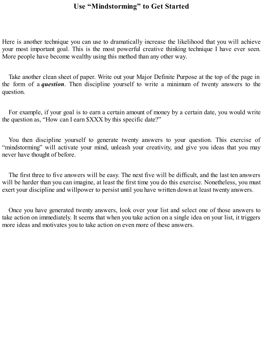## **Use "Mindstorming" to Get Started**

Here is another technique you can use to dramatically increase the likelihood that you will achieve your most important goal. This is the most powerful creative thinking technique I have ever seen. More people have become wealthy using this method than any other way.

Take another clean sheet of paper. Write out your Major Definite Purpose at the top of the page in the form of a *question*. Then discipline yourself to write a minimum of twenty answers to the question.

For example, if your goal is to earn a certain amount of money by a certain date, you would write the question as, "How can I earn \$XXX by this specific date?"

You then discipline yourself to generate twenty answers to your question. This exercise of "mindstorming" will activate your mind, unleash your creativity, and give you ideas that you may never have thought of before.

The first three to five answers will be easy. The next five will be difficult, and the last ten answers will be harder than you can imagine, at least the first time you do this exercise. Nonetheless, you must exert your discipline and willpower to persist until you have written down at least twenty answers.

Once you have generated twenty answers, look over your list and select one of those answers to take action on immediately. It seems that when you take action on a single idea on your list, it triggers more ideas and motivates you to take action on even more of these answers.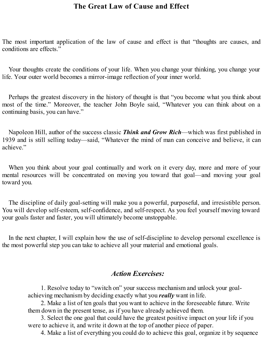#### **The Great Law of Cause and Effect**

The most important application of the law of cause and effect is that "thoughts are causes, and conditions are effects."

Your thoughts create the conditions of your life. When you change your thinking, you change your life. Your outer world becomes a mirror-image reflection of your inner world.

Perhaps the greatest discovery in the history of thought is that "you become what you think about most of the time." Moreover, the teacher John Boyle said, "Whatever you can think about on a continuing basis, you can have."

Napoleon Hill, author of the success classic *Think and Grow Rich*—which was first published in 1939 and is still selling today—said, "Whatever the mind of man can conceive and believe, it can achieve."

When you think about your goal continually and work on it every day, more and more of your mental resources will be concentrated on moving you toward that goal—and moving your goal toward you.

The discipline of daily goal-setting will make you a powerful, purposeful, and irresistible person. You will develop self-esteem, self-confidence, and self-respect. As you feel yourself moving toward your goals faster and faster, you will ultimately become unstoppable.

In the next chapter, I will explain how the use of self-discipline to develop personal excellence is the most powerful step you can take to achieve all your material and emotional goals.

#### *Action Exercises:*

1. Resolve today to "switch on" your success mechanism and unlock your goalachieving mechanism by deciding exactly what you *really* want in life.

2. Make a list of ten goals that you want to achieve in the foreseeable future. Write them down in the present tense, as if you have already achieved them.

3. Select the one goal that could have the greatest positive impact on your life if you were to achieve it, and write it down at the top of another piece of paper.

4. Make a list of everything you could do to achieve this goal, organize it by sequence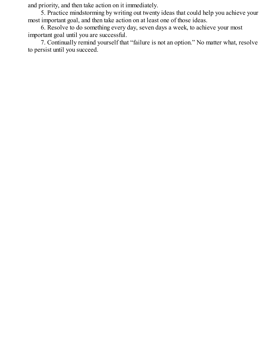and priority, and then take action on it immediately.

5. Practice mindstorming by writing out twenty ideas that could help you achieve your most important goal, and then take action on at least one of those ideas.

6. Resolve to do something every day, seven days a week, to achieve your most important goal until you are successful.

7. Continually remind yourself that "failure is not an option." No matter what, resolve to persist until you succeed.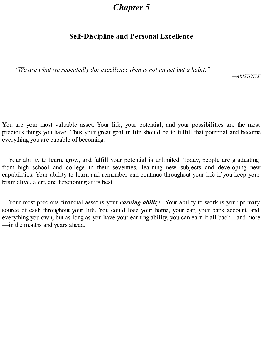# *Chapter 5*

#### **Self-Discipline and Personal Excellence**

*"We are what we repeatedly do; excellence then is not an act but a habit."*

*—ARISTOTLE*

You are your most valuable asset. Your life, your potential, and your possibilities are the most precious things you have. Thus your great goal in life should be to fulfill that potential and become everything you are capable of becoming.

Your ability to learn, grow, and fulfill your potential is unlimited. Today, people are graduating from high school and college in their seventies, learning new subjects and developing new capabilities. Your ability to learn and remember can continue throughout your life if you keep your brain alive, alert, and functioning at its best.

Your most precious financial asset is your *earning ability* . Your ability to work is your primary source of cash throughout your life. You could lose your home, your car, your bank account, and everything you own, but as long as you have your earning ability, you can earn it all back—and more —in the months and years ahead.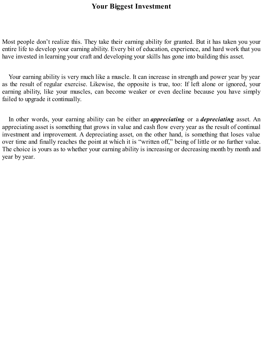# **Your Biggest Investment**

Most people don't realize this. They take their earning ability for granted. But it has taken you your entire life to develop your earning ability. Every bit of education, experience, and hard work that you have invested in learning your craft and developing your skills has gone into building this asset.

Your earning ability is very much like a muscle. It can increase in strength and power year by year as the result of regular exercise. Likewise, the opposite is true, too: If left alone or ignored, your earning ability, like your muscles, can become weaker or even decline because you have simply failed to upgrade it continually.

In other words, your earning ability can be either an *appreciating* or a *depreciating* asset. An appreciating asset is something that grows in value and cash flow every year as the result of continual investment and improvement. A depreciating asset, on the other hand, is something that loses value over time and finally reaches the point at which it is "written off," being of little or no further value. The choice is yours as to whether your earning ability is increasing or decreasing month by month and year by year.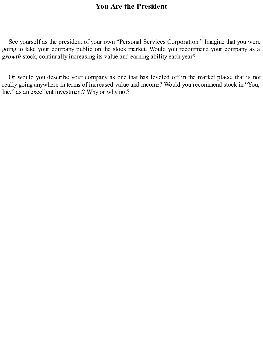# **You Are the President**

See yourself as the president of your own "Personal Services Corporation." Imagine that you were going to take your company public on the stock market. Would you recommend your company as a *growth* stock, continually increasing its value and earning ability each year?

Or would you describe your company as one that has leveled off in the market place, that is not really going anywhere in terms of increased value and income? Would you recommend stock in "You, Inc." as an excellent investment? Why or why not?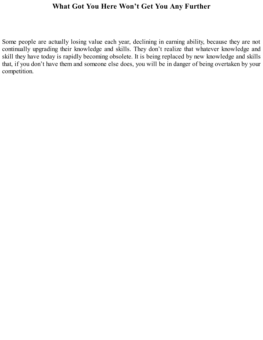# **What Got You Here Won't Get You Any Further**

Some people are actually losing value each year, declining in earning ability, because they are not continually upgrading their knowledge and skills. They don't realize that whatever knowledge and skill they have today is rapidly becoming obsolete. It is being replaced by new knowledge and skills that, if you don't have them and someone else does, you will be in danger of being overtaken by your competition.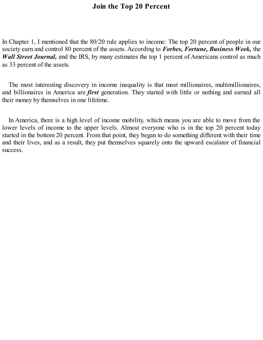#### **Join the Top 20 Percent**

In Chapter 1, I mentioned that the 80/20 rule applies to income: The top 20 percent of people in our society earn and control 80 percent of the assets. According to *Forbes, Fortune, Business Week,* the *Wall Street Journal,* and the IRS, by many estimates the top 1 percent of Americans control as much as 33 percent of the assets.

The most interesting discovery in income inequality is that most millionaires, multimillionaires, and billionaires in America are *first* generation. They started with little or nothing and earned all their money by themselves in one lifetime.

In America, there is a high level of income mobility, which means you are able to move from the lower levels of income to the upper levels. Almost everyone who is in the top 20 percent today started in the bottom 20 percent. From that point, they began to do something different with their time and their lives, and as a result, they put themselves squarely onto the upward escalator of financial success.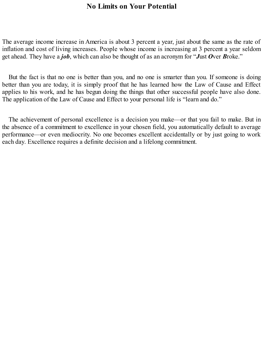#### **No Limits on Your Potential**

The average income increase in America is about 3 percent a year, just about the same as the rate of inflation and cost of living increases. People whose income is increasing at 3 percent a year seldom get ahead. They have a *job*, which can also be thought of as an acronym for "*J*ust *O*ver *B*roke."

But the fact is that no one is better than you, and no one is smarter than you. If someone is doing better than you are today, it is simply proof that he has learned how the Law of Cause and Effect applies to his work, and he has begun doing the things that other successful people have also done. The application of the Law of Cause and Effect to your personal life is "learn and do."

The achievement of personal excellence is a decision you make—or that you fail to make. But in the absence of a commitment to excellence in your chosen field, you automatically default to average performance—or even mediocrity. No one becomes excellent accidentally or by just going to work each day. Excellence requires a definite decision and a lifelong commitment.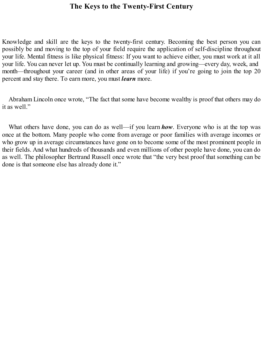## **The Keys to the Twenty-First Century**

Knowledge and skill are the keys to the twenty-first century. Becoming the best person you can possibly be and moving to the top of your field require the application of self-discipline throughout your life. Mental fitness is like physical fitness: If you want to achieve either, you must work at it all your life. You can never let up. You must be continually learning and growing—every day, week, and month—throughout your career (and in other areas of your life) if you're going to join the top 20 percent and stay there. To earn more, you must *learn* more.

Abraham Lincoln once wrote, "The fact that some have become wealthy is proof that others may do it as well."

What others have done, you can do as well—if you learn **how**. Everyone who is at the top was once at the bottom. Many people who come from average or poor families with average incomes or who grow up in average circumstances have gone on to become some of the most prominent people in their fields. And what hundreds of thousands and even millions of other people have done, you can do as well. The philosopher Bertrand Russell once wrote that "the very best proof that something can be done is that someone else has already done it."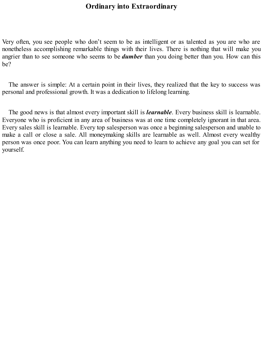# **Ordinary into Extraordinary**

Very often, you see people who don't seem to be as intelligent or as talented as you are who are nonetheless accomplishing remarkable things with their lives. There is nothing that will make you angrier than to see someone who seems to be *dumber* than you doing better than you. How can this be?

The answer is simple: At a certain point in their lives, they realized that the key to success was personal and professional growth. It was a dedication to lifelong learning.

The good news is that almost every important skill is *learnable*. Every business skill is learnable. Everyone who is proficient in any area of business was at one time completely ignorant in that area. Every sales skill is learnable. Every top salesperson was once a beginning salesperson and unable to make a call or close a sale. All moneymaking skills are learnable as well. Almost every wealthy person was once poor. You can learn anything you need to learn to achieve any goal you can set for yourself.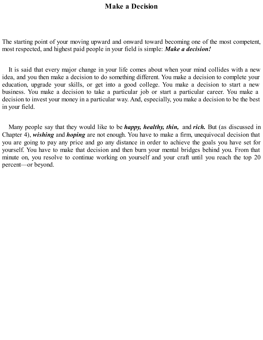## **Make a Decision**

The starting point of your moving upward and onward toward becoming one of the most competent, most respected, and highest paid people in your field is simple: *Make a decision!*

It is said that every major change in your life comes about when your mind collides with a new idea, and you then make a decision to do something different. You make a decision to complete your education, upgrade your skills, or get into a good college. You make a decision to start a new business. You make a decision to take a particular job or start a particular career. You make a decision to invest your money in a particular way. And, especially, you make a decision to be the best in your field.

Many people say that they would like to be *happy, healthy, thin,* and *rich.* But (as discussed in Chapter 4), *wishing* and *hoping* are not enough. You have to make a firm, unequivocal decision that you are going to pay any price and go any distance in order to achieve the goals you have set for yourself. You have to make that decision and then burn your mental bridges behind you. From that minute on, you resolve to continue working on yourself and your craft until you reach the top 20 percent—or beyond.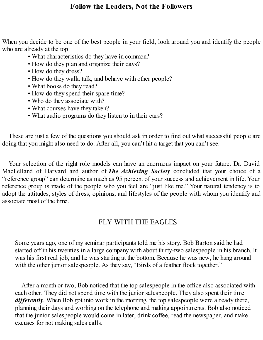#### **Follow the Leaders, Not the Followers**

When you decide to be one of the best people in your field, look around you and identify the people who are already at the top:

- What characteristics do they have in common?
- How do they plan and organize their days?
- How do they dress?
- How do they walk, talk, and behave with other people?
- What books do they read?
- How do they spend their spare time?
- Who do they associate with?
- What courses have they taken?
- What audio programs do they listen to in their cars?

These are just a few of the questions you should ask in order to find out what successful people are doing that you might also need to do. After all, you can't hit a target that you can't see.

Your selection of the right role models can have an enormous impact on your future. Dr. David MacLelland of Harvard and author of *The Achieving Society* concluded that your choice of a "reference group" can determine as much as 95 percent of your success and achievement in life. Your reference group is made of the people who you feel are "just like me." Your natural tendency is to adopt the attitudes, styles of dress, opinions, and lifestyles of the people with whom you identify and associate most of the time.

# FLY WITH THE EAGLES

Some years ago, one of my seminar participants told me his story. Bob Barton said he had started off in his twenties in a large company with about thirty-two salespeople in his branch. It was his first real job, and he was starting at the bottom. Because he was new, he hung around with the other junior salespeople. As they say, "Birds of a feather flock together."

After a month or two, Bob noticed that the top salespeople in the office also associated with each other. They did not spend time with the junior salespeople. They also spent their time *differently*. When Bob got into work in the morning, the top salespeople were already there, planning their days and working on the telephone and making appointments. Bob also noticed that the junior salespeople would come in later, drink coffee, read the newspaper, and make excuses for not making sales calls.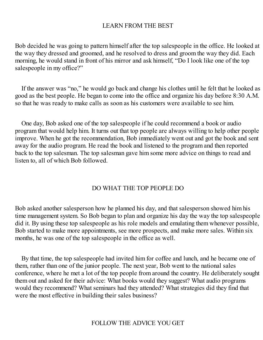#### LEARN FROM THE BEST

Bob decided he was going to pattern himself after the top salespeople in the office. He looked at the way they dressed and groomed, and he resolved to dress and groom the way they did. Each morning, he would stand in front of his mirror and ask himself, "Do I look like one of the top salespeople in my office?"

If the answer was "no," he would go back and change his clothes until he felt that he looked as good as the best people. He began to come into the office and organize his day before 8:30 A.M. so that he was ready to make calls as soon as his customers were available to see him.

One day, Bob asked one of the top salespeople if he could recommend a book or audio program that would help him. It turns out that top people are always willing to help other people improve. When he got the recommendation, Bob immediately went out and got the book and sent away for the audio program. He read the book and listened to the program and then reported back to the top salesman. The top salesman gave him some more advice on things to read and listen to, all of which Bob followed.

#### DO WHAT THE TOP PEOPLE DO

Bob asked another salesperson how he planned his day, and that salesperson showed him his time management system. So Bob began to plan and organize his day the way the top salespeople did it. By using these top salespeople as his role models and emulating them whenever possible, Bob started to make more appointments, see more prospects, and make more sales. Within six months, he was one of the top salespeople in the office as well.

By that time, the top salespeople had invited him for coffee and lunch, and he became one of them, rather than one of the junior people. The next year, Bob went to the national sales conference, where he met a lot of the top people from around the country. He deliberately sought them out and asked for their advice: What books would they suggest? What audio programs would they recommend? What seminars had they attended? What strategies did they find that were the most effective in building their sales business?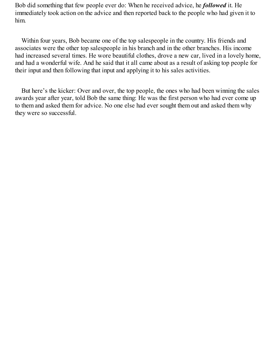Bob did something that few people ever do: When he received advice, he *followed* it. He immediately took action on the advice and then reported back to the people who had given it to him.

Within four years, Bob became one of the top salespeople in the country. His friends and associates were the other top salespeople in his branch and in the other branches. His income had increased several times. He wore beautiful clothes, drove a new car, lived in a lovely home, and had a wonderful wife. And he said that it all came about as a result of asking top people for their input and then following that input and applying it to his sales activities.

But here's the kicker: Over and over, the top people, the ones who had been winning the sales awards year after year, told Bob the same thing: He was the first person who had ever come up to them and asked them for advice. No one else had ever sought them out and asked them why they were so successful.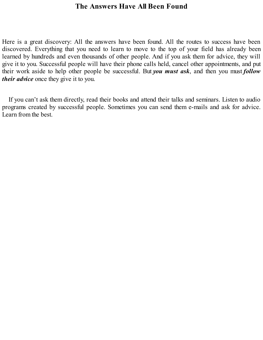#### **The Answers Have All Been Found**

Here is a great discovery: All the answers have been found. All the routes to success have been discovered. Everything that you need to learn to move to the top of your field has already been learned by hundreds and even thousands of other people. And if you ask them for advice, they will give it to you. Successful people will have their phone calls held, cancel other appointments, and put their work aside to help other people be successful. But *you must ask*, and then you must *follow their advice* once they give it to you.

If you can't ask them directly, read their books and attend their talks and seminars. Listen to audio programs created by successful people. Sometimes you can send them e-mails and ask for advice. Learn from the best.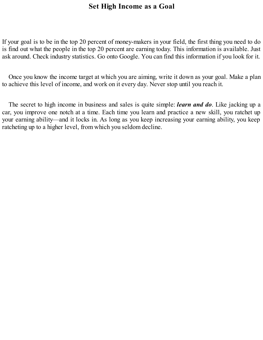## **Set High Income as a Goal**

If your goal is to be in the top 20 percent of money-makers in your field, the first thing you need to do is find out what the people in the top 20 percent are earning today. This information is available. Just ask around. Check industry statistics. Go onto Google. You can find this information if you look for it.

Once you know the income target at which you are aiming, write it down as your goal. Make a plan to achieve this level of income, and work on it every day. Never stop until you reach it.

The secret to high income in business and sales is quite simple: *learn and do*. Like jacking up a car, you improve one notch at a time. Each time you learn and practice a new skill, you ratchet up your earning ability—and it locks in. As long as you keep increasing your earning ability, you keep ratcheting up to a higher level, from which you seldom decline.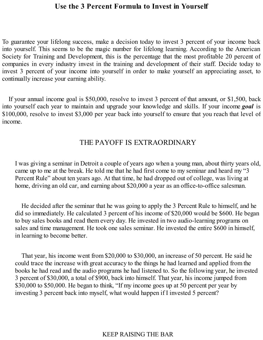#### **Use the 3 Percent Formula to Invest in Yourself**

To guarantee your lifelong success, make a decision today to invest 3 percent of your income back into yourself. This seems to be the magic number for lifelong learning. According to the American Society for Training and Development, this is the percentage that the most profitable 20 percent of companies in every industry invest in the training and development of their staff. Decide today to invest 3 percent of your income into yourself in order to make yourself an appreciating asset, to continually increase your earning ability.

If your annual income goal is \$50,000, resolve to invest 3 percent of that amount, or \$1,500, back into yourself each year to maintain and upgrade your knowledge and skills. If your income *goal* is \$100,000, resolve to invest \$3,000 per year back into yourself to ensure that you reach that level of income.

## THE PAYOFF IS EXTRAORDINARY

I was giving a seminar in Detroit a couple of years ago when a young man, about thirty years old, came up to me at the break. He told me that he had first come to my seminar and heard my "3 Percent Rule" about ten years ago. At that time, he had dropped out of college, was living at home, driving an old car, and earning about \$20,000 a year as an office-to-office salesman.

He decided after the seminar that he was going to apply the 3 Percent Rule to himself, and he did so immediately. He calculated 3 percent of his income of \$20,000 would be \$600. He began to buy sales books and read them every day. He invested in two audio-learning programs on sales and time management. He took one sales seminar. He invested the entire \$600 in himself, in learning to become better.

That year, his income went from \$20,000 to \$30,000, an increase of 50 percent. He said he could trace the increase with great accuracy to the things he had learned and applied from the books he had read and the audio programs he had listened to. So the following year, he invested 3 percent of \$30,000, a total of \$900, back into himself. That year, his income jumped from \$30,000 to \$50,000. He began to think, "If my income goes up at 50 percent per year by investing 3 percent back into myself, what would happen if I invested 5 percent?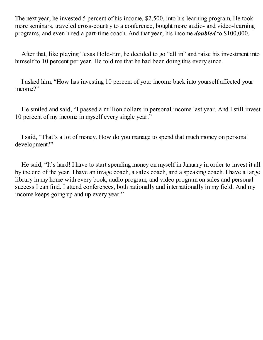The next year, he invested 5 percent of his income, \$2,500, into his learning program. He took more seminars, traveled cross-country to a conference, bought more audio- and video-learning programs, and even hired a part-time coach. And that year, his income *doubled* to \$100,000.

After that, like playing Texas Hold-Em, he decided to go "all in" and raise his investment into himself to 10 percent per year. He told me that he had been doing this every since.

I asked him, "How has investing 10 percent of your income back into yourself affected your income?"

He smiled and said, "I passed a million dollars in personal income last year. And I still invest 10 percent of my income in myself every single year."

I said, "That's a lot of money. How do you manage to spend that much money on personal development?"

He said, "It's hard! I have to start spending money on myself in January in order to invest it all by the end of the year. I have an image coach, a sales coach, and a speaking coach. I have a large library in my home with every book, audio program, and video program on sales and personal success I can find. I attend conferences, both nationally and internationally in my field. And my income keeps going up and up every year."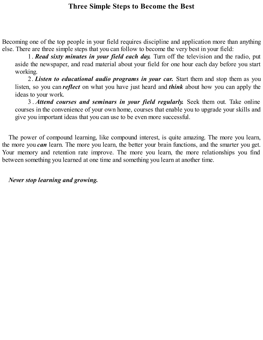## **Three Simple Steps to Become the Best**

Becoming one of the top people in your field requires discipline and application more than anything else. There are three simple steps that you can follow to become the very best in your field:

1. *Read sixty minutes in your field each day.* Turn off the television and the radio, put aside the newspaper, and read material about your field for one hour each day before you start working.

2. *Listen to educational audio programs in your car.* Start them and stop them as you listen, so you can *reflect* on what you have just heard and *think* about how you can apply the ideas to your work.

3 . *Attend courses and seminars in your field regularly.* Seek them out. Take online courses in the convenience of your own home, courses that enable you to upgrade your skills and give you important ideas that you can use to be even more successful.

The power of compound learning, like compound interest, is quite amazing. The more you learn, the more you *can* learn. The more you learn, the better your brain functions, and the smarter you get. Your memory and retention rate improve. The more you learn, the more relationships you find between something you learned at one time and something you learn at another time.

*Never stop learning and growing.*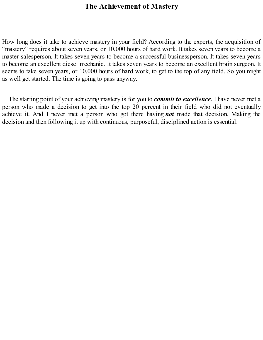## **The Achievement of Mastery**

How long does it take to achieve mastery in your field? According to the experts, the acquisition of "mastery" requires about seven years, or 10,000 hours of hard work. It takes seven years to become a master salesperson. It takes seven years to become a successful businessperson. It takes seven years to become an excellent diesel mechanic. It takes seven years to become an excellent brain surgeon. It seems to take seven years, or 10,000 hours of hard work, to get to the top of any field. So you might as well get started. The time is going to pass anyway.

The starting point of your achieving mastery is for you to *commit to excellence*. I have never met a person who made a decision to get into the top 20 percent in their field who did not eventually achieve it. And I never met a person who got there having *not* made that decision. Making the decision and then following it up with continuous, purposeful, disciplined action is essential.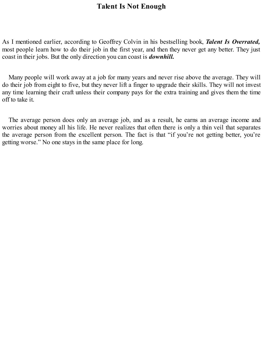# **Talent Is Not Enough**

As I mentioned earlier, according to Geoffrey Colvin in his bestselling book, *Talent Is Overrated,* most people learn how to do their job in the first year, and then they never get any better. They just coast in their jobs. But the only direction you can coast is *downhill.*

Many people will work away at a job for many years and never rise above the average. They will do their job from eight to five, but they never lift a finger to upgrade their skills. They will not invest any time learning their craft unless their company pays for the extra training and gives them the time off to take it.

The average person does only an average job, and as a result, he earns an average income and worries about money all his life. He never realizes that often there is only a thin veil that separates the average person from the excellent person. The fact is that "if you're not getting better, you're getting worse." No one stays in the same place for long.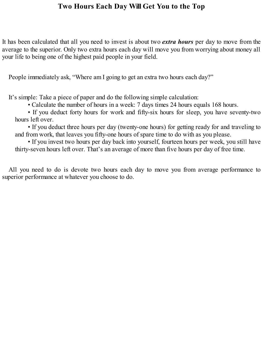# **Two Hours Each Day Will Get You to the Top**

It has been calculated that all you need to invest is about two *extra hours* per day to move from the average to the superior. Only two extra hours each day will move you from worrying about money all your life to being one of the highest paid people in your field.

People immediately ask, "Where am I going to get an extra two hours each day?"

It's simple: Take a piece of paper and do the following simple calculation:

• Calculate the number of hours in a week: 7 days times 24 hours equals 168 hours.

• If you deduct forty hours for work and fifty-six hours for sleep, you have seventy-two hours left over.

• If you deduct three hours per day (twenty-one hours) for getting ready for and traveling to and from work, that leaves you fifty-one hours of spare time to do with as you please.

• If you invest two hours per day back into yourself, fourteen hours per week, you still have thirty-seven hours left over. That's an average of more than five hours per day of free time.

All you need to do is devote two hours each day to move you from average performance to superior performance at whatever you choose to do.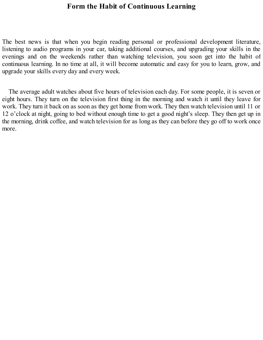# **Form the Habit of Continuous Learning**

The best news is that when you begin reading personal or professional development literature, listening to audio programs in your car, taking additional courses, and upgrading your skills in the evenings and on the weekends rather than watching television, you soon get into the habit of continuous learning. In no time at all, it will become automatic and easy for you to learn, grow, and upgrade your skills every day and every week.

The average adult watches about five hours of television each day. For some people, it is seven or eight hours. They turn on the television first thing in the morning and watch it until they leave for work. They turn it back on as soon as they get home from work. They then watch television until 11 or 12 o'clock at night, going to bed without enough time to get a good night's sleep. They then get up in the morning, drink coffee, and watch television for as long as they can before they go off to work once more.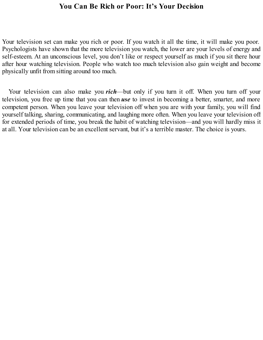#### **You Can Be Rich or Poor: It's Your Decision**

Your television set can make you rich or poor. If you watch it all the time, it will make you poor. Psychologists have shown that the more television you watch, the lower are your levels of energy and self-esteem. At an unconscious level, you don't like or respect yourself as much if you sit there hour after hour watching television. People who watch too much television also gain weight and become physically unfit from sitting around too much.

Your television can also make you *rich*—but only if you turn it off. When you turn off your television, you free up time that you can then *use* to invest in becoming a better, smarter, and more competent person. When you leave your television off when you are with your family, you will find yourself talking, sharing, communicating, and laughing more often. When you leave your television off for extended periods of time, you break the habit of watching television—and you will hardly miss it at all. Your television can be an excellent servant, but it's a terrible master. The choice is yours.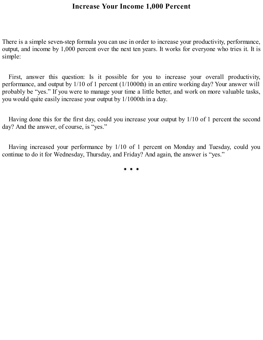#### **Increase Your Income 1,000 Percent**

There is a simple seven-step formula you can use in order to increase your productivity, performance, output, and income by 1,000 percent over the next ten years. It works for everyone who tries it. It is simple:

First, answer this question: Is it possible for you to increase your overall productivity, performance, and output by 1/10 of 1 percent (1/1000th) in an entire working day? Your answer will probably be "yes." If you were to manage your time a little better, and work on more valuable tasks, you would quite easily increase your output by 1/1000th in a day.

Having done this for the first day, could you increase your output by 1/10 of 1 percent the second day? And the answer, of course, is "yes."

Having increased your performance by 1/10 of 1 percent on Monday and Tuesday, could you continue to do it for Wednesday, Thursday, and Friday? And again, the answer is "yes."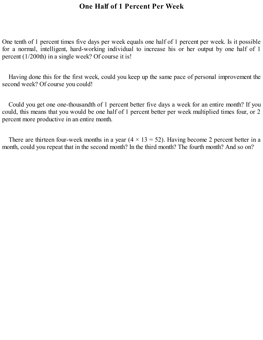# **One Half of 1 Percent Per Week**

One tenth of 1 percent times five days per week equals one half of 1 percent per week. Is it possible for a normal, intelligent, hard-working individual to increase his or her output by one half of 1 percent (1/200th) in a single week? Of course it is!

Having done this for the first week, could you keep up the same pace of personal improvement the second week? Of course you could!

Could you get one one-thousandth of 1 percent better five days a week for an entire month? If you could, this means that you would be one half of 1 percent better per week multiplied times four, or 2 percent more productive in an entire month.

There are thirteen four-week months in a year  $(4 \times 13 = 52)$ . Having become 2 percent better in a month, could you repeat that in the second month? In the third month? The fourth month? And so on?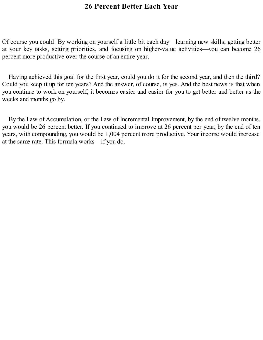#### **26 Percent Better Each Year**

Of course you could! By working on yourself a little bit each day—learning new skills, getting better at your key tasks, setting priorities, and focusing on higher-value activities—you can become 26 percent more productive over the course of an entire year.

Having achieved this goal for the first year, could you do it for the second year, and then the third? Could you keep it up for ten years? And the answer, of course, is yes. And the best news is that when you continue to work on yourself, it becomes easier and easier for you to get better and better as the weeks and months go by.

By the Law of Accumulation, or the Law of Incremental Improvement, by the end of twelve months, you would be 26 percent better. If you continued to improve at 26 percent per year, by the end of ten years, with compounding, you would be 1,004 percent more productive. Your income would increase at the same rate. This formula works—if you do.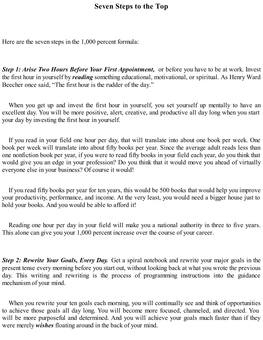## **Seven Steps to the Top**

Here are the seven steps in the 1,000 percent formula:

*Step 1: Arise Two Hours Before Your First Appointment,* or before you have to be at work. Invest the first hour in yourself by *reading* something educational, motivational, or spiritual. As Henry Ward Beecher once said, "The first hour is the rudder of the day."

When you get up and invest the first hour in yourself, you set yourself up mentally to have an excellent day. You will be more positive, alert, creative, and productive all day long when you start your day by investing the first hour in yourself.

If you read in your field one hour per day, that will translate into about one book per week. One book per week will translate into about fifty books per year. Since the average adult reads less than one nonfiction book per year, if you were to read fifty books in your field each year, do you think that would give you an edge in your profession? Do you think that it would move you ahead of virtually everyone else in your business? Of course it would!

If you read fifty books per year for ten years, this would be 500 books that would help you improve your productivity, performance, and income. At the very least, you would need a bigger house just to hold your books. And you would be able to afford it!

Reading one hour per day in your field will make you a national authority in three to five years. This alone can give you your 1,000 percent increase over the course of your career.

*Step 2: Rewrite Your Goals, Every Day.* Get a spiral notebook and rewrite your major goals in the present tense every morning before you start out, without looking back at what you wrote the previous day. This writing and rewriting is the process of programming instructions into the guidance mechanism of your mind.

When you rewrite your ten goals each morning, you will continually see and think of opportunities to achieve those goals all day long. You will become more focused, channeled, and directed. You will be more purposeful and determined. And you will achieve your goals much faster than if they were merely *wishes* floating around in the back of your mind.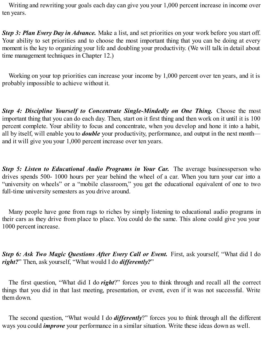Writing and rewriting your goals each day can give you your 1,000 percent increase in income over ten years.

*Step 3: Plan Every Day in Advance.* Make a list, and set priorities on your work before you start off. Your ability to set priorities and to choose the most important thing that you can be doing at every moment is the key to organizing your life and doubling your productivity. (We will talk in detail about time management techniques in Chapter 12.)

Working on your top priorities can increase your income by 1,000 percent over ten years, and it is probably impossible to achieve without it.

*Step 4: Discipline Yourself to Concentrate Single-Mindedly on One Thing.* Choose the most important thing that you can do each day. Then, start on it first thing and then work on it until it is 100 percent complete. Your ability to focus and concentrate, when you develop and hone it into a habit, all by itself, will enable you to *double* your productivity, performance, and output in the next month and it will give you your 1,000 percent increase over ten years.

*Step 5: Listen to Educational Audio Programs in Your Car.* The average businessperson who drives spends 500- 1000 hours per year behind the wheel of a car. When you turn your car into a "university on wheels" or a "mobile classroom," you get the educational equivalent of one to two full-time university semesters as you drive around.

Many people have gone from rags to riches by simply listening to educational audio programs in their cars as they drive from place to place. You could do the same. This alone could give you your 1000 percent increase.

*Step 6: Ask Two Magic Questions After Every Call or Event.* First, ask yourself, "What did I do *right?*" Then, ask yourself, "What would I do *differently?*"

The first question, "What did I do *right*?" forces you to think through and recall all the correct things that you did in that last meeting, presentation, or event, even if it was not successful. Write them down.

The second question, "What would I do *differently*?" forces you to think through all the different ways you could *improve* your performance in a similar situation. Write these ideas down as well.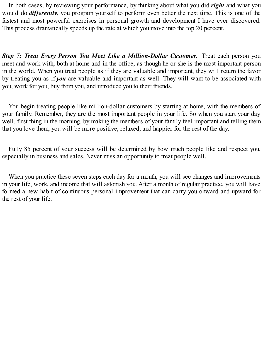In both cases, by reviewing your performance, by thinking about what you did *right* and what you would do *differently*, you program yourself to perform even better the next time. This is one of the fastest and most powerful exercises in personal growth and development I have ever discovered. This process dramatically speeds up the rate at which you move into the top 20 percent.

*Step 7: Treat Every Person You Meet Like a Million-Dollar Customer.* Treat each person you meet and work with, both at home and in the office, as though he or she is the most important person in the world. When you treat people as if they are valuable and important, they will return the favor by treating you as if *you* are valuable and important as well. They will want to be associated with you, work for you, buy from you, and introduce you to their friends.

You begin treating people like million-dollar customers by starting at home, with the members of your family. Remember, they are the most important people in your life. So when you start your day well, first thing in the morning, by making the members of your family feel important and telling them that you love them, you will be more positive, relaxed, and happier for the rest of the day.

Fully 85 percent of your success will be determined by how much people like and respect you, especially in business and sales. Never miss an opportunity to treat people well.

When you practice these seven steps each day for a month, you will see changes and improvements in your life, work, and income that will astonish you. After a month of regular practice, you will have formed a new habit of continuous personal improvement that can carry you onward and upward for the rest of your life.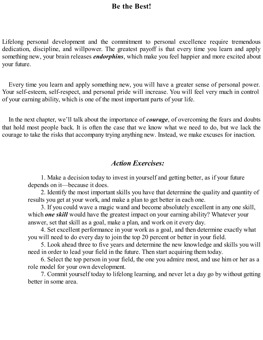#### **Be the Best!**

Lifelong personal development and the commitment to personal excellence require tremendous dedication, discipline, and willpower. The greatest payoff is that every time you learn and apply something new, your brain releases *endorphins*, which make you feel happier and more excited about your future.

Every time you learn and apply something new, you will have a greater sense of personal power. Your self-esteem, self-respect, and personal pride will increase. You will feel very much in control of your earning ability, which is one of the most important parts of your life.

In the next chapter, we'll talk about the importance of *courage*, of overcoming the fears and doubts that hold most people back. It is often the case that we know what we need to do, but we lack the courage to take the risks that accompany trying anything new. Instead, we make excuses for inaction.

#### *Action Exercises:*

1. Make a decision today to invest in yourself and getting better, as if your future depends on it—because it does.

2. Identify the most important skills you have that determine the quality and quantity of results you get at your work, and make a plan to get better in each one.

3. If you could wave a magic wand and become absolutely excellent in any one skill, which *one* skill would have the greatest impact on your earning ability? Whatever your answer, set that skill as a goal, make a plan, and work on it every day.

4. Set excellent performance in your work as a goal, and then determine exactly what you will need to do every day to join the top 20 percent or better in your field.

5. Look ahead three to five years and determine the new knowledge and skills you will need in order to lead your field in the future. Then start acquiring them today.

6. Select the top person in your field, the one you admire most, and use him or her as a role model for your own development.

7. Commit yourself today to lifelong learning, and never let a day go by without getting better in some area.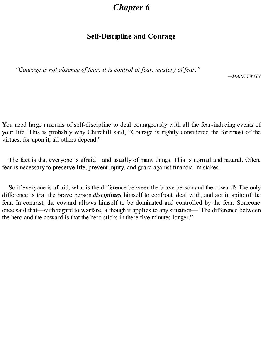# *Chapter 6*

#### **Self-Discipline and Courage**

*"Courage is not absence of fear; it is control of fear, mastery of fear."*

*—MARK TWAIN*

**Y**ou need large amounts of self-discipline to deal courageously with all the fear-inducing events of your life. This is probably why Churchill said, "Courage is rightly considered the foremost of the virtues, for upon it, all others depend."

The fact is that everyone is afraid—and usually of many things. This is normal and natural. Often, fear is necessary to preserve life, prevent injury, and guard against financial mistakes.

So if everyone is afraid, what is the difference between the brave person and the coward? The only difference is that the brave person *disciplines* himself to confront, deal with, and act in spite of the fear. In contrast, the coward allows himself to be dominated and controlled by the fear. Someone once said that—with regard to warfare, although it applies to any situation—"The difference between the hero and the coward is that the hero sticks in there five minutes longer."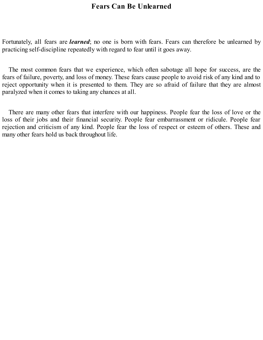#### **Fears Can Be Unlearned**

Fortunately, all fears are *learned*; no one is born with fears. Fears can therefore be unlearned by practicing self-discipline repeatedly with regard to fear until it goes away.

The most common fears that we experience, which often sabotage all hope for success, are the fears of failure, poverty, and loss of money. These fears cause people to avoid risk of any kind and to reject opportunity when it is presented to them. They are so afraid of failure that they are almost paralyzed when it comes to taking any chances at all.

There are many other fears that interfere with our happiness. People fear the loss of love or the loss of their jobs and their financial security. People fear embarrassment or ridicule. People fear rejection and criticism of any kind. People fear the loss of respect or esteem of others. These and many other fears hold us back throughout life.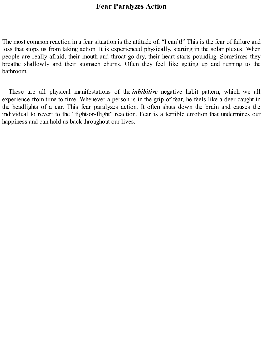## **Fear Paralyzes Action**

The most common reaction in a fear situation is the attitude of, "I can't!" This is the fear of failure and loss that stops us from taking action. It is experienced physically, starting in the solar plexus. When people are really afraid, their mouth and throat go dry, their heart starts pounding. Sometimes they breathe shallowly and their stomach churns. Often they feel like getting up and running to the bathroom.

These are all physical manifestations of the *inhibitive* negative habit pattern, which we all experience from time to time. Whenever a person is in the grip of fear, he feels like a deer caught in the headlights of a car. This fear paralyzes action. It often shuts down the brain and causes the individual to revert to the "fight-or-flight" reaction. Fear is a terrible emotion that undermines our happiness and can hold us back throughout our lives.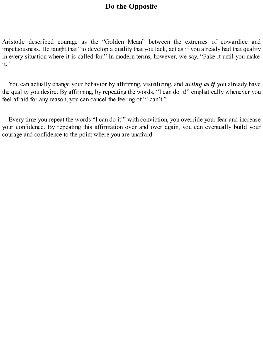## **Do the Opposite**

Aristotle described courage as the "Golden Mean" between the extremes of cowardice and impetuousness. He taught that "to develop a quality that you lack, act as if you already had that quality in every situation where it is called for." In modern terms, however, we say, "Fake it until you make it."

You can actually change your behavior by affirming, visualizing, and *acting as if* you already have the quality you desire. By affirming, by repeating the words, "I can do it!" emphatically whenever you feel afraid for any reason, you can cancel the feeling of "I can't."

Every time you repeat the words "I can do it!" with conviction, you override your fear and increase your confidence. By repeating this affirmation over and over again, you can eventually build your courage and confidence to the point where you are unafraid.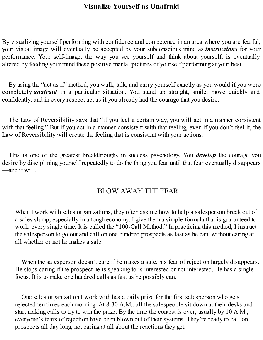## **Visualize Yourself as Unafraid**

By visualizing yourself performing with confidence and competence in an area where you are fearful, your visual image will eventually be accepted by your subconscious mind as *instructions* for your performance. Your self-image, the way you see yourself and think about yourself, is eventually altered by feeding your mind these positive mental pictures of yourself performing at your best.

By using the "act as if" method, you walk, talk, and carry yourself exactly as you would if you were completely *unafraid* in a particular situation. You stand up straight, smile, move quickly and confidently, and in every respect act as if you already had the courage that you desire.

The Law of Reversibility says that "if you feel a certain way, you will act in a manner consistent with that feeling." But if you act in a manner consistent with that feeling, even if you don't feel it, the Law of Reversibility will create the feeling that is consistent with your actions.

This is one of the greatest breakthroughs in success psychology. You *develop* the courage you desire by disciplining yourself repeatedly to do the thing you fear until that fear eventually disappears —and it will.

#### BLOW AWAY THE FEAR

When I work with sales organizations, they often ask me how to help a salesperson break out of a sales slump, especially in a tough economy. I give them a simple formula that is guaranteed to work, every single time. It is called the "100-Call Method." In practicing this method, I instruct the salesperson to go out and call on one hundred prospects as fast as he can, without caring at all whether or not he makes a sale.

When the salesperson doesn't care if he makes a sale, his fear of rejection largely disappears. He stops caring if the prospect he is speaking to is interested or not interested. He has a single focus. It is to make one hundred calls as fast as he possibly can.

One sales organization I work with has a daily prize for the first salesperson who gets rejected ten times each morning. At 8:30 A.M., all the salespeople sit down at their desks and start making calls to try to win the prize. By the time the contest is over, usually by 10 A.M., everyone's fears of rejection have been blown out of their systems. They're ready to call on prospects all day long, not caring at all about the reactions they get.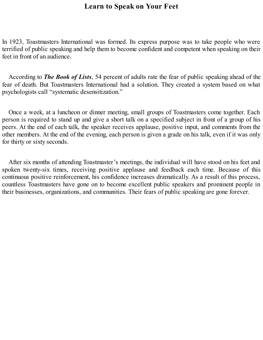#### **Learn to Speak on Your Feet**

In 1923, Toastmasters International was formed. Its express purpose was to take people who were terrified of public speaking and help them to become confident and competent when speaking on their feet in front of an audience.

According to *The Book of Lists*, 54 percent of adults rate the fear of public speaking ahead of the fear of death. But Toastmasters International had a solution. They created a system based on what psychologists call "systematic desensitization."

Once a week, at a luncheon or dinner meeting, small groups of Toastmasters come together. Each person is required to stand up and give a short talk on a specified subject in front of a group of his peers. At the end of each talk, the speaker receives applause, positive input, and comments from the other members. At the end of the evening, each person is given a grade on his talk, even if it was only for thirty or sixty seconds.

After six months of attending Toastmaster's meetings, the individual will have stood on his feet and spoken twenty-six times, receiving positive applause and feedback each time. Because of this continuous positive reinforcement, his confidence increases dramatically. As a result of this process, countless Toastmasters have gone on to become excellent public speakers and prominent people in their businesses, organizations, and communities. Their fears of public speaking are gone forever.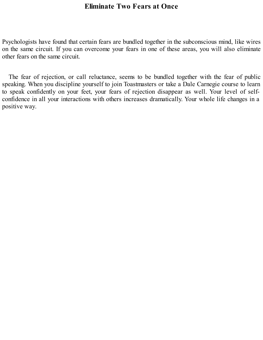## **Eliminate Two Fears at Once**

Psychologists have found that certain fears are bundled together in the subconscious mind, like wires on the same circuit. If you can overcome your fears in one of these areas, you will also eliminate other fears on the same circuit.

The fear of rejection, or call reluctance, seems to be bundled together with the fear of public speaking. When you discipline yourself to join Toastmasters or take a Dale Carnegie course to learn to speak confidently on your feet, your fears of rejection disappear as well. Your level of selfconfidence in all your interactions with others increases dramatically. Your whole life changes in a positive way.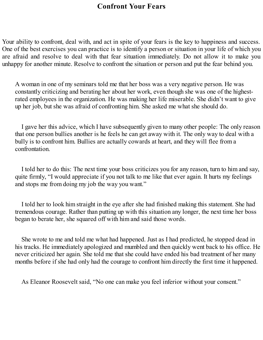## **Confront Your Fears**

Your ability to confront, deal with, and act in spite of your fears is the key to happiness and success. One of the best exercises you can practice is to identify a person or situation in your life of which you are afraid and resolve to deal with that fear situation immediately. Do not allow it to make you unhappy for another minute. Resolve to confront the situation or person and put the fear behind you.

A woman in one of my seminars told me that her boss was a very negative person. He was constantly criticizing and berating her about her work, even though she was one of the highestrated employees in the organization. He was making her life miserable. She didn't want to give up her job, but she was afraid of confronting him. She asked me what she should do.

I gave her this advice, which I have subsequently given to many other people: The only reason that one person bullies another is he feels he can get away with it. The only way to deal with a bully is to confront him. Bullies are actually cowards at heart, and they will flee from a confrontation.

I told her to do this: The next time your boss criticizes you for any reason, turn to him and say, quite firmly, "I would appreciate if you not talk to me like that ever again. It hurts my feelings and stops me from doing my job the way you want."

I told her to look him straight in the eye after she had finished making this statement. She had tremendous courage. Rather than putting up with this situation any longer, the next time her boss began to berate her, she squared off with him and said those words.

She wrote to me and told me what had happened. Just as I had predicted, he stopped dead in his tracks. He immediately apologized and mumbled and then quickly went back to his office. He never criticized her again. She told me that she could have ended his bad treatment of her many months before if she had only had the courage to confront him directly the first time it happened.

As Eleanor Roosevelt said, "No one can make you feel inferior without your consent."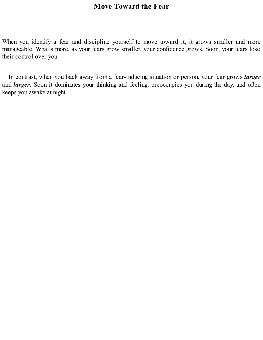## **Move Toward the Fear**

When you identify a fear and discipline yourself to move toward it, it grows smaller and more manageable. What's more, as your fears grow smaller, your confidence grows. Soon, your fears lose their control over you.

In contrast, when you back away from a fear-inducing situation or person, your fear grows *larger* and *larger*. Soon it dominates your thinking and feeling, preoccupies you during the day, and often keeps you awake at night.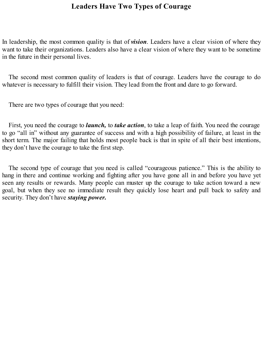## **Leaders Have Two Types of Courage**

In leadership, the most common quality is that of *vision*. Leaders have a clear vision of where they want to take their organizations. Leaders also have a clear vision of where they want to be sometime in the future in their personal lives.

The second most common quality of leaders is that of courage. Leaders have the courage to do whatever is necessary to fulfill their vision. They lead from the front and dare to go forward.

There are two types of courage that you need:

First, you need the courage to *launch,* to *take action*, to take a leap of faith. You need the courage to go "all in" without any guarantee of success and with a high possibility of failure, at least in the short term. The major failing that holds most people back is that in spite of all their best intentions, they don't have the courage to take the first step.

The second type of courage that you need is called "courageous patience." This is the ability to hang in there and continue working and fighting after you have gone all in and before you have yet seen any results or rewards. Many people can muster up the courage to take action toward a new goal, but when they see no immediate result they quickly lose heart and pull back to safety and security. They don't have *staying power.*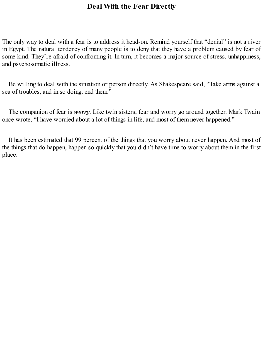## **Deal With the Fear Directly**

The only way to deal with a fear is to address it head-on. Remind yourself that "denial" is not a river in Egypt. The natural tendency of many people is to deny that they have a problem caused by fear of some kind. They're afraid of confronting it. In turn, it becomes a major source of stress, unhappiness, and psychosomatic illness.

Be willing to deal with the situation or person directly. As Shakespeare said, "Take arms against a sea of troubles, and in so doing, end them."

The companion of fear is *worry*. Like twin sisters, fear and worry go around together. Mark Twain once wrote, "I have worried about a lot of things in life, and most of them never happened."

It has been estimated that 99 percent of the things that you worry about never happen. And most of the things that do happen, happen so quickly that you didn't have time to worry about them in the first place.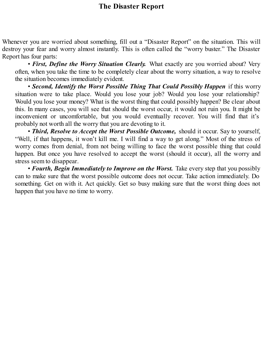## **The Disaster Report**

Whenever you are worried about something, fill out a "Disaster Report" on the situation. This will destroy your fear and worry almost instantly. This is often called the "worry buster." The Disaster Report has four parts:

• *First, Define the Worry Situation Clearly.* What exactly are you worried about? Very often, when you take the time to be completely clear about the worry situation, a way to resolve the situation becomes immediately evident.

• *Second, Identify the Worst Possible Thing That Could Possibly Happen* if this worry situation were to take place. Would you lose your job? Would you lose your relationship? Would you lose your money? What is the worst thing that could possibly happen? Be clear about this. In many cases, you will see that should the worst occur, it would not ruin you. It might be inconvenient or uncomfortable, but you would eventually recover. You will find that it's probably not worth all the worry that you are devoting to it.

• *Third, Resolve to Accept the Worst Possible Outcome,* should it occur. Say to yourself, "Well, if that happens, it won't kill me. I will find a way to get along." Most of the stress of worry comes from denial, from not being willing to face the worst possible thing that could happen. But once you have resolved to accept the worst (should it occur), all the worry and stress seem to disappear.

• *Fourth, Begin Immediately to Improve on the Worst.* Take every step that you possibly can to make sure that the worst possible outcome does not occur. Take action immediately. Do something. Get on with it. Act quickly. Get so busy making sure that the worst thing does not happen that you have no time to worry.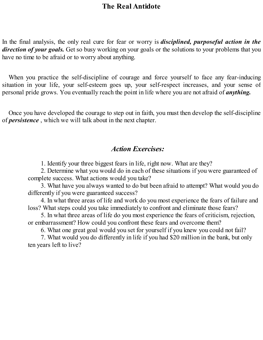## **The Real Antidote**

In the final analysis, the only real cure for fear or worry is *disciplined, purposeful action in the direction of your goals.* Get so busy working on your goals or the solutions to your problems that you have no time to be afraid or to worry about anything.

When you practice the self-discipline of courage and force yourself to face any fear-inducing situation in your life, your self-esteem goes up, your self-respect increases, and your sense of personal pride grows. You eventually reach the point in life where you are not afraid of *anything.*

Once you have developed the courage to step out in faith, you must then develop the self-discipline of *persistence* , which we will talk about in the next chapter.

### *Action Exercises:*

1. Identify your three biggest fears in life, right now. What are they?

2. Determine what you would do in each of these situations if you were guaranteed of complete success. What actions would you take?

3. What have you always wanted to do but been afraid to attempt? What would you do differently if you were guaranteed success?

4. In what three areas of life and work do you most experience the fears of failure and loss? What steps could you take immediately to confront and eliminate those fears?

5. In what three areas of life do you most experience the fears of criticism, rejection, or embarrassment? How could you confront these fears and overcome them?

6. What one great goal would you set for yourself if you knew you could not fail?

7. What would you do differently in life if you had \$20 million in the bank, but only ten years left to live?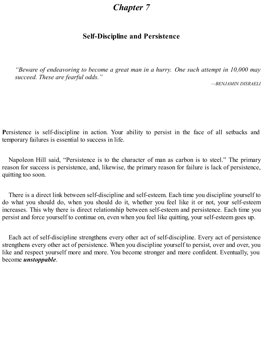# *Chapter 7*

#### **Self-Discipline and Persistence**

*"Beware of endeavoring to become a great man in a hurry. One such attempt in 10,000 may succeed. These are fearful odds."*

*—BENJAMIN DISRAELI*

**P**ersistence is self-discipline in action. Your ability to persist in the face of all setbacks and temporary failures is essential to success in life.

Napoleon Hill said, "Persistence is to the character of man as carbon is to steel." The primary reason for success is persistence, and, likewise, the primary reason for failure is lack of persistence, quitting too soon.

There is a direct link between self-discipline and self-esteem. Each time you discipline yourself to do what you should do, when you should do it, whether you feel like it or not, your self-esteem increases. This why there is direct relationship between self-esteem and persistence. Each time you persist and force yourself to continue on, even when you feel like quitting, your self-esteem goes up.

Each act of self-discipline strengthens every other act of self-discipline. Every act of persistence strengthens every other act of persistence. When you discipline yourself to persist, over and over, you like and respect yourself more and more. You become stronger and more confident. Eventually, you become *unstoppable*.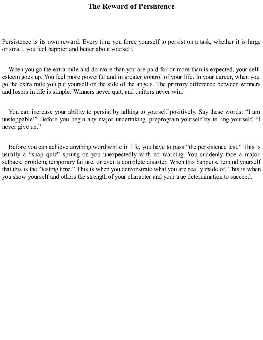### **The Reward of Persistence**

Persistence is its own reward. Every time you force yourself to persist on a task, whether it is large or small, you feel happier and better about yourself.

When you go the extra mile and do more than you are paid for or more than is expected, your selfesteem goes up. You feel more powerful and in greater control of your life. In your career, when you go the extra mile you put yourself on the side of the angels. The primary difference between winners and losers in life is simple: Winners never quit, and quitters never win.

You can increase your ability to persist by talking to yourself positively. Say these words: "I am unstoppable!" Before you begin any major undertaking, preprogram yourself by telling yourself, "I never give up."

Before you can achieve anything worthwhile in life, you have to pass "the persistence test." This is usually a "snap quiz" sprung on you unexpectedly with no warning. You suddenly face a major setback, problem, temporary failure, or even a complete disaster. When this happens, remind yourself that this is the "testing time." This is when you demonstrate what you are really made of. This is when you show yourself and others the strength of your character and your true determination to succeed.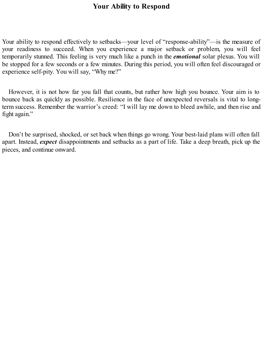### **Your Ability to Respond**

Your ability to respond effectively to setbacks—your level of "response-ability"—is the measure of your readiness to succeed. When you experience a major setback or problem, you will feel temporarily stunned. This feeling is very much like a punch in the *emotional* solar plexus. You will be stopped for a few seconds or a few minutes. During this period, you will often feel discouraged or experience self-pity. You will say, "Why me?"

However, it is not how far you fall that counts, but rather how high you bounce. Your aim is to bounce back as quickly as possible. Resilience in the face of unexpected reversals is vital to longterm success. Remember the warrior's creed: "I will lay me down to bleed awhile, and then rise and fight again."

Don't be surprised, shocked, or set back when things go wrong. Your best-laid plans will often fall apart. Instead, *expect* disappointments and setbacks as a part of life. Take a deep breath, pick up the pieces, and continue onward.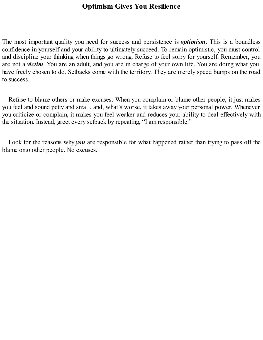## **Optimism Gives You Resilience**

The most important quality you need for success and persistence is *optimism*. This is a boundless confidence in yourself and your ability to ultimately succeed. To remain optimistic, you must control and discipline your thinking when things go wrong. Refuse to feel sorry for yourself. Remember, you are not a *victim*. You are an adult, and you are in charge of your own life. You are doing what you have freely chosen to do. Setbacks come with the territory. They are merely speed bumps on the road to success.

Refuse to blame others or make excuses. When you complain or blame other people, it just makes you feel and sound petty and small, and, what's worse, it takes away your personal power. Whenever you criticize or complain, it makes you feel weaker and reduces your ability to deal effectively with the situation. Instead, greet every setback by repeating, "I am responsible."

Look for the reasons why *you* are responsible for what happened rather than trying to pass off the blame onto other people. No excuses.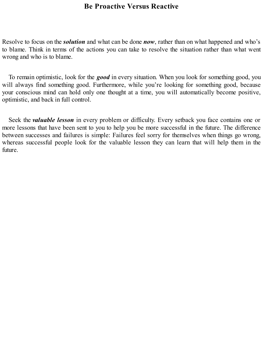## **Be Proactive Versus Reactive**

Resolve to focus on the *solution* and what can be done *now*, rather than on what happened and who's to blame. Think in terms of the actions you can take to resolve the situation rather than what went wrong and who is to blame.

To remain optimistic, look for the *good* in every situation. When you look for something good, you will always find something good. Furthermore, while you're looking for something good, because your conscious mind can hold only one thought at a time, you will automatically become positive, optimistic, and back in full control.

Seek the *valuable lesson* in every problem or difficulty. Every setback you face contains one or more lessons that have been sent to you to help you be more successful in the future. The difference between successes and failures is simple: Failures feel sorry for themselves when things go wrong, whereas successful people look for the valuable lesson they can learn that will help them in the future.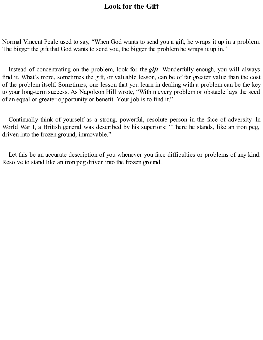## **Look for the Gift**

Normal Vincent Peale used to say, "When God wants to send you a gift, he wraps it up in a problem. The bigger the gift that God wants to send you, the bigger the problem he wraps it up in."

Instead of concentrating on the problem, look for the *gift*. Wonderfully enough, you will always find it. What's more, sometimes the gift, or valuable lesson, can be of far greater value than the cost of the problem itself. Sometimes, one lesson that you learn in dealing with a problem can be the key to your long-term success. As Napoleon Hill wrote, "Within every problem or obstacle lays the seed of an equal or greater opportunity or benefit. Your job is to find it."

Continually think of yourself as a strong, powerful, resolute person in the face of adversity. In World War I, a British general was described by his superiors: "There he stands, like an iron peg, driven into the frozen ground, immovable."

Let this be an accurate description of you whenever you face difficulties or problems of any kind. Resolve to stand like an iron peg driven into the frozen ground.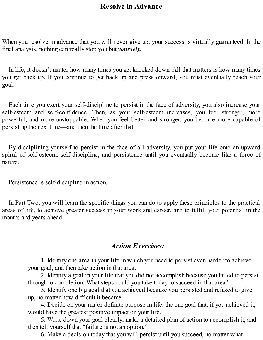#### **Resolve in Advance**

When you resolve in advance that you will never give up, your success is virtually guaranteed. In the final analysis, nothing can really stop you but *yourself.*

In life, it doesn't matter how many times you get knocked down. All that matters is how many times you get back up. If you continue to get back up and press onward, you must eventually reach your goal.

Each time you exert your self-discipline to persist in the face of adversity, you also increase your self-esteem and self-confidence. Then, as your self-esteem increases, you feel stronger, more powerful, and more unstoppable. When you feel better and stronger, you become more capable of persisting the next time—and then the time after that.

By disciplining yourself to persist in the face of all adversity, you put your life onto an upward spiral of self-esteem, self-discipline, and persistence until you eventually become like a force of nature.

Persistence is self-discipline in action.

In Part Two, you will learn the specific things you can do to apply these principles to the practical areas of life, to achieve greater success in your work and career, and to fulfill your potential in the months and years ahead.

#### *Action Exercises:*

1. Identify one area in your life in which you need to persist even harder to achieve your goal, and then take action in that area.

2. Identify a goal in your life that you did not accomplish because you failed to persist through to completion. What steps could you take today to succeed in that area?

3. Identify one big goal that you achieved because you persisted and refused to give up, no matter how difficult it became.

4. Decide on your major definite purpose in life, the one goal that, if you achieved it, would have the greatest positive impact on your life.

5. Write down your goal clearly, make a detailed plan of action to accomplish it, and then tell yourself that "failure is not an option."

6. Make a decision today that you will persist until you succeed, no matter what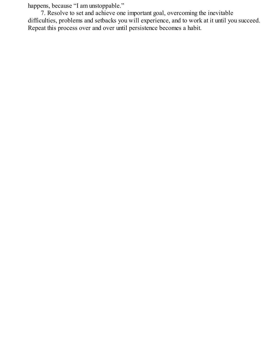happens, because "I am unstoppable."

7. Resolve to set and achieve one important goal, overcoming the inevitable difficulties, problems and setbacks you will experience, and to work at it until you succeed. Repeat this process over and over until persistence becomes a habit.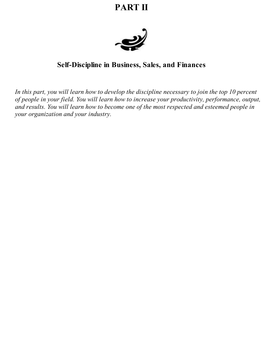# **PART II**



## **Self-Discipline in Business, Sales, and Finances**

*In this part, you will learn how to develop the discipline necessary to join the top 10 percent of people in your field. You will learn how to increase your productivity, performance, output, and results. You will learn how to become one of the most respected and esteemed people in your organization and your industry.*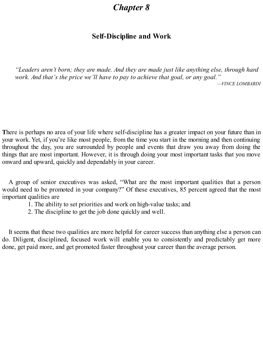# *Chapter 8*

#### **Self-Discipline and Work**

*"Leaders aren't born; they are made. And they are made just like anything else, through hard work. And that's the price we'll have to pay to achieve that goal, or any goal." —VINCE LOMBARDI*

**T**here is perhaps no area of your life where self-discipline has a greater impact on your future than in your work. Yet, if you're like most people, from the time you start in the morning and then continuing throughout the day, you are surrounded by people and events that draw you away from doing the things that are most important. However, it is through doing your most important tasks that you move onward and upward, quickly and dependably in your career.

A group of senior executives was asked, "What are the most important qualities that a person would need to be promoted in your company?" Of these executives, 85 percent agreed that the most important qualities are

- 1. The ability to set priorities and work on high-value tasks; and
- 2. The discipline to get the job done quickly and well.

It seems that these two qualities are more helpful for career success than anything else a person can do. Diligent, disciplined, focused work will enable you to consistently and predictably get more done, get paid more, and get promoted faster throughout your career than the average person.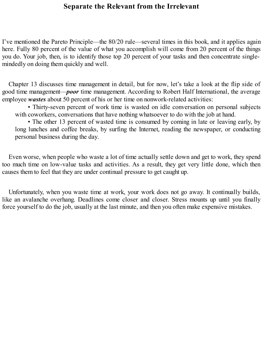#### **Separate the Relevant from the Irrelevant**

I've mentioned the Pareto Principle—the 80/20 rule—several times in this book, and it applies again here. Fully 80 percent of the value of what you accomplish will come from 20 percent of the things you do. Your job, then, is to identify those top 20 percent of your tasks and then concentrate singlemindedly on doing them quickly and well.

Chapter 13 discusses time management in detail, but for now, let's take a look at the flip side of good time management—*poor* time management. According to Robert Half International, the average employee *wastes* about 50 percent of his or her time on nonwork-related activities:

• Thirty-seven percent of work time is wasted on idle conversation on personal subjects with coworkers, conversations that have nothing whatsoever to do with the job at hand.

• The other 13 percent of wasted time is consumed by coming in late or leaving early, by long lunches and coffee breaks, by surfing the Internet, reading the newspaper, or conducting personal business during the day.

Even worse, when people who waste a lot of time actually settle down and get to work, they spend too much time on low-value tasks and activities. As a result, they get very little done, which then causes them to feel that they are under continual pressure to get caught up.

Unfortunately, when you waste time at work, your work does not go away. It continually builds, like an avalanche overhang. Deadlines come closer and closer. Stress mounts up until you finally force yourself to do the job, usually at the last minute, and then you often make expensive mistakes.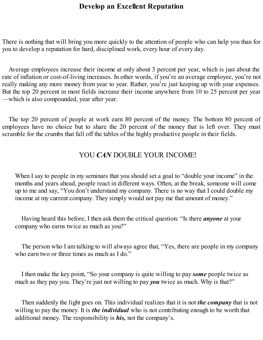#### **Develop an Excellent Reputation**

There is nothing that will bring you more quickly to the attention of people who can help you than for you to develop a reputation for hard, disciplined work, every hour of every day.

Average employees increase their income at only about 3 percent per year, which is just about the rate of inflation or cost-of-living increases. In other words, if you're an average employee, you're not really making any more money from year to year. Rather, you're just keeping up with your expenses. But the top 20 percent in most fields increase their income anywhere from 10 to 25 percent per year —which is also compounded, year after year.

The top 20 percent of people at work earn 80 percent of the money. The bottom 80 percent of employees have no choice but to share the 20 percent of the money that is left over. They must scramble for the crumbs that fall off the tables of the highly productive people in their fields.

## YOU *CAN* DOUBLE YOUR INCOME!

When I say to people in my seminars that you should set a goal to "double your income" in the months and years ahead, people react in different ways. Often, at the break, someone will come up to me and say, "You don't understand my company. There is no way that I could double my income at my current company. They simply would not pay me that amount of money."

Having heard this before, I then ask them the critical question: "Is there *anyone* at your company who earns twice as much as you?"

The person who I am talking to will always agree that, "Yes, there are people in my company who earn two or three times as much as I do."

I then make the key point, "So your company is quite willing to pay *some* people twice as much as they pay you. They're just not willing to pay *you* twice as much. Why is that?"

Then suddenly the light goes on. This individual realizes that it is not *the company* that is not willing to pay the money. It is *the individual* who is not contributing enough to be worth that additional money. The responsibility is *his,* not the company's.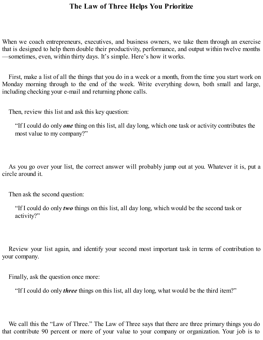## **The Law of Three Helps You Prioritize**

When we coach entrepreneurs, executives, and business owners, we take them through an exercise that is designed to help them double their productivity, performance, and output within twelve months —sometimes, even, within thirty days. It's simple. Here's how it works.

First, make a list of all the things that you do in a week or a month, from the time you start work on Monday morning through to the end of the week. Write everything down, both small and large, including checking your e-mail and returning phone calls.

Then, review this list and ask this key question:

"If I could do only *one* thing on this list, all day long, which one task or activity contributes the most value to my company?"

As you go over your list, the correct answer will probably jump out at you. Whatever it is, put a circle around it.

Then ask the second question:

"If I could do only *two* things on this list, all day long, which would be the second task or activity?"

Review your list again, and identify your second most important task in terms of contribution to your company.

Finally, ask the question once more:

"If I could do only *three* things on this list, all day long, what would be the third item?"

We call this the "Law of Three." The Law of Three says that there are three primary things you do that contribute 90 percent or more of your value to your company or organization. Your job is to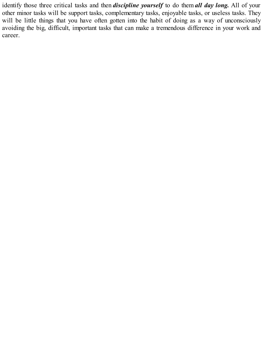identify those three critical tasks and then *discipline yourself* to do them *all day long.* All of your other minor tasks will be support tasks, complementary tasks, enjoyable tasks, or useless tasks. They will be little things that you have often gotten into the habit of doing as a way of unconsciously avoiding the big, difficult, important tasks that can make a tremendous difference in your work and career.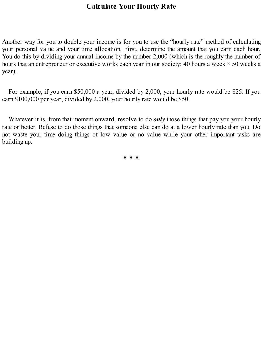## **Calculate Your Hourly Rate**

Another way for you to double your income is for you to use the "hourly rate" method of calculating your personal value and your time allocation. First, determine the amount that you earn each hour. You do this by dividing your annual income by the number 2,000 (which is the roughly the number of hours that an entrepreneur or executive works each year in our society: 40 hours a week  $\times$  50 weeks a year).

For example, if you earn \$50,000 a year, divided by 2,000, your hourly rate would be \$25. If you earn \$100,000 per year, divided by 2,000, your hourly rate would be \$50.

Whatever it is, from that moment onward, resolve to do *only* those things that pay you your hourly rate or better. Refuse to do those things that someone else can do at a lower hourly rate than you. Do not waste your time doing things of low value or no value while your other important tasks are building up.

 $\bullet\hspace{0.4mm}\bullet\hspace{0.4mm}\bullet\hspace{0.4mm}\bullet$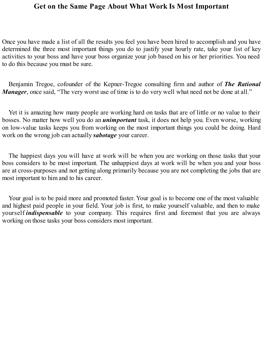#### **Get on the Same Page About What Work Is Most Important**

Once you have made a list of all the results you feel you have been hired to accomplish and you have determined the three most important things you do to justify your hourly rate, take your list of key activities to your boss and have your boss organize your job based on his or her priorities. You need to do this because you must be sure.

Benjamin Tregoe, cofounder of the Kepner-Tregoe consulting firm and author of *The Rational Manager*, once said, "The very worst use of time is to do very well what need not be done at all."

Yet it is amazing how many people are working hard on tasks that are of little or no value to their bosses. No matter how well you do an *unimportant* task, it does not help you. Even worse, working on low-value tasks keeps you from working on the most important things you could be doing. Hard work on the wrong job can actually *sabotage* your career.

The happiest days you will have at work will be when you are working on those tasks that your boss considers to be most important. The unhappiest days at work will be when you and your boss are at cross-purposes and not getting along primarily because you are not completing the jobs that are most important to him and to his career.

Your goal is to be paid more and promoted faster. Your goal is to become one of the most valuable and highest paid people in your field. Your job is first, to make yourself valuable, and then to make yourself *indispensable* to your company. This requires first and foremost that you are always working on those tasks your boss considers most important.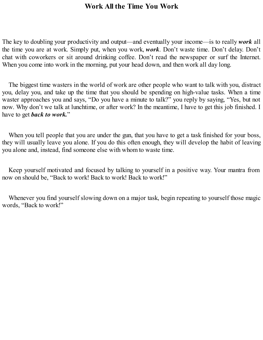## **Work All the Time You Work**

The key to doubling your productivity and output—and eventually your income—is to really *work* all the time you are at work. Simply put, when you work, *work*. Don't waste time. Don't delay. Don't chat with coworkers or sit around drinking coffee. Don't read the newspaper or surf the Internet. When you come into work in the morning, put your head down, and then work all day long.

The biggest time wasters in the world of work are other people who want to talk with you, distract you, delay you, and take up the time that you should be spending on high-value tasks. When a time waster approaches you and says, "Do you have a minute to talk?" you reply by saying, "Yes, but not now. Why don't we talk at lunchtime, or after work? In the meantime, I have to get this job finished. I have to get *back to work.*"

When you tell people that you are under the gun, that you have to get a task finished for your boss, they will usually leave you alone. If you do this often enough, they will develop the habit of leaving you alone and, instead, find someone else with whom to waste time.

Keep yourself motivated and focused by talking to yourself in a positive way. Your mantra from now on should be, "Back to work! Back to work! Back to work!"

Whenever you find yourself slowing down on a major task, begin repeating to yourself those magic words, "Back to work!"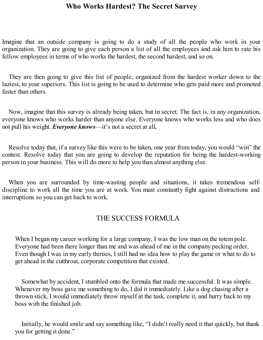## **Who Works Hardest? The Secret Survey**

Imagine that an outside company is going to do a study of all the people who work in your organization. They are going to give each person a list of all the employees and ask him to rate his fellow employees in terms of who works the hardest, the second hardest, and so on.

They are then going to give this list of people, organized from the hardest worker down to the laziest, to your superiors. This list is going to be used to determine who gets paid more and promoted faster than others.

Now, imagine that this survey is already being taken, but in secret. The fact is, in any organization, everyone knows who works harder than anyone else. Everyone knows who works less and who does not pull his weight. *Everyone knows*—it's not a secret at all*.*

Resolve today that, if a survey like this were to be taken, one year from today, you would "win" the contest. Resolve today that you are going to develop the reputation for being the hardest-working person in your business. This will do more to help you than almost anything else.

When you are surrounded by time-wasting people and situations, it takes tremendous selfdiscipline to work all the time you are at work. You must constantly fight against distractions and interruptions so you can get back to work.

## THE SUCCESS FORMULA

When I began my career working for a large company, I was the low man on the totem pole. Everyone had been there longer than me and was ahead of me in the company pecking order. Even though I was in my early thirties, I still had no idea how to play the game or what to do to get ahead in the cutthroat, corporate competition that existed.

Somewhat by accident, I stumbled onto the formula that made me successful. It was simple. Whenever my boss gave me something to do, I did it immediately. Like a dog chasing after a thrown stick, I would immediately throw myself at the task, complete it, and hurry back to my boss with the finished job.

Initially, he would smile and say something like, "I didn't really need it that quickly, but thank you for getting it done."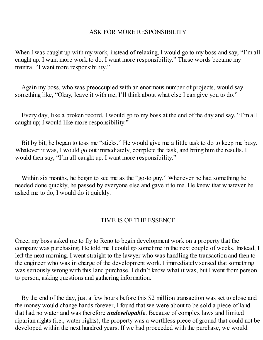#### ASK FOR MORE RESPONSIBILITY

When I was caught up with my work, instead of relaxing, I would go to my boss and say, "I'm all caught up. I want more work to do. I want more responsibility." These words became my mantra: "I want more responsibility."

Again my boss, who was preoccupied with an enormous number of projects, would say something like, "Okay, leave it with me; I'll think about what else I can give you to do."

Every day, like a broken record, I would go to my boss at the end of the day and say, "I'm all caught up; I would like more responsibility."

Bit by bit, he began to toss me "sticks." He would give me a little task to do to keep me busy. Whatever it was, I would go out immediately, complete the task, and bring him the results. I would then say, "I'm all caught up. I want more responsibility."

Within six months, he began to see me as the "go-to guy." Whenever he had something he needed done quickly, he passed by everyone else and gave it to me. He knew that whatever he asked me to do, I would do it quickly.

#### TIME IS OF THE ESSENCE

Once, my boss asked me to fly to Reno to begin development work on a property that the company was purchasing. He told me I could go sometime in the next couple of weeks. Instead, I left the next morning. I went straight to the lawyer who was handling the transaction and then to the engineer who was in charge of the development work. I immediately sensed that something was seriously wrong with this land purchase. I didn't know what it was, but I went from person to person, asking questions and gathering information.

By the end of the day, just a few hours before this \$2 million transaction was set to close and the money would change hands forever, I found that we were about to be sold a piece of land that had no water and was therefore *undevelopable*. Because of complex laws and limited riparian rights (i.e., water rights), the property was a worthless piece of ground that could not be developed within the next hundred years. If we had proceeded with the purchase, we would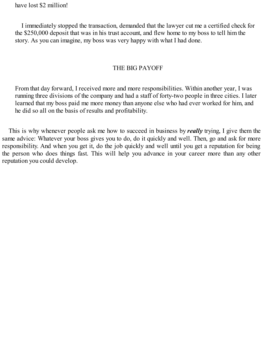I immediately stopped the transaction, demanded that the lawyer cut me a certified check for the \$250,000 deposit that was in his trust account, and flew home to my boss to tell him the story. As you can imagine, my boss was very happy with what I had done.

## THE BIG PAYOFF

From that day forward, I received more and more responsibilities. Within another year, I was running three divisions of the company and had a staff of forty-two people in three cities. I later learned that my boss paid me more money than anyone else who had ever worked for him, and he did so all on the basis of results and profitability.

This is why whenever people ask me how to succeed in business by *really* trying, I give them the same advice: Whatever your boss gives you to do, do it quickly and well. Then, go and ask for more responsibility. And when you get it, do the job quickly and well until you get a reputation for being the person who does things fast. This will help you advance in your career more than any other reputation you could develop.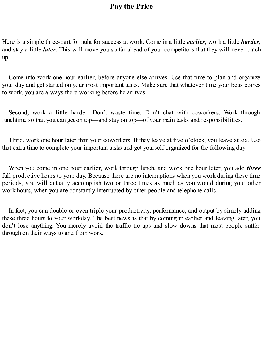## **Pay the Price**

Here is a simple three-part formula for success at work: Come in a little *earlier*, work a little *harder*, and stay a little *later*. This will move you so far ahead of your competitors that they will never catch up.

Come into work one hour earlier, before anyone else arrives. Use that time to plan and organize your day and get started on your most important tasks. Make sure that whatever time your boss comes to work, you are always there working before he arrives.

Second, work a little harder. Don't waste time. Don't chat with coworkers. Work through lunchtime so that you can get on top—and stay on top—of your main tasks and responsibilities.

Third, work one hour later than your coworkers. If they leave at five o'clock, you leave at six. Use that extra time to complete your important tasks and get yourself organized for the following day.

When you come in one hour earlier, work through lunch, and work one hour later, you add *three* full productive hours to your day. Because there are no interruptions when you work during these time periods, you will actually accomplish two or three times as much as you would during your other work hours, when you are constantly interrupted by other people and telephone calls.

In fact, you can double or even triple your productivity, performance, and output by simply adding these three hours to your workday. The best news is that by coming in earlier and leaving later, you don't lose anything. You merely avoid the traffic tie-ups and slow-downs that most people suffer through on their ways to and from work.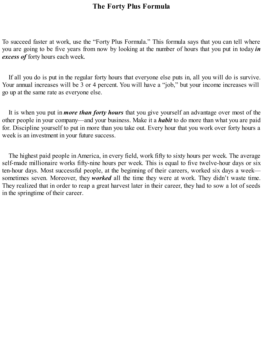## **The Forty Plus Formula**

To succeed faster at work, use the "Forty Plus Formula." This formula says that you can tell where you are going to be five years from now by looking at the number of hours that you put in today *in excess of* forty hours each week.

If all you do is put in the regular forty hours that everyone else puts in, all you will do is survive. Your annual increases will be 3 or 4 percent. You will have a "job," but your income increases will go up at the same rate as everyone else.

It is when you put in *more than forty hours* that you give yourself an advantage over most of the other people in your company—and your business. Make it a *habit* to do more than what you are paid for. Discipline yourself to put in more than you take out. Every hour that you work over forty hours a week is an investment in your future success.

The highest paid people in America, in every field, work fifty to sixty hours per week. The average self-made millionaire works fifty-nine hours per week. This is equal to five twelve-hour days or six ten-hour days. Most successful people, at the beginning of their careers, worked six days a week sometimes seven. Moreover, they *worked* all the time they were at work. They didn't waste time. They realized that in order to reap a great harvest later in their career, they had to sow a lot of seeds in the springtime of their career.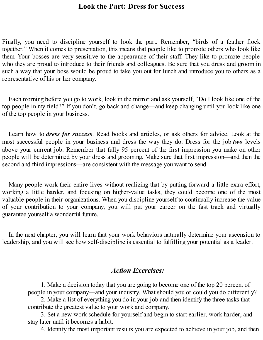### **Look the Part: Dress for Success**

Finally, you need to discipline yourself to look the part. Remember, "birds of a feather flock together." When it comes to presentation, this means that people like to promote others who look like them. Your bosses are very sensitive to the appearance of their staff. They like to promote people who they are proud to introduce to their friends and colleagues. Be sure that you dress and groom in such a way that your boss would be proud to take you out for lunch and introduce you to others as a representative of his or her company.

Each morning before you go to work, look in the mirror and ask yourself, "Do I look like one of the top people in my field?" If you don't, go back and change—and keep changing until you look like one of the top people in your business.

Learn how to *dress for success*. Read books and articles, or ask others for advice. Look at the most successful people in your business and dress the way they do. Dress for the job *two* levels above your current job. Remember that fully 95 percent of the first impression you make on other people will be determined by your dress and grooming. Make sure that first impression—and then the second and third impressions—are consistent with the message you want to send.

Many people work their entire lives without realizing that by putting forward a little extra effort, working a little harder, and focusing on higher-value tasks, they could become one of the most valuable people in their organizations. When you discipline yourself to continually increase the value of your contribution to your company, you will put your career on the fast track and virtually guarantee yourself a wonderful future.

In the next chapter, you will learn that your work behaviors naturally determine your ascension to leadership, and you will see how self-discipline is essential to fulfilling your potential as a leader.

### *Action Exercises:*

1. Make a decision today that you are going to become one of the top 20 percent of people in your company—and your industry. What should you or could you do differently?

2. Make a list of everything you do in your job and then identify the three tasks that contribute the greatest value to your work and company.

3. Set a new work schedule for yourself and begin to start earlier, work harder, and stay later until it becomes a habit.

4. Identify the most important results you are expected to achieve in your job, and then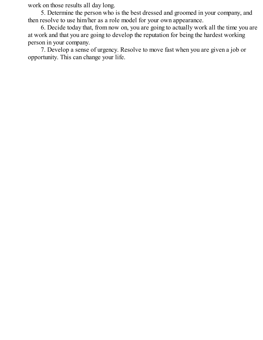work on those results all day long.

5. Determine the person who is the best dressed and groomed in your company, and then resolve to use him/her as a role model for your own appearance.

6. Decide today that, from now on, you are going to actually work all the time you are at work and that you are going to develop the reputation for being the hardest working person in your company.

7. Develop a sense of urgency. Resolve to move fast when you are given a job or opportunity. This can change your life.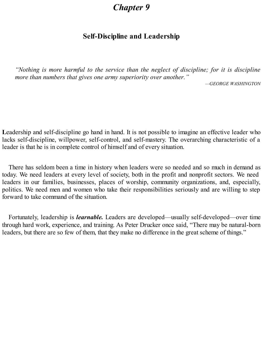# *Chapter 9*

## **Self-Discipline and Leadership**

*"Nothing is more harmful to the service than the neglect of discipline; for it is discipline more than numbers that gives one army superiority over another."*

*—GEORGE WASHINGTON*

Leadership and self-discipline go hand in hand. It is not possible to imagine an effective leader who lacks self-discipline, willpower, self-control, and self-mastery. The overarching characteristic of a leader is that he is in complete control of himself and of every situation.

There has seldom been a time in history when leaders were so needed and so much in demand as today. We need leaders at every level of society, both in the profit and nonprofit sectors. We need leaders in our families, businesses, places of worship, community organizations, and, especially, politics. We need men and women who take their responsibilities seriously and are willing to step forward to take command of the situation.

Fortunately, leadership is *learnable.* Leaders are developed—usually self-developed—over time through hard work, experience, and training. As Peter Drucker once said, "There may be natural-born leaders, but there are so few of them, that they make no difference in the great scheme of things."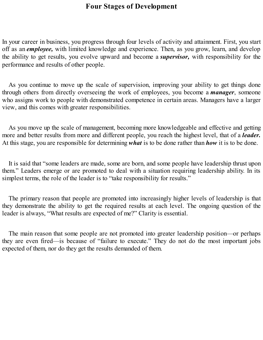## **Four Stages of Development**

In your career in business, you progress through four levels of activity and attainment. First, you start off as an *employee,* with limited knowledge and experience. Then, as you grow, learn, and develop the ability to get results, you evolve upward and become a *supervisor,* with responsibility for the performance and results of other people.

As you continue to move up the scale of supervision, improving your ability to get things done through others from directly overseeing the work of employees, you become a *manager*, someone who assigns work to people with demonstrated competence in certain areas. Managers have a larger view, and this comes with greater responsibilities.

As you move up the scale of management, becoming more knowledgeable and effective and getting more and better results from more and different people, you reach the highest level, that of a *leader.* At this stage, you are responsible for determining *what* is to be done rather than *how* it is to be done.

It is said that "some leaders are made, some are born, and some people have leadership thrust upon them." Leaders emerge or are promoted to deal with a situation requiring leadership ability. In its simplest terms, the role of the leader is to "take responsibility for results."

The primary reason that people are promoted into increasingly higher levels of leadership is that they demonstrate the ability to get the required results at each level. The ongoing question of the leader is always, "What results are expected of me?" Clarity is essential.

The main reason that some people are not promoted into greater leadership position—or perhaps they are even fired—is because of "failure to execute." They do not do the most important jobs expected of them, nor do they get the results demanded of them.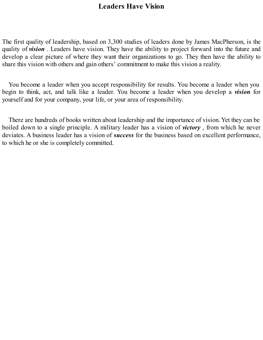## **Leaders Have Vision**

The first quality of leadership, based on 3,300 studies of leaders done by James MacPherson, is the quality of *vision* . Leaders have vision. They have the ability to project forward into the future and develop a clear picture of where they want their organizations to go. They then have the ability to share this vision with others and gain others' commitment to make this vision a reality.

You become a leader when you accept responsibility for results. You become a leader when you begin to think, act, and talk like a leader. You become a leader when you develop a *vision* for yourself and for your company, your life, or your area of responsibility.

There are hundreds of books written about leadership and the importance of vision. Yet they can be boiled down to a single principle. A military leader has a vision of *victory* , from which he never deviates. A business leader has a vision of *success* for the business based on excellent performance, to which he or she is completely committed.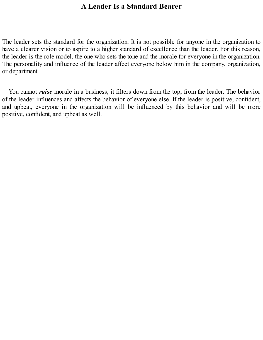## **A Leader Is a Standard Bearer**

The leader sets the standard for the organization. It is not possible for anyone in the organization to have a clearer vision or to aspire to a higher standard of excellence than the leader. For this reason, the leader is the role model, the one who sets the tone and the morale for everyone in the organization. The personality and influence of the leader affect everyone below him in the company, organization, or department.

You cannot *raise* morale in a business; it filters down from the top, from the leader. The behavior of the leader influences and affects the behavior of everyone else. If the leader is positive, confident, and upbeat, everyone in the organization will be influenced by this behavior and will be more positive, confident, and upbeat as well.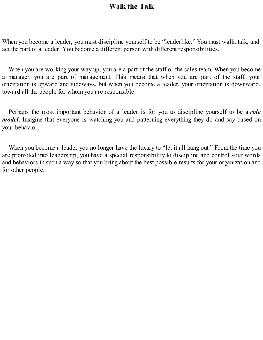## **Walk the Talk**

When you become a leader, you must discipline yourself to be "leaderlike." You must walk, talk, and act the part of a leader. You become a different person with different responsibilities.

When you are working your way up, you are a part of the staff or the sales team. When you become a manager, you are part of management. This means that when you are part of the staff, your orientation is upward and sideways, but when you become a leader, your orientation is downward, toward all the people for whom you are responsible.

Perhaps the most important behavior of a leader is for you to discipline yourself to be a *role model*. Imagine that everyone is watching you and patterning everything they do and say based on your behavior.

When you become a leader you no longer have the luxury to "let it all hang out." From the time you are promoted into leadership, you have a special responsibility to discipline and control your words and behaviors in such a way so that you bring about the best possible results for your organization and for other people.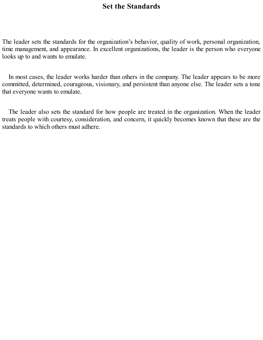## **Set the Standards**

The leader sets the standards for the organization's behavior, quality of work, personal organization, time management, and appearance. In excellent organizations, the leader is the person who everyone looks up to and wants to emulate.

In most cases, the leader works harder than others in the company. The leader appears to be more committed, determined, courageous, visionary, and persistent than anyone else. The leader sets a tone that everyone wants to emulate.

The leader also sets the standard for how people are treated in the organization. When the leader treats people with courtesy, consideration, and concern, it quickly becomes known that these are the standards to which others must adhere.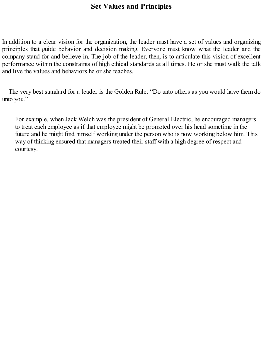## **Set Values and Principles**

In addition to a clear vision for the organization, the leader must have a set of values and organizing principles that guide behavior and decision making. Everyone must know what the leader and the company stand for and believe in. The job of the leader, then, is to articulate this vision of excellent performance within the constraints of high ethical standards at all times. He or she must walk the talk and live the values and behaviors he or she teaches.

The very best standard for a leader is the Golden Rule: "Do unto others as you would have them do unto you."

For example, when Jack Welch was the president of General Electric, he encouraged managers to treat each employee as if that employee might be promoted over his head sometime in the future and he might find himself working under the person who is now working below him. This way of thinking ensured that managers treated their staff with a high degree of respect and courtesy.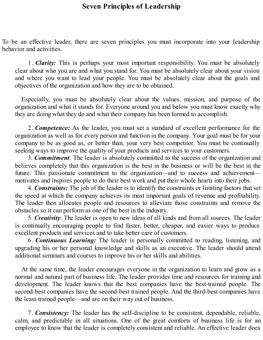## **Seven Principles of Leadership**

To be an effective leader, there are seven principles you must incorporate into your leadership behavior and activities.

1 . *Clarity:* This is perhaps your most important responsibility. You must be absolutely clear about who you are and what you stand for. You must be absolutely clear about your vision and where you want to lead your people. You must be absolutely clear about the goals and objectives of the organization and how they are to be obtained.

Especially, you must be absolutely clear about the values, mission, and purpose of the organization and what it stands for. Everyone around you and below you must know exactly why they are doing what they do and what their company has been formed to accomplish.

2. *Competence:* As the leader, you must set a standard of excellent performance for the organization as well as for every person and function in the company. Your goal must be for your company to be as good as, or better than, your very best competitor. You must be continually seeking ways to improve the quality of your products and services to your customers.

3. *Commitment*: The leader is absolutely committed to the success of the organization and believes completely that this organization is the best in the business or will be the best in the future. This passionate commitment to the organization—and to success and achievement motivates and inspires people to do their best work and put their whole hearts into their jobs.

4. *Constraints:* The job of the leader is to identify the constraints or limiting factors that set the speed at which the company achieves its most important goals of revenue and profitability. The leader then allocates people and resources to alleviate those constraints and remove the obstacles so it can perform as one of the best in the industry.

5. *Creativity*: The leader is open to new ideas of all kinds and from all sources. The leader is continually encouraging people to find faster, better, cheaper, and easier ways to produce excellent products and services and to take better care of customers.

6 . *Continuous Learning:* The leader is personally committed to reading, listening, and upgrading his or her personal knowledge and skills as an executive. The leader should attend additional seminars and courses to improve his or her skills and abilities.

At the same time, the leader encourages everyone in the organization to learn and grow as a normal and natural part of business life. The leader provides time and resources for training and development. The leader knows that the best companies have the best-trained people. The second-best companies have the second-best trained people. And the third-best companies have the least-trained people—and are on their way out of business.

7. *Consistency:* The leader has the self-discipline to be consistent, dependable, reliable, calm, and predictable in all situations. One of the great comforts of business life is for an employee to know that the leader is completely consistent and reliable. An effective leader does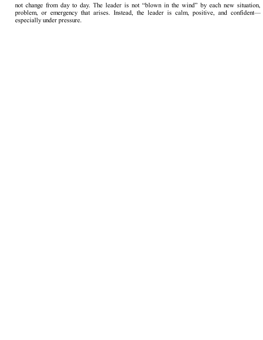not change from day to day. The leader is not "blown in the wind" by each new situation, problem, or emergency that arises. Instead, the leader is calm, positive, and confident especially under pressure.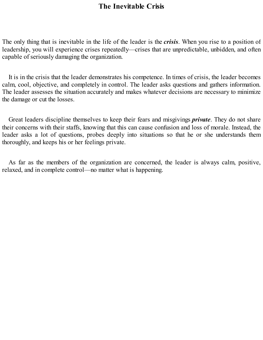## **The Inevitable Crisis**

The only thing that is inevitable in the life of the leader is the *crisis*. When you rise to a position of leadership, you will experience crises repeatedly—crises that are unpredictable, unbidden, and often capable of seriously damaging the organization.

It is in the crisis that the leader demonstrates his competence. In times of crisis, the leader becomes calm, cool, objective, and completely in control. The leader asks questions and gathers information. The leader assesses the situation accurately and makes whatever decisions are necessary to minimize the damage or cut the losses.

Great leaders discipline themselves to keep their fears and misgivings *private*. They do not share their concerns with their staffs, knowing that this can cause confusion and loss of morale. Instead, the leader asks a lot of questions, probes deeply into situations so that he or she understands them thoroughly, and keeps his or her feelings private.

As far as the members of the organization are concerned, the leader is always calm, positive, relaxed, and in complete control—no matter what is happening.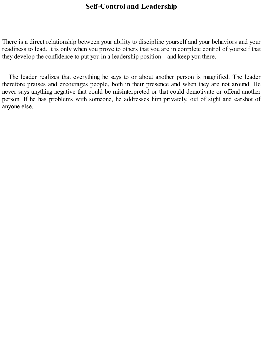## **Self-Control and Leadership**

There is a direct relationship between your ability to discipline yourself and your behaviors and your readiness to lead. It is only when you prove to others that you are in complete control of yourself that they develop the confidence to put you in a leadership position—and keep you there.

The leader realizes that everything he says to or about another person is magnified. The leader therefore praises and encourages people, both in their presence and when they are not around. He never says anything negative that could be misinterpreted or that could demotivate or offend another person. If he has problems with someone, he addresses him privately, out of sight and earshot of anyone else.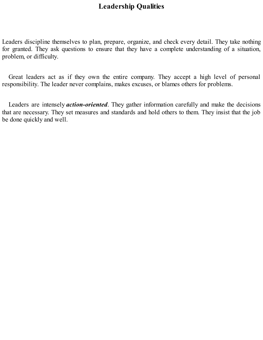## **Leadership Qualities**

Leaders discipline themselves to plan, prepare, organize, and check every detail. They take nothing for granted. They ask questions to ensure that they have a complete understanding of a situation, problem, or difficulty.

Great leaders act as if they own the entire company. They accept a high level of personal responsibility. The leader never complains, makes excuses, or blames others for problems.

Leaders are intensely *action-oriented*. They gather information carefully and make the decisions that are necessary. They set measures and standards and hold others to them. They insist that the job be done quickly and well.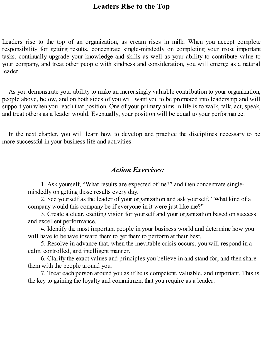### **Leaders Rise to the Top**

Leaders rise to the top of an organization, as cream rises in milk. When you accept complete responsibility for getting results, concentrate single-mindedly on completing your most important tasks, continually upgrade your knowledge and skills as well as your ability to contribute value to your company, and treat other people with kindness and consideration, you will emerge as a natural leader.

As you demonstrate your ability to make an increasingly valuable contribution to your organization, people above, below, and on both sides of you will want you to be promoted into leadership and will support you when you reach that position. One of your primary aims in life is to walk, talk, act, speak, and treat others as a leader would. Eventually, your position will be equal to your performance.

In the next chapter, you will learn how to develop and practice the disciplines necessary to be more successful in your business life and activities.

#### *Action Exercises:*

1. Ask yourself, "What results are expected of me?" and then concentrate singlemindedly on getting those results every day.

2. See yourself as the leader of your organization and ask yourself, "What kind of a company would this company be if everyone in it were just like me?"

3. Create a clear, exciting vision for yourself and your organization based on success and excellent performance.

4. Identify the most important people in your business world and determine how you will have to behave toward them to get them to perform at their best.

5. Resolve in advance that, when the inevitable crisis occurs, you will respond in a calm, controlled, and intelligent manner.

6. Clarify the exact values and principles you believe in and stand for, and then share them with the people around you.

7. Treat each person around you as if he is competent, valuable, and important. This is the key to gaining the loyalty and commitment that you require as a leader.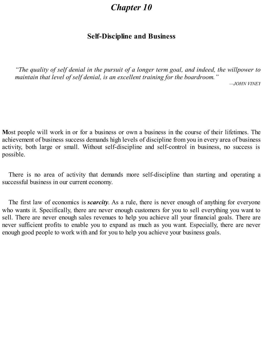# *Chapter 10*

### **Self-Discipline and Business**

*"The quality of self denial in the pursuit of a longer term goal, and indeed, the willpower to maintain that level of self denial, is an excellent training for the boardroom."*

*—JOHN VINEY*

**M**ost people will work in or for a business or own a business in the course of their lifetimes. The achievement of business success demands high levels of discipline from you in every area of business activity, both large or small. Without self-discipline and self-control in business, no success is possible.

There is no area of activity that demands more self-discipline than starting and operating a successful business in our current economy.

The first law of economics is *scarcity*. As a rule, there is never enough of anything for everyone who wants it. Specifically, there are never enough customers for you to sell everything you want to sell. There are never enough sales revenues to help you achieve all your financial goals. There are never sufficient profits to enable you to expand as much as you want. Especially, there are never enough good people to work with and for you to help you achieve your business goals.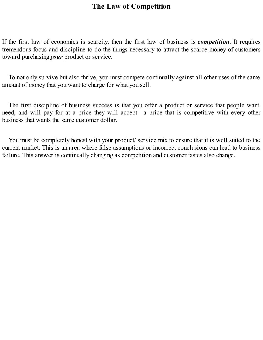## **The Law of Competition**

If the first law of economics is scarcity, then the first law of business is *competition*. It requires tremendous focus and discipline to do the things necessary to attract the scarce money of customers toward purchasing *your* product or service.

To not only survive but also thrive, you must compete continually against all other uses of the same amount of money that you want to charge for what you sell.

The first discipline of business success is that you offer a product or service that people want, need, and will pay for at a price they will accept—a price that is competitive with every other business that wants the same customer dollar.

You must be completely honest with your product/ service mix to ensure that it is well suited to the current market. This is an area where false assumptions or incorrect conclusions can lead to business failure. This answer is continually changing as competition and customer tastes also change.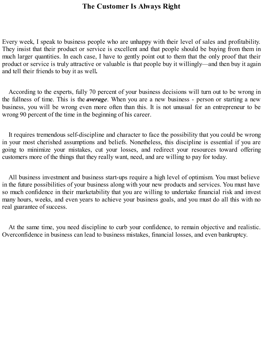## **The Customer Is Always Right**

Every week, I speak to business people who are unhappy with their level of sales and profitability. They insist that their product or service is excellent and that people should be buying from them in much larger quantities. In each case, I have to gently point out to them that the only proof that their product or service is truly attractive or valuable is that people buy it willingly—and then buy it again and tell their friends to buy it as well*.*

According to the experts, fully 70 percent of your business decisions will turn out to be wrong in the fullness of time. This is the *average*. When you are a new business - person or starting a new business, you will be wrong even more often than this. It is not unusual for an entrepreneur to be wrong 90 percent of the time in the beginning of his career.

It requires tremendous self-discipline and character to face the possibility that you could be wrong in your most cherished assumptions and beliefs. Nonetheless, this discipline is essential if you are going to minimize your mistakes, cut your losses, and redirect your resources toward offering customers more of the things that they really want, need, and are willing to pay for today.

All business investment and business start-ups require a high level of optimism. You must believe in the future possibilities of your business along with your new products and services. You must have so much confidence in their marketability that you are willing to undertake financial risk and invest many hours, weeks, and even years to achieve your business goals, and you must do all this with no real guarantee of success.

At the same time, you need discipline to curb your confidence, to remain objective and realistic. Overconfidence in business can lead to business mistakes, financial losses, and even bankruptcy.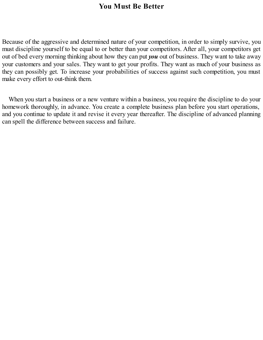## **You Must Be Better**

Because of the aggressive and determined nature of your competition, in order to simply survive, you must discipline yourself to be equal to or better than your competitors. After all, your competitors get out of bed every morning thinking about how they can put *you* out of business. They want to take away your customers and your sales. They want to get your profits. They want as much of your business as they can possibly get. To increase your probabilities of success against such competition, you must make every effort to out-think them.

When you start a business or a new venture within a business, you require the discipline to do your homework thoroughly, in advance. You create a complete business plan before you start operations, and you continue to update it and revise it every year thereafter. The discipline of advanced planning can spell the difference between success and failure.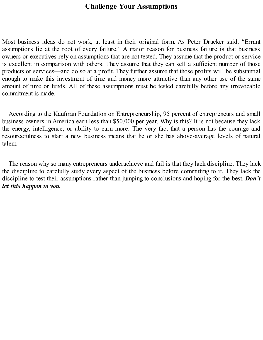## **Challenge Your Assumptions**

Most business ideas do not work, at least in their original form. As Peter Drucker said, "Errant assumptions lie at the root of every failure." A major reason for business failure is that business owners or executives rely on assumptions that are not tested. They assume that the product or service is excellent in comparison with others. They assume that they can sell a sufficient number of those products or services—and do so at a profit. They further assume that those profits will be substantial enough to make this investment of time and money more attractive than any other use of the same amount of time or funds. All of these assumptions must be tested carefully before any irrevocable commitment is made.

According to the Kaufman Foundation on Entrepreneurship, 95 percent of entrepreneurs and small business owners in America earn less than \$50,000 per year. Why is this? It is not because they lack the energy, intelligence, or ability to earn more. The very fact that a person has the courage and resourcefulness to start a new business means that he or she has above-average levels of natural talent.

The reason why so many entrepreneurs underachieve and fail is that they lack discipline. They lack the discipline to carefully study every aspect of the business before committing to it. They lack the discipline to test their assumptions rather than jumping to conclusions and hoping for the best. *Don't let this happen to you.*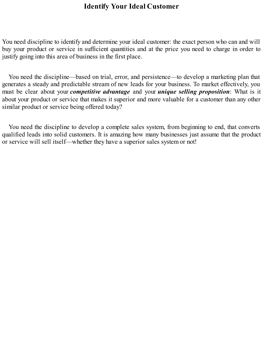## **Identify Your Ideal Customer**

You need discipline to identify and determine your ideal customer: the exact person who can and will buy your product or service in sufficient quantities and at the price you need to charge in order to justify going into this area of business in the first place.

You need the discipline—based on trial, error, and persistence—to develop a marketing plan that generates a steady and predictable stream of new leads for your business. To market effectively, you must be clear about your *competitive advantage* and your *unique selling proposition*: What is it about your product or service that makes it superior and more valuable for a customer than any other similar product or service being offered today?

You need the discipline to develop a complete sales system, from beginning to end, that converts qualified leads into solid customers. It is amazing how many businesses just assume that the product or service will sell itself—whether they have a superior sales system or not!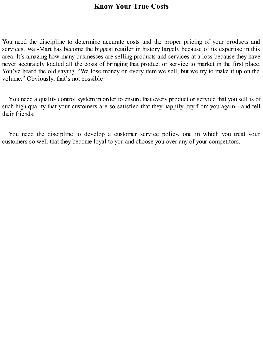## **Know Your True Costs**

You need the discipline to determine accurate costs and the proper pricing of your products and services. Wal-Mart has become the biggest retailer in history largely because of its expertise in this area. It's amazing how many businesses are selling products and services at a loss because they have never accurately totaled all the costs of bringing that product or service to market in the first place. You've heard the old saying, "We lose money on every item we sell, but we try to make it up on the volume." Obviously, that's not possible!

You need a quality control system in order to ensure that every product or service that you sell is of such high quality that your customers are so satisfied that they happily buy from you again—and tell their friends.

You need the discipline to develop a customer service policy, one in which you treat your customers so well that they become loyal to you and choose you over any of your competitors.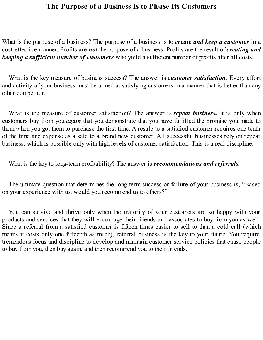## **The Purpose of a Business Is to Please Its Customers**

What is the purpose of a business? The purpose of a business is to *create and keep a customer* in a cost-effective manner. Profits are *not* the purpose of a business. Profits are the result of *creating and keeping a sufficient number of customers* who yield a sufficient number of profits after all costs.

What is the key measure of business success? The answer is *customer satisfaction*. Every effort and activity of your business must be aimed at satisfying customers in a manner that is better than any other competitor.

What is the measure of customer satisfaction? The answer is *repeat business.* It is only when customers buy from you *again* that you demonstrate that you have fulfilled the promise you made to them when you got them to purchase the first time. A resale to a satisfied customer requires one tenth of the time and expense as a sale to a brand new customer. All successful businesses rely on repeat business, which is possible only with high levels of customer satisfaction. This is a real discipline.

What is the key to long-term profitability? The answer is *recommendations and referrals.*

The ultimate question that determines the long-term success or failure of your business is, "Based on your experience with us, would you recommend us to others?"

You can survive and thrive only when the majority of your customers are so happy with your products and services that they will encourage their friends and associates to buy from you as well. Since a referral from a satisfied customer is fifteen times easier to sell to than a cold call (which means it costs only one fifteenth as much), referral business is the key to your future. You require tremendous focus and discipline to develop and maintain customer service policies that cause people to buy from you, then buy again, and then recommend you to their friends.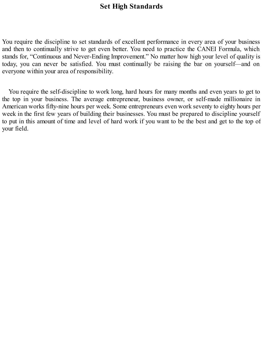## **Set High Standards**

You require the discipline to set standards of excellent performance in every area of your business and then to continually strive to get even better. You need to practice the CANEI Formula, which stands for, "Continuous and Never-Ending Improvement." No matter how high your level of quality is today, you can never be satisfied. You must continually be raising the bar on yourself—and on everyone within your area of responsibility.

You require the self-discipline to work long, hard hours for many months and even years to get to the top in your business. The average entrepreneur, business owner, or self-made millionaire in American works fifty-nine hours per week. Some entrepreneurs even work seventy to eighty hours per week in the first few years of building their businesses. You must be prepared to discipline yourself to put in this amount of time and level of hard work if you want to be the best and get to the top of your field.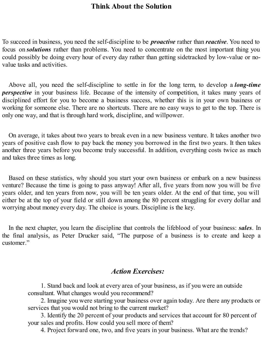### **Think About the Solution**

To succeed in business, you need the self-discipline to be *proactive* rather than *reactive*. You need to focus on *solutions* rather than problems. You need to concentrate on the most important thing you could possibly be doing every hour of every day rather than getting sidetracked by low-value or novalue tasks and activities.

Above all, you need the self-discipline to settle in for the long term, to develop a *long-time perspective* in your business life. Because of the intensity of competition, it takes many years of disciplined effort for you to become a business success, whether this is in your own business or working for someone else. There are no shortcuts. There are no easy ways to get to the top. There is only one way, and that is through hard work, discipline, and willpower.

On average, it takes about two years to break even in a new business venture. It takes another two years of positive cash flow to pay back the money you borrowed in the first two years. It then takes another three years before you become truly successful. In addition, everything costs twice as much and takes three times as long.

Based on these statistics, why should you start your own business or embark on a new business venture? Because the time is going to pass anyway! After all, five years from now you will be five years older, and ten years from now, you will be ten years older. At the end of that time, you will either be at the top of your field or still down among the 80 percent struggling for every dollar and worrying about money every day. The choice is yours. Discipline is the key.

In the next chapter, you learn the discipline that controls the lifeblood of your business: *sales*. In the final analysis, as Peter Drucker said, "The purpose of a business is to create and keep a customer."

### *Action Exercises:*

1. Stand back and look at every area of your business, as if you were an outside consultant. What changes would you recommend?

2. Imagine you were starting your business over again today. Are there any products or services that you would not bring to the current market?

3. Identify the 20 percent of your products and services that account for 80 percent of your sales and profits. How could you sell more of them?

4. Project forward one, two, and five years in your business. What are the trends?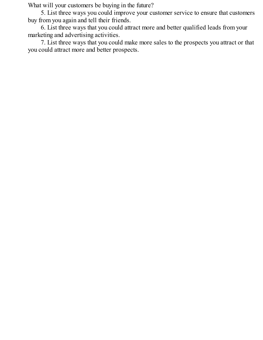What will your customers be buying in the future?

5. List three ways you could improve your customer service to ensure that customers buy from you again and tell their friends.

6. List three ways that you could attract more and better qualified leads from your marketing and advertising activities.

7. List three ways that you could make more sales to the prospects you attract or that you could attract more and better prospects.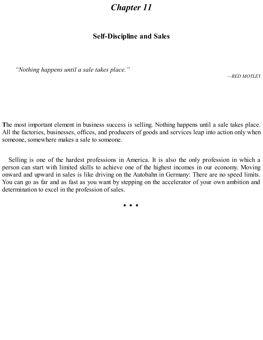# *Chapter 11*

### **Self-Discipline and Sales**

*"Nothing happens until a sale takes place."*

*—RED MOTLEY*

**T**he most important element in business success is selling. Nothing happens until a sale takes place. All the factories, businesses, offices, and producers of goods and services leap into action only when someone, somewhere makes a sale to someone.

Selling is one of the hardest professions in America. It is also the only profession in which a person can start with limited skills to achieve one of the highest incomes in our economy. Moving onward and upward in sales is like driving on the Autobahn in Germany: There are no speed limits. You can go as far and as fast as you want by stepping on the accelerator of your own ambition and determination to excel in the profession of sales.

 $\bullet\bullet\bullet$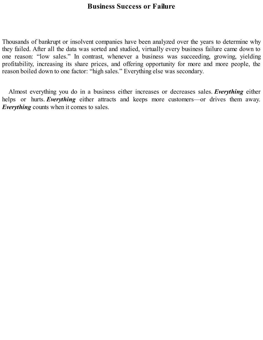## **Business Success or Failure**

Thousands of bankrupt or insolvent companies have been analyzed over the years to determine why they failed. After all the data was sorted and studied, virtually every business failure came down to one reason: "low sales." In contrast, whenever a business was succeeding, growing, yielding profitability, increasing its share prices, and offering opportunity for more and more people, the reason boiled down to one factor: "high sales." Everything else was secondary.

Almost everything you do in a business either increases or decreases sales. *Everything* either helps or hurts. *Everything* either attracts and keeps more customers—or drives them away. *Everything* counts when it comes to sales.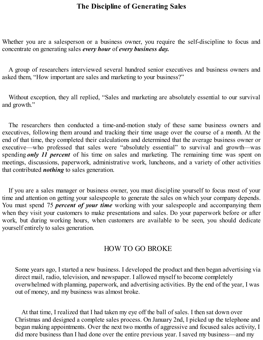## **The Discipline of Generating Sales**

Whether you are a salesperson or a business owner, you require the self-discipline to focus and concentrate on generating sales *every hour* of *every business day.*

A group of researchers interviewed several hundred senior executives and business owners and asked them, "How important are sales and marketing to your business?"

Without exception, they all replied, "Sales and marketing are absolutely essential to our survival and growth."

The researchers then conducted a time-and-motion study of these same business owners and executives, following them around and tracking their time usage over the course of a month. At the end of that time, they completed their calculations and determined that the average business owner or executive—who professed that sales were "absolutely essential" to survival and growth—was spending *only 11 percent* of his time on sales and marketing. The remaining time was spent on meetings, discussions, paperwork, administrative work, luncheons, and a variety of other activities that contributed *nothing* to sales generation.

If you are a sales manager or business owner, you must discipline yourself to focus most of your time and attention on getting your salespeople to generate the sales on which your company depends. You must spend 75 *percent of your time* working with your salespeople and accompanying them when they visit your customers to make presentations and sales. Do your paperwork before or after work, but during working hours, when customers are available to be seen, you should dedicate yourself entirely to sales generation.

## HOW TO GO BROKE

Some years ago, I started a new business. I developed the product and then began advertising via direct mail, radio, television, and newspaper. I allowed myself to become completely overwhelmed with planning, paperwork, and advertising activities. By the end of the year, I was out of money, and my business was almost broke.

At that time, I realized that I had taken my eye off the ball of sales. I then sat down over Christmas and designed a complete sales process. On January 2nd, I picked up the telephone and began making appointments. Over the next two months of aggressive and focused sales activity, I did more business than I had done over the entire previous year. I saved my business—and my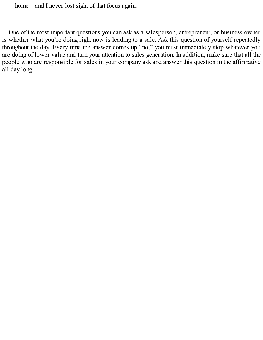home—and I never lost sight of that focus again.

One of the most important questions you can ask as a salesperson, entrepreneur, or business owner is whether what you're doing right now is leading to a sale. Ask this question of yourself repeatedly throughout the day. Every time the answer comes up "no," you must immediately stop whatever you are doing of lower value and turn your attention to sales generation. In addition, make sure that all the people who are responsible for sales in your company ask and answer this question in the affirmative all day long.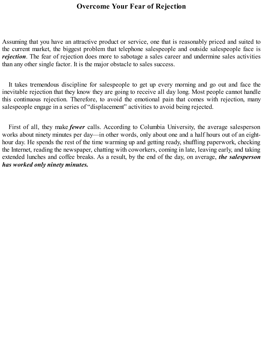## **Overcome Your Fear of Rejection**

Assuming that you have an attractive product or service, one that is reasonably priced and suited to the current market, the biggest problem that telephone salespeople and outside salespeople face is *rejection*. The fear of rejection does more to sabotage a sales career and undermine sales activities than any other single factor. It is the major obstacle to sales success.

It takes tremendous discipline for salespeople to get up every morning and go out and face the inevitable rejection that they know they are going to receive all day long. Most people cannot handle this continuous rejection. Therefore, to avoid the emotional pain that comes with rejection, many salespeople engage in a series of "displacement" activities to avoid being rejected.

First of all, they make *fewer* calls. According to Columbia University, the average salesperson works about ninety minutes per day—in other words, only about one and a half hours out of an eighthour day. He spends the rest of the time warming up and getting ready, shuffling paperwork, checking the Internet, reading the newspaper, chatting with coworkers, coming in late, leaving early, and taking extended lunches and coffee breaks. As a result, by the end of the day, on average, *the salesperson has worked only ninety minutes.*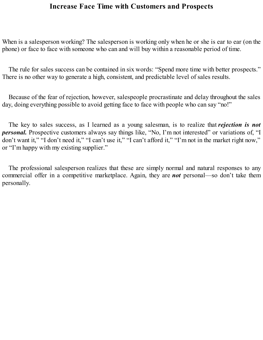## **Increase Face Time with Customers and Prospects**

When is a salesperson working? The salesperson is working only when he or she is ear to ear (on the phone) or face to face with someone who can and will buy within a reasonable period of time.

The rule for sales success can be contained in six words: "Spend more time with better prospects." There is no other way to generate a high, consistent, and predictable level of sales results.

Because of the fear of rejection, however, salespeople procrastinate and delay throughout the sales day, doing everything possible to avoid getting face to face with people who can say "no!"

The key to sales success, as I learned as a young salesman, is to realize that *rejection is not personal*. Prospective customers always say things like, "No, I'm not interested" or variations of, "I don't want it," "I don't need it," "I can't use it," "I can't afford it," "I'm not in the market right now," or "I'm happy with my existing supplier."

The professional salesperson realizes that these are simply normal and natural responses to any commercial offer in a competitive marketplace. Again, they are *not* personal—so don't take them personally.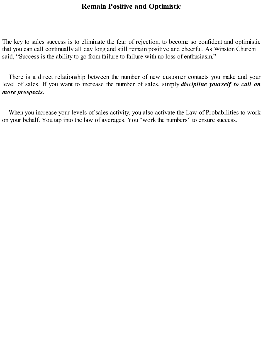## **Remain Positive and Optimistic**

The key to sales success is to eliminate the fear of rejection, to become so confident and optimistic that you can call continually all day long and still remain positive and cheerful. As Winston Churchill said, "Success is the ability to go from failure to failure with no loss of enthusiasm."

There is a direct relationship between the number of new customer contacts you make and your level of sales. If you want to increase the number of sales, simply *discipline yourself to call on more prospects.*

When you increase your levels of sales activity, you also activate the Law of Probabilities to work on your behalf. You tap into the law of averages. You "work the numbers" to ensure success.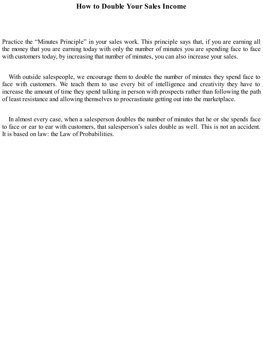#### **How to Double Your Sales Income**

Practice the "Minutes Principle" in your sales work. This principle says that, if you are earning all the money that you are earning today with only the number of minutes you are spending face to face with customers today, by increasing that number of minutes, you can also increase your sales.

With outside salespeople, we encourage them to double the number of minutes they spend face to face with customers. We teach them to use every bit of intelligence and creativity they have to increase the amount of time they spend talking in person with prospects rather than following the path of least resistance and allowing themselves to procrastinate getting out into the marketplace.

In almost every case, when a salesperson doubles the number of minutes that he or she spends face to face or ear to ear with customers, that salesperson's sales double as well. This is not an accident. It is based on law: the Law of Probabilities.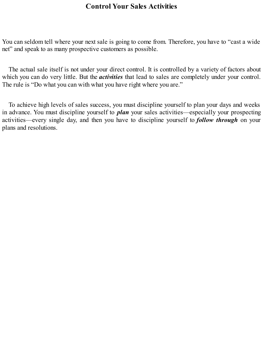## **Control Your Sales Activities**

You can seldom tell where your next sale is going to come from. Therefore, you have to "cast a wide net" and speak to as many prospective customers as possible.

The actual sale itself is not under your direct control. It is controlled by a variety of factors about which you can do very little. But the *activities* that lead to sales are completely under your control. The rule is "Do what you can with what you have right where you are."

To achieve high levels of sales success, you must discipline yourself to plan your days and weeks in advance. You must discipline yourself to *plan* your sales activities—especially your prospecting activities—every single day, and then you have to discipline yourself to *follow through* on your plans and resolutions.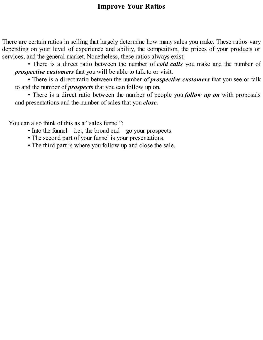## **Improve Your Ratios**

There are certain ratios in selling that largely determine how many sales you make. These ratios vary depending on your level of experience and ability, the competition, the prices of your products or services, and the general market. Nonetheless, these ratios always exist:

• There is a direct ratio between the number of *cold calls* you make and the number of *prospective customers* that you will be able to talk to or visit.

• There is a direct ratio between the number of *prospective customers* that you see or talk to and the number of *prospects* that you can follow up on.

• There is a direct ratio between the number of people you *follow up on* with proposals and presentations and the number of sales that you *close.*

You can also think of this as a "sales funnel":

- Into the funnel—i.e., the broad end—go your prospects.
- The second part of your funnel is your presentations.
- The third part is where you follow up and close the sale.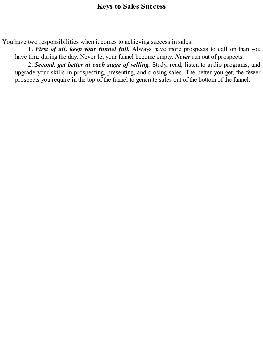## **Keys to Sales Success**

You have two responsibilities when it comes to achieving success in sales:

1. *First of all, keep your funnel full.* Always have more prospects to call on than you have time during the day. Never let your funnel become empty. *Never* run out of prospects.

2. *Second, get better at each stage of selling.* Study, read, listen to audio programs, and upgrade your skills in prospecting, presenting, and closing sales. The better you get, the fewer prospects you require in the top of the funnel to generate sales out of the bottom of the funnel.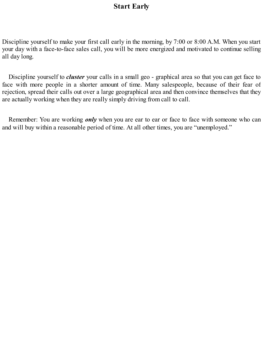## **Start Early**

Discipline yourself to make your first call early in the morning, by 7:00 or 8:00 A.M. When you start your day with a face-to-face sales call, you will be more energized and motivated to continue selling all day long.

Discipline yourself to *cluster* your calls in a small geo - graphical area so that you can get face to face with more people in a shorter amount of time. Many salespeople, because of their fear of rejection, spread their calls out over a large geographical area and then convince themselves that they are actually working when they are really simply driving from call to call.

Remember: You are working *only* when you are ear to ear or face to face with someone who can and will buy within a reasonable period of time. At all other times, you are "unemployed."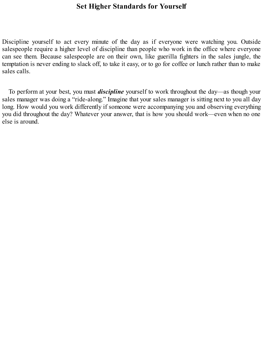## **Set Higher Standards for Yourself**

Discipline yourself to act every minute of the day as if everyone were watching you. Outside salespeople require a higher level of discipline than people who work in the office where everyone can see them. Because salespeople are on their own, like guerilla fighters in the sales jungle, the temptation is never ending to slack off, to take it easy, or to go for coffee or lunch rather than to make sales calls.

To perform at your best, you must *discipline* yourself to work throughout the day—as though your sales manager was doing a "ride-along." Imagine that your sales manager is sitting next to you all day long. How would you work differently if someone were accompanying you and observing everything you did throughout the day? Whatever your answer, that is how you should work—even when no one else is around.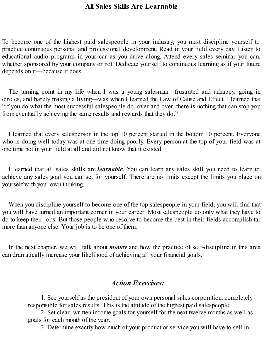#### **All Sales Skills Are Learnable**

To become one of the highest paid salespeople in your industry, you must discipline yourself to practice continuous personal and professional development. Read in your field every day. Listen to educational audio programs in your car as you drive along. Attend every sales seminar you can, whether sponsored by your company or not. Dedicate yourself to continuous learning as if your future depends on it—because it does.

The turning point in my life when I was a young salesman—frustrated and unhappy, going in circles, and barely making a living—was when I learned the Law of Cause and Effect. I learned that "if you do what the most successful salespeople do, over and over, there is nothing that can stop you from eventually achieving the same results and rewards that they do."

I learned that every salesperson in the top 10 percent started in the bottom 10 percent. Everyone who is doing well today was at one time doing poorly. Every person at the top of your field was at one time not in your field at all and did not know that it existed.

I learned that all sales skills are *learnable*. You can learn any sales skill you need to learn to achieve any sales goal you can set for yourself. There are no limits except the limits you place on yourself with your own thinking.

When you discipline yourself to become one of the top salespeople in your field, you will find that you will have turned an important corner in your career. Most salespeople do only what they have to do to keep their jobs. But those people who resolve to become the best in their fields accomplish far more than anyone else. Your job is to be one of them.

In the next chapter, we will talk about *money* and how the practice of self-discipline in this area can dramatically increase your likelihood of achieving all your financial goals.

#### *Action Exercises:*

1. See yourself as the president of your own personal sales corporation, completely responsible for sales results. This is the attitude of the highest paid salespeople.

2. Set clear, written income goals for yourself for the next twelve months as well as goals for each month of the year.

3. Determine exactly how much of your product or service you will have to sell in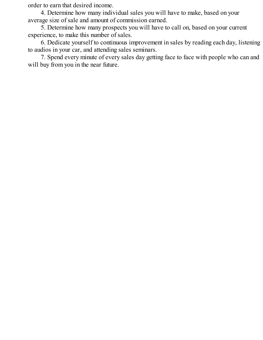order to earn that desired income.

4. Determine how many individual sales you will have to make, based on your average size of sale and amount of commission earned.

5. Determine how many prospects you will have to call on, based on your current experience, to make this number of sales.

6. Dedicate yourself to continuous improvement in sales by reading each day, listening to audios in your car, and attending sales seminars.

7. Spend every minute of every sales day getting face to face with people who can and will buy from you in the near future.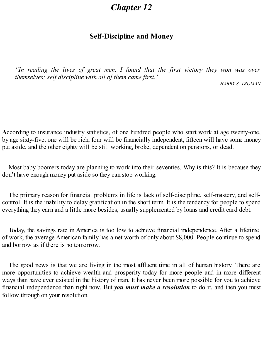# *Chapter 12*

#### **Self-Discipline and Money**

*"In reading the lives of great men, I found that the first victory they won was over themselves; self discipline with all of them came first."*

*—HARRY S. TRUMAN*

**A**ccording to insurance industry statistics, of one hundred people who start work at age twenty-one, by age sixty-five, one will be rich, four will be financially independent, fifteen will have some money put aside, and the other eighty will be still working, broke, dependent on pensions, or dead.

Most baby boomers today are planning to work into their seventies. Why is this? It is because they don't have enough money put aside so they can stop working.

The primary reason for financial problems in life is lack of self-discipline, self-mastery, and selfcontrol. It is the inability to delay gratification in the short term. It is the tendency for people to spend everything they earn and a little more besides, usually supplemented by loans and credit card debt.

Today, the savings rate in America is too low to achieve financial independence. After a lifetime of work, the average American family has a net worth of only about \$8,000. People continue to spend and borrow as if there is no tomorrow.

The good news is that we are living in the most affluent time in all of human history. There are more opportunities to achieve wealth and prosperity today for more people and in more different ways than have ever existed in the history of man. It has never been more possible for you to achieve financial independence than right now. But *you must make a resolution* to do it, and then you must follow through on your resolution.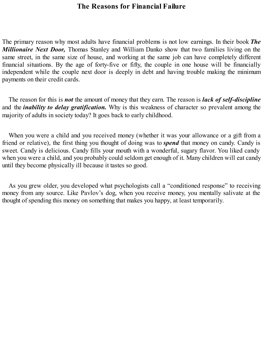#### **The Reasons for Financial Failure**

The primary reason why most adults have financial problems is not low earnings. In their book *The Millionaire Next Door,* Thomas Stanley and William Danko show that two families living on the same street, in the same size of house, and working at the same job can have completely different financial situations. By the age of forty-five or fifty, the couple in one house will be financially independent while the couple next door is deeply in debt and having trouble making the minimum payments on their credit cards.

The reason for this is *not* the amount of money that they earn. The reason is *lack of self-discipline* and the *inability to delay gratification.* Why is this weakness of character so prevalent among the majority of adults in society today? It goes back to early childhood.

When you were a child and you received money (whether it was your allowance or a gift from a friend or relative), the first thing you thought of doing was to *spend* that money on candy. Candy is sweet. Candy is delicious. Candy fills your mouth with a wonderful, sugary flavor. You liked candy when you were a child, and you probably could seldom get enough of it. Many children will eat candy until they become physically ill because it tastes so good.

As you grew older, you developed what psychologists call a "conditioned response" to receiving money from any source. Like Pavlov's dog, when you receive money, you mentally salivate at the thought of spending this money on something that makes you happy, at least temporarily.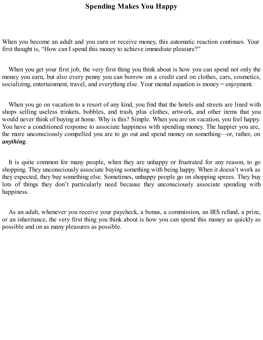## **Spending Makes You Happy**

When you become an adult and you earn or receive money, this automatic reaction continues. Your first thought is, "How can I spend this money to achieve immediate pleasure?"

When you get your first job, the very first thing you think about is how you can spend not only the money you earn, but also every penny you can borrow on a credit card on clothes, cars, cosmetics, socializing, entertainment, travel, and everything else. Your mental equation is money = enjoyment.

When you go on vacation to a resort of any kind, you find that the hotels and streets are lined with shops selling useless trinkets, bobbles, and trash, plus clothes, artwork, and other items that you would never think of buying at home. Why is this? Simple. When you are on vacation, you feel happy. You have a conditioned response to associate happiness with spending money. The happier you are, the more unconsciously compelled you are to go out and spend money on something—or, rather, on *anything*.

It is quite common for many people, when they are unhappy or frustrated for any reason, to go shopping. They unconsciously associate buying something with being happy. When it doesn't work as they expected, they buy something else. Sometimes, unhappy people go on shopping sprees. They buy lots of things they don't particularly need because they unconsciously associate spending with happiness.

As an adult, whenever you receive your paycheck, a bonus, a commission, an IRS refund, a prize, or an inheritance, the very first thing you think about is how you can spend this money as quickly as possible and on as many pleasures as possible.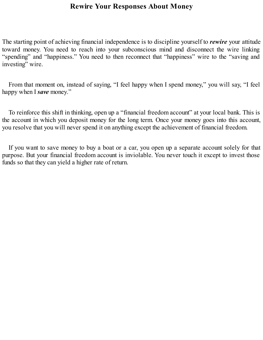## **Rewire Your Responses About Money**

The starting point of achieving financial independence is to discipline yourself to *rewire* your attitude toward money. You need to reach into your subconscious mind and disconnect the wire linking "spending" and "happiness." You need to then reconnect that "happiness" wire to the "saving and investing" wire.

From that moment on, instead of saying, "I feel happy when I spend money," you will say, "I feel happy when I *save* money."

To reinforce this shift in thinking, open up a "financial freedom account" at your local bank. This is the account in which you deposit money for the long term. Once your money goes into this account, you resolve that you will never spend it on anything except the achievement of financial freedom.

If you want to save money to buy a boat or a car, you open up a separate account solely for that purpose. But your financial freedom account is inviolable. You never touch it except to invest those funds so that they can yield a higher rate of return.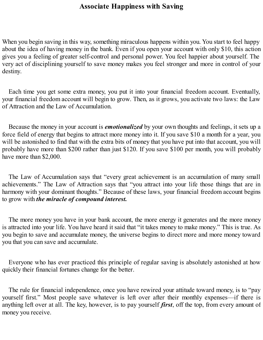### **Associate Happiness with Saving**

When you begin saving in this way, something miraculous happens within you. You start to feel happy about the idea of having money in the bank. Even if you open your account with only \$10, this action gives you a feeling of greater self-control and personal power. You feel happier about yourself. The very act of disciplining yourself to save money makes you feel stronger and more in control of your destiny.

Each time you get some extra money, you put it into your financial freedom account. Eventually, your financial freedom account will begin to grow. Then, as it grows, you activate two laws: the Law of Attraction and the Law of Accumulation.

Because the money in your account is *emotionalized* by your own thoughts and feelings, it sets up a force field of energy that begins to attract more money into it. If you save \$10 a month for a year, you will be astonished to find that with the extra bits of money that you have put into that account, you will probably have more than \$200 rather than just \$120. If you save \$100 per month, you will probably have more than \$2,000.

The Law of Accumulation says that "every great achievement is an accumulation of many small achievements." The Law of Attraction says that "you attract into your life those things that are in harmony with your dominant thoughts." Because of these laws, your financial freedom account begins to grow with *the miracle of compound interest.*

The more money you have in your bank account, the more energy it generates and the more money is attracted into your life. You have heard it said that "it takes money to make money." This is true. As you begin to save and accumulate money, the universe begins to direct more and more money toward you that you can save and accumulate.

Everyone who has ever practiced this principle of regular saving is absolutely astonished at how quickly their financial fortunes change for the better.

The rule for financial independence, once you have rewired your attitude toward money, is to "pay yourself first." Most people save whatever is left over after their monthly expenses—if there is anything left over at all. The key, however, is to pay yourself *first*, off the top, from every amount of money you receive.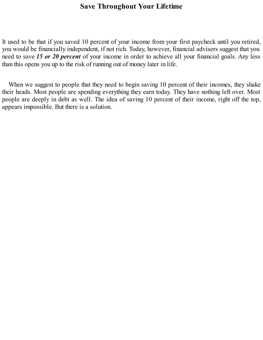## **Save Throughout Your Lifetime**

It used to be that if you saved 10 percent of your income from your first paycheck until you retired, you would be financially independent, if not rich. Today, however, financial advisers suggest that you need to save *15 or 20 percent* of your income in order to achieve all your financial goals. Any less than this opens you up to the risk of running out of money later in life.

When we suggest to people that they need to begin saving 10 percent of their incomes, they shake their heads. Most people are spending everything they earn today. They have nothing left over. Most people are deeply in debt as well. The idea of saving 10 percent of their income, right off the top, appears impossible. But there is a solution.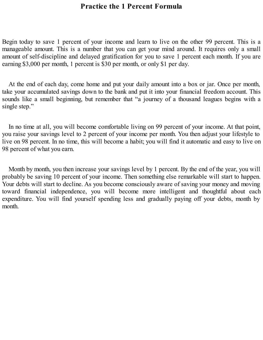### **Practice the 1 Percent Formula**

Begin today to save 1 percent of your income and learn to live on the other 99 percent. This is a manageable amount. This is a number that you can get your mind around. It requires only a small amount of self-discipline and delayed gratification for you to save 1 percent each month. If you are earning \$3,000 per month, 1 percent is \$30 per month, or only \$1 per day.

At the end of each day, come home and put your daily amount into a box or jar. Once per month, take your accumulated savings down to the bank and put it into your financial freedom account. This sounds like a small beginning, but remember that "a journey of a thousand leagues begins with a single step."

In no time at all, you will become comfortable living on 99 percent of your income. At that point, you raise your savings level to 2 percent of your income per month. You then adjust your lifestyle to live on 98 percent. In no time, this will become a habit; you will find it automatic and easy to live on 98 percent of what you earn.

Month by month, you then increase your savings level by 1 percent. By the end of the year, you will probably be saving 10 percent of your income. Then something else remarkable will start to happen. Your debts will start to decline. As you become consciously aware of saving your money and moving toward financial independence, you will become more intelligent and thoughtful about each expenditure. You will find yourself spending less and gradually paying off your debts, month by month.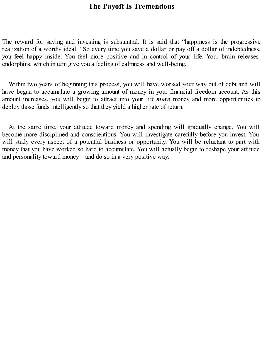## **The Payoff Is Tremendous**

The reward for saving and investing is substantial. It is said that "happiness is the progressive realization of a worthy ideal." So every time you save a dollar or pay off a dollar of indebtedness, you feel happy inside. You feel more positive and in control of your life. Your brain releases endorphins, which in turn give you a feeling of calmness and well-being.

Within two years of beginning this process, you will have worked your way out of debt and will have begun to accumulate a growing amount of money in your financial freedom account. As this amount increases, you will begin to attract into your life *more* money and more opportunities to deploy those funds intelligently so that they yield a higher rate of return.

At the same time, your attitude toward money and spending will gradually change. You will become more disciplined and conscientious. You will investigate carefully before you invest. You will study every aspect of a potential business or opportunity. You will be reluctant to part with money that you have worked so hard to accumulate. You will actually begin to reshape your attitude and personality toward money—and do so in a very positive way.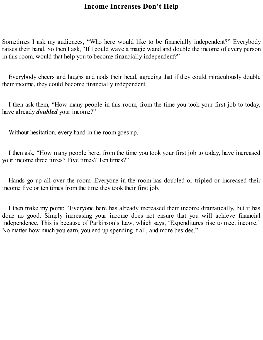## **Income Increases Don't Help**

Sometimes I ask my audiences, "Who here would like to be financially independent?" Everybody raises their hand. So then I ask, "If I could wave a magic wand and double the income of every person in this room, would that help you to become financially independent?"

Everybody cheers and laughs and nods their head, agreeing that if they could miraculously double their income, they could become financially independent.

I then ask them, "How many people in this room, from the time you took your first job to today, have already *doubled* your income?"

Without hesitation, every hand in the room goes up.

I then ask, "How many people here, from the time you took your first job to today, have increased your income three times? Five times? Ten times?"

Hands go up all over the room. Everyone in the room has doubled or tripled or increased their income five or ten times from the time they took their first job.

I then make my point: "Everyone here has already increased their income dramatically, but it has done no good. Simply increasing your income does not ensure that you will achieve financial independence. This is because of Parkinson's Law, which says, 'Expenditures rise to meet income.' No matter how much you earn, you end up spending it all, and more besides."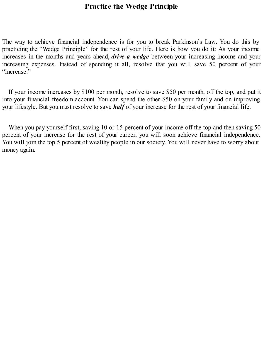## **Practice the Wedge Principle**

The way to achieve financial independence is for you to break Parkinson's Law. You do this by practicing the "Wedge Principle" for the rest of your life. Here is how you do it: As your income increases in the months and years ahead, *drive a wedge* between your increasing income and your increasing expenses. Instead of spending it all, resolve that you will save 50 percent of your "increase."

If your income increases by \$100 per month, resolve to save \$50 per month, off the top, and put it into your financial freedom account. You can spend the other \$50 on your family and on improving your lifestyle. But you must resolve to save *half* of your increase for the rest of your financial life.

When you pay yourself first, saving 10 or 15 percent of your income off the top and then saving 50 percent of your increase for the rest of your career, you will soon achieve financial independence. You will join the top 5 percent of wealthy people in our society. You will never have to worry about money again.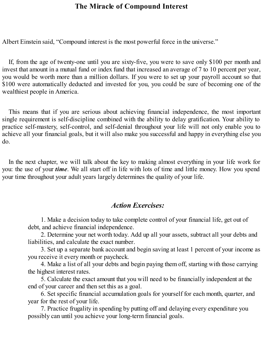#### **The Miracle of Compound Interest**

Albert Einstein said, "Compound interest is the most powerful force in the universe."

If, from the age of twenty-one until you are sixty-five, you were to save only \$100 per month and invest that amount in a mutual fund or index fund that increased an average of 7 to 10 percent per year, you would be worth more than a million dollars. If you were to set up your payroll account so that \$100 were automatically deducted and invested for you, you could be sure of becoming one of the wealthiest people in America.

This means that if you are serious about achieving financial independence, the most important single requirement is self-discipline combined with the ability to delay gratification. Your ability to practice self-mastery, self-control, and self-denial throughout your life will not only enable you to achieve all your financial goals, but it will also make you successful and happy in everything else you do.

In the next chapter, we will talk about the key to making almost everything in your life work for you: the use of your *time*. We all start off in life with lots of time and little money. How you spend your time throughout your adult years largely determines the quality of your life.

### *Action Exercises:*

1. Make a decision today to take complete control of your financial life, get out of debt, and achieve financial independence.

2. Determine your net worth today. Add up all your assets, subtract all your debts and liabilities, and calculate the exact number.

3. Set up a separate bank account and begin saving at least 1 percent of your income as you receive it every month or paycheck.

4. Make a list of all your debts and begin paying them off, starting with those carrying the highest interest rates.

5. Calculate the exact amount that you will need to be financially independent at the end of your career and then set this as a goal.

6. Set specific financial accumulation goals for yourself for each month, quarter, and year for the rest of your life.

7. Practice frugality in spending by putting off and delaying every expenditure you possibly can until you achieve your long-term financial goals.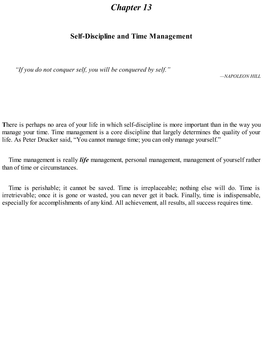# *Chapter 13*

#### **Self-Discipline and Time Management**

*"If you do not conquer self, you will be conquered by self."*

*—NAPOLEON HILL*

**T**here is perhaps no area of your life in which self-discipline is more important than in the way you manage your time. Time management is a core discipline that largely determines the quality of your life. As Peter Drucker said, "You cannot manage time; you can only manage yourself."

Time management is really *life* management, personal management, management of yourself rather than of time or circumstances.

Time is perishable; it cannot be saved. Time is irreplaceable; nothing else will do. Time is irretrievable; once it is gone or wasted, you can never get it back. Finally, time is indispensable, especially for accomplishments of any kind. All achievement, all results, all success requires time.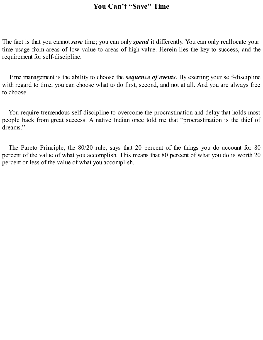## **You Can't "Save" Time**

The fact is that you cannot *save* time; you can only *spend* it differently. You can only reallocate your time usage from areas of low value to areas of high value. Herein lies the key to success, and the requirement for self-discipline.

Time management is the ability to choose the *sequence of events*. By exerting your self-discipline with regard to time, you can choose what to do first, second, and not at all. And you are always free to choose.

You require tremendous self-discipline to overcome the procrastination and delay that holds most people back from great success. A native Indian once told me that "procrastination is the thief of dreams."

The Pareto Principle, the 80/20 rule, says that 20 percent of the things you do account for 80 percent of the value of what you accomplish. This means that 80 percent of what you do is worth 20 percent or less of the value of what you accomplish.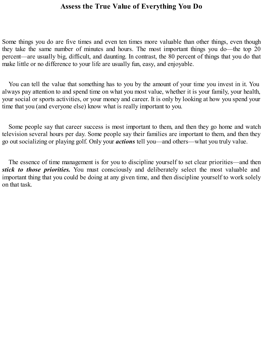## **Assess the True Value of Everything You Do**

Some things you do are five times and even ten times more valuable than other things, even though they take the same number of minutes and hours. The most important things you do—the top 20 percent—are usually big, difficult, and daunting. In contrast, the 80 percent of things that you do that make little or no difference to your life are usually fun, easy, and enjoyable.

You can tell the value that something has to you by the amount of your time you invest in it. You always pay attention to and spend time on what you most value, whether it is your family, your health, your social or sports activities, or your money and career. It is only by looking at how you spend your time that you (and everyone else) know what is really important to you.

Some people say that career success is most important to them, and then they go home and watch television several hours per day. Some people say their families are important to them, and then they go out socializing or playing golf. Only your *actions* tell you—and others—what you truly value.

The essence of time management is for you to discipline yourself to set clear priorities—and then *stick to those priorities.* You must consciously and deliberately select the most valuable and important thing that you could be doing at any given time, and then discipline yourself to work solely on that task.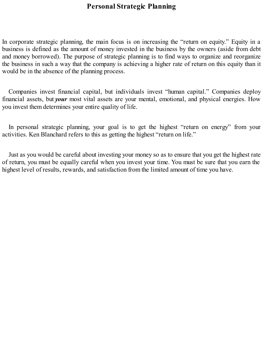## **Personal Strategic Planning**

In corporate strategic planning, the main focus is on increasing the "return on equity." Equity in a business is defined as the amount of money invested in the business by the owners (aside from debt and money borrowed). The purpose of strategic planning is to find ways to organize and reorganize the business in such a way that the company is achieving a higher rate of return on this equity than it would be in the absence of the planning process.

Companies invest financial capital, but individuals invest "human capital." Companies deploy financial assets, but *your* most vital assets are your mental, emotional, and physical energies. How you invest them determines your entire quality of life.

In personal strategic planning, your goal is to get the highest "return on energy" from your activities. Ken Blanchard refers to this as getting the highest "return on life."

Just as you would be careful about investing your money so as to ensure that you get the highest rate of return, you must be equally careful when you invest your time. You must be sure that you earn the highest level of results, rewards, and satisfaction from the limited amount of time you have.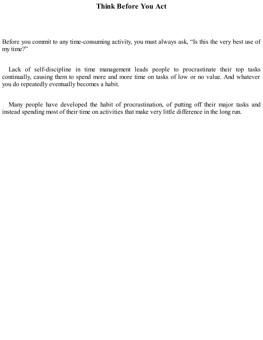## **Think Before You Act**

Before you commit to any time-consuming activity, you must always ask, "Is this the very best use of my time?"

Lack of self-discipline in time management leads people to procrastinate their top tasks continually, causing them to spend more and more time on tasks of low or no value. And whatever you do repeatedly eventually becomes a habit.

Many people have developed the habit of procrastination, of putting off their major tasks and instead spending most of their time on activities that make very little difference in the long run.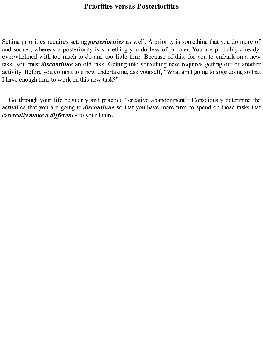## **Priorities versus Posteriorities**

Setting priorities requires setting *posteriorities* as well. A priority is something that you do more of and sooner, whereas a posteriority is something you do less of or later. You are probably already overwhelmed with too much to do and too little time. Because of this, for you to embark on a new task, you must *discontinue* an old task. Getting into something new requires getting out of another activity. Before you commit to a new undertaking, ask yourself, "What am I going to *stop* doing so that I have enough time to work on this new task?"

Go through your life regularly and practice "creative abandonment": Consciously determine the activities that you are going to *discontinue* so that you have more time to spend on those tasks that can *really make a difference* to your future.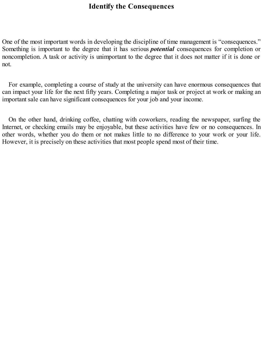## **Identify the Consequences**

One of the most important words in developing the discipline of time management is "consequences." Something is important to the degree that it has serious *potential* consequences for completion or noncompletion. A task or activity is unimportant to the degree that it does not matter if it is done or not.

For example, completing a course of study at the university can have enormous consequences that can impact your life for the next fifty years. Completing a major task or project at work or making an important sale can have significant consequences for your job and your income.

On the other hand, drinking coffee, chatting with coworkers, reading the newspaper, surfing the Internet, or checking emails may be enjoyable, but these activities have few or no consequences. In other words, whether you do them or not makes little to no difference to your work or your life. However, it is precisely on these activities that most people spend most of their time.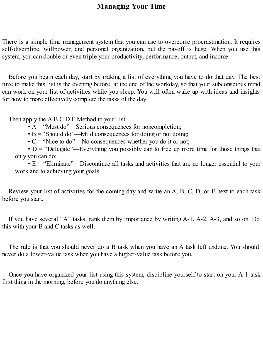## **Managing Your Time**

There is a simple time management system that you can use to overcome procrastination. It requires self-discipline, willpower, and personal organization, but the payoff is huge. When you use this system, you can double or even triple your productivity, performance, output, and income.

Before you begin each day, start by making a list of everything you have to do that day. The best time to make this list is the evening before, at the end of the workday, so that your subconscious mind can work on your list of activities while you sleep. You will often wake up with ideas and insights for how to more effectively complete the tasks of the day.

Then apply the A B C D E Method to your list:

• A = "Must do"—Serious consequences for noncompletion;

 $\cdot$  B = "Should do"—Mild consequences for doing or not doing;

 $\cdot$  C = "Nice to do"—No consequences whether you do it or not;

•  $D =$  "Delegate"—Everything you possibly can to free up more time for those things that only you can do;

 $\cdot$  E = "Eliminate"—Discontinue all tasks and activities that are no longer essential to your work and to achieving your goals.

Review your list of activities for the coming day and write an A, B, C, D, or E next to each task before you start.

If you have several "A" tasks, rank them by importance by writing A-1, A-2, A-3, and so on. Do this with your B and C tasks as well.

The rule is that you should never do a B task when you have an A task left undone. You should never do a lower-value task when you have a higher-value task before you.

Once you have organized your list using this system, discipline yourself to start on your A-1 task first thing in the morning, before you do anything else.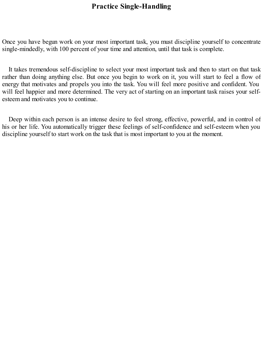## **Practice Single-Handling**

Once you have begun work on your most important task, you must discipline yourself to concentrate single-mindedly, with 100 percent of your time and attention, until that task is complete.

It takes tremendous self-discipline to select your most important task and then to start on that task rather than doing anything else. But once you begin to work on it, you will start to feel a flow of energy that motivates and propels you into the task. You will feel more positive and confident. You will feel happier and more determined. The very act of starting on an important task raises your selfesteem and motivates you to continue.

Deep within each person is an intense desire to feel strong, effective, powerful, and in control of his or her life. You automatically trigger these feelings of self-confidence and self-esteem when you discipline yourself to start work on the task that is most important to you at the moment.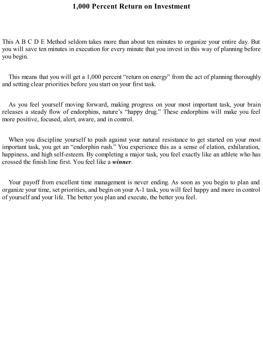## **1,000 Percent Return on Investment**

This A B C D E Method seldom takes more than about ten minutes to organize your entire day. But you will save ten minutes in execution for every minute that you invest in this way of planning before you begin.

This means that you will get a 1,000 percent "return on energy" from the act of planning thoroughly and setting clear priorities before you start on your first task.

As you feel yourself moving forward, making progress on your most important task, your brain releases a steady flow of endorphins, nature's "happy drug." These endorphins will make you feel more positive, focused, alert, aware, and in control.

When you discipline yourself to push against your natural resistance to get started on your most important task, you get an "endorphin rush." You experience this as a sense of elation, exhilaration, happiness, and high self-esteem. By completing a major task, you feel exactly like an athlete who has crossed the finish line first. You feel like a *winner*.

Your payoff from excellent time management is never ending. As soon as you begin to plan and organize your time, set priorities, and begin on your A-1 task, you will feel happy and more in control of yourself and your life. The better you plan and execute, the better you feel.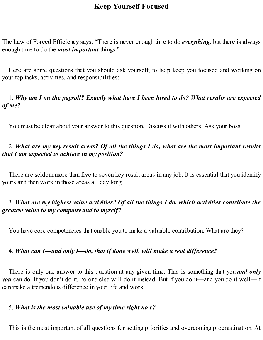## **Keep Yourself Focused**

The Law of Forced Efficiency says, "There is never enough time to do *everything,* but there is always enough time to do the *most important* things."

Here are some questions that you should ask yourself, to help keep you focused and working on your top tasks, activities, and responsibilities:

1. *Why am I on the payroll? Exactly what have I been hired to do? What results are expected of me?*

You must be clear about your answer to this question. Discuss it with others. Ask your boss.

#### 2. *What are my key result areas? Of all the things I do, what are the most important results that I am expected to achieve in my position?*

There are seldom more than five to seven key result areas in any job. It is essential that you identify yours and then work in those areas all day long.

#### 3. *What are my highest value activities? Of all the things I do, which activities contribute the greatest value to my company and to myself?*

You have core competencies that enable you to make a valuable contribution. What are they?

#### 4. *What can I—and only I—do, that if done well, will make a real difference?*

There is only one answer to this question at any given time. This is something that you *and only you* can do. If you don't do it, no one else will do it instead. But if you do it—and you do it well—it can make a tremendous difference in your life and work.

#### 5. *What is the most valuable use of my time right now?*

This is the most important of all questions for setting priorities and overcoming procrastination. At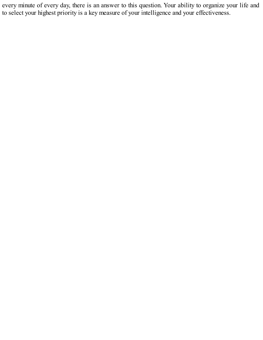every minute of every day, there is an answer to this question. Your ability to organize your life and to select your highest priority is a key measure of your intelligence and your effectiveness.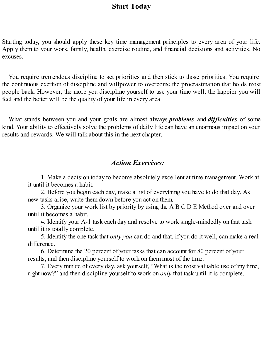## **Start Today**

Starting today, you should apply these key time management principles to every area of your life. Apply them to your work, family, health, exercise routine, and financial decisions and activities. No excuses.

You require tremendous discipline to set priorities and then stick to those priorities. You require the continuous exertion of discipline and willpower to overcome the procrastination that holds most people back. However, the more you discipline yourself to use your time well, the happier you will feel and the better will be the quality of your life in every area.

What stands between you and your goals are almost always *problems* and *difficulties* of some kind. Your ability to effectively solve the problems of daily life can have an enormous impact on your results and rewards. We will talk about this in the next chapter.

#### *Action Exercises:*

1. Make a decision today to become absolutely excellent at time management. Work at it until it becomes a habit.

2. Before you begin each day, make a list of everything you have to do that day. As new tasks arise, write them down before you act on them.

3. Organize your work list by priority by using the A B C D E Method over and over until it becomes a habit.

4. Identify your A-1 task each day and resolve to work single-mindedly on that task until it is totally complete.

5. Identify the one task that *only you* can do and that, if you do it well, can make a real difference.

6. Determine the 20 percent of your tasks that can account for 80 percent of your results, and then discipline yourself to work on them most of the time.

7. Every minute of every day, ask yourself, "What is the most valuable use of my time, right now?" and then discipline yourself to work on *only* that task until it is complete.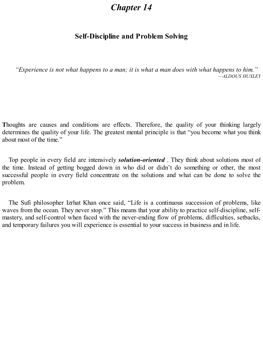# *Chapter 14*

## **Self-Discipline and Problem Solving**

*"Experience is not what happens to a man; it is what a man does with what happens to him." —ALDOUS HUXLEY*

**T**houghts are causes and conditions are effects. Therefore, the quality of your thinking largely determines the quality of your life. The greatest mental principle is that "you become what you think about most of the time."

Top people in every field are intensively *solution-oriented* . They think about solutions most of the time. Instead of getting bogged down in who did or didn't do something or other, the most successful people in every field concentrate on the solutions and what can be done to solve the problem.

The Sufi philosopher Izrhat Khan once said, "Life is a continuous succession of problems, like waves from the ocean. They never stop." This means that your ability to practice self-discipline, selfmastery, and self-control when faced with the never-ending flow of problems, difficulties, setbacks, and temporary failures you will experience is essential to your success in business and in life.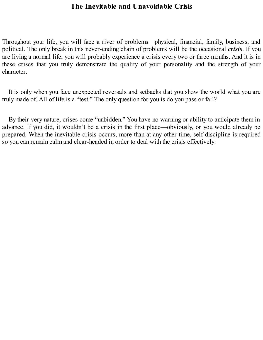## **The Inevitable and Unavoidable Crisis**

Throughout your life, you will face a river of problems—physical, financial, family, business, and political. The only break in this never-ending chain of problems will be the occasional *crisis*. If you are living a normal life, you will probably experience a crisis every two or three months. And it is in these crises that you truly demonstrate the quality of your personality and the strength of your character.

It is only when you face unexpected reversals and setbacks that you show the world what you are truly made of. All of life is a "test." The only question for you is do you pass or fail?

By their very nature, crises come "unbidden." You have no warning or ability to anticipate them in advance. If you did, it wouldn't be a crisis in the first place—obviously, or you would already be prepared. When the inevitable crisis occurs, more than at any other time, self-discipline is required so you can remain calm and clear-headed in order to deal with the crisis effectively.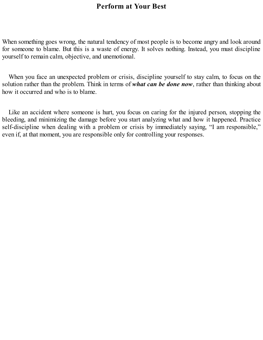### **Perform at Your Best**

When something goes wrong, the natural tendency of most people is to become angry and look around for someone to blame. But this is a waste of energy. It solves nothing. Instead, you must discipline yourself to remain calm, objective, and unemotional.

When you face an unexpected problem or crisis, discipline yourself to stay calm, to focus on the solution rather than the problem. Think in terms of *what can be done now*, rather than thinking about how it occurred and who is to blame.

Like an accident where someone is hurt, you focus on caring for the injured person, stopping the bleeding, and minimizing the damage before you start analyzing what and how it happened. Practice self-discipline when dealing with a problem or crisis by immediately saying, "I am responsible," even if, at that moment, you are responsible only for controlling your responses.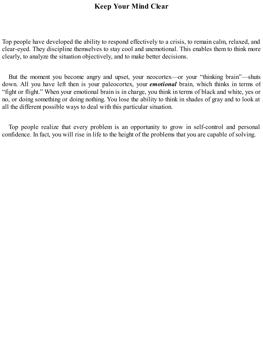# **Keep Your Mind Clear**

Top people have developed the ability to respond effectively to a crisis, to remain calm, relaxed, and clear-eyed. They discipline themselves to stay cool and unemotional. This enables them to think more clearly, to analyze the situation objectively, and to make better decisions.

But the moment you become angry and upset, your neocortex—or your "thinking brain"—shuts down. All you have left then is your paleocortex, your *emotional* brain, which thinks in terms of "fight or flight." When your emotional brain is in charge, you think in terms of black and white, yes or no, or doing something or doing nothing. You lose the ability to think in shades of gray and to look at all the different possible ways to deal with this particular situation.

Top people realize that every problem is an opportunity to grow in self-control and personal confidence. In fact, you will rise in life to the height of the problems that you are capable of solving.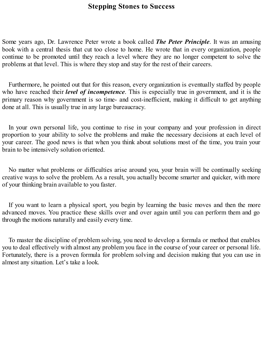#### **Stepping Stones to Success**

Some years ago, Dr. Lawrence Peter wrote a book called *The Peter Principle*. It was an amusing book with a central thesis that cut too close to home. He wrote that in every organization, people continue to be promoted until they reach a level where they are no longer competent to solve the problems at that level. This is where they stop and stay for the rest of their careers.

Furthermore, he pointed out that for this reason, every organization is eventually staffed by people who have reached their *level of incompetence*. This is especially true in government, and it is the primary reason why government is so time- and cost-inefficient, making it difficult to get anything done at all. This is usually true in any large bureaucracy.

In your own personal life, you continue to rise in your company and your profession in direct proportion to your ability to solve the problems and make the necessary decisions at each level of your career. The good news is that when you think about solutions most of the time, you train your brain to be intensively solution oriented.

No matter what problems or difficulties arise around you, your brain will be continually seeking creative ways to solve the problem. As a result, you actually become smarter and quicker, with more of your thinking brain available to you faster.

If you want to learn a physical sport, you begin by learning the basic moves and then the more advanced moves. You practice these skills over and over again until you can perform them and go through the motions naturally and easily every time.

To master the discipline of problem solving, you need to develop a formula or method that enables you to deal effectively with almost any problem you face in the course of your career or personal life. Fortunately, there is a proven formula for problem solving and decision making that you can use in almost any situation. Let's take a look.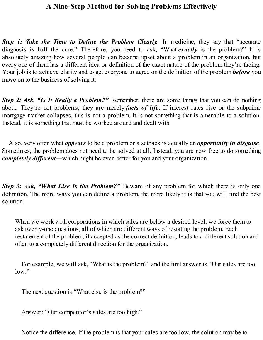#### **A Nine-Step Method for Solving Problems Effectively**

*Step 1: Take the Time to Define the Problem Clearly.* In medicine, they say that "accurate diagnosis is half the cure." Therefore, you need to ask, "What *exactly* is the problem?" It is absolutely amazing how several people can become upset about a problem in an organization, but every one of them has a different idea or definition of the exact nature of the problem they're facing. Your job is to achieve clarity and to get everyone to agree on the definition of the problem *before* you move on to the business of solving it.

*Step 2: Ask, "Is It Really a Problem?"* Remember, there are some things that you can do nothing about. They're not problems; they are merely *facts of life*. If interest rates rise or the subprime mortgage market collapses, this is not a problem. It is not something that is amenable to a solution. Instead, it is something that must be worked around and dealt with.

Also, very often what *appears* to be a problem or a setback is actually an *opportunity in disguise*. Sometimes, the problem does not need to be solved at all. Instead, you are now free to do something *completely different*—which might be even better for you and your organization.

*Step 3: Ask, "What Else Is the Problem?"* Beware of any problem for which there is only one definition. The more ways you can define a problem, the more likely it is that you will find the best solution.

When we work with corporations in which sales are below a desired level, we force them to ask twenty-one questions, all of which are different ways of restating the problem. Each restatement of the problem, if accepted as the correct definition, leads to a different solution and often to a completely different direction for the organization.

For example, we will ask, "What is the problem?" and the first answer is "Our sales are too low."

The next question is "What else is the problem?"

Answer: "Our competitor's sales are too high."

Notice the difference. If the problem is that your sales are too low, the solution may be to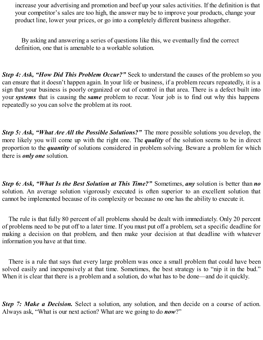increase your advertising and promotion and beef up your sales activities. If the definition is that your competitor's sales are too high, the answer may be to improve your products, change your product line, lower your prices, or go into a completely different business altogether.

By asking and answering a series of questions like this, we eventually find the correct definition, one that is amenable to a workable solution.

*Step 4: Ask, "How Did This Problem Occur?"* Seek to understand the causes of the problem so you can ensure that it doesn't happen again. In your life or business, if a problem recurs repeatedly, it is a sign that your business is poorly organized or out of control in that area. There is a defect built into your *systems* that is causing the *same* problem to recur. Your job is to find out why this happens repeatedly so you can solve the problem at its root.

*Step 5: Ask, "What Are All the Possible Solutions?"* The more possible solutions you develop, the more likely you will come up with the right one. The *quality* of the solution seems to be in direct proportion to the *quantity* of solutions considered in problem solving. Beware a problem for which there is *only one* solution.

*Step 6: Ask, "What Is the Best Solution at This Time?"* Sometimes, *any* solution is better than *no* solution. An average solution vigorously executed is often superior to an excellent solution that cannot be implemented because of its complexity or because no one has the ability to execute it.

The rule is that fully 80 percent of all problems should be dealt with immediately. Only 20 percent of problems need to be put off to a later time. If you must put off a problem, set a specific deadline for making a decision on that problem, and then make your decision at that deadline with whatever information you have at that time.

There is a rule that says that every large problem was once a small problem that could have been solved easily and inexpensively at that time. Sometimes, the best strategy is to "nip it in the bud." When it is clear that there is a problem and a solution, do what has to be done—and do it quickly.

*Step 7: Make a Decision.* Select a solution, any solution, and then decide on a course of action. Always ask, "What is our next action? What are we going to do *now*?"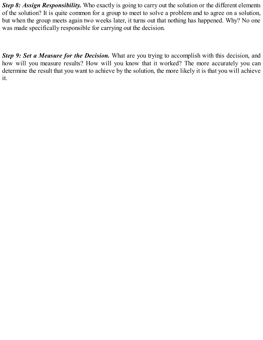*Step 8: Assign Responsibility.* Who exactly is going to carry out the solution or the different elements of the solution? It is quite common for a group to meet to solve a problem and to agree on a solution, but when the group meets again two weeks later, it turns out that nothing has happened. Why? No one was made specifically responsible for carrying out the decision.

*Step 9: Set a Measure for the Decision.* What are you trying to accomplish with this decision, and how will you measure results? How will you know that it worked? The more accurately you can determine the result that you want to achieve by the solution, the more likely it is that you will achieve it.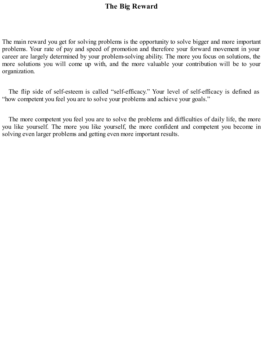# **The Big Reward**

The main reward you get for solving problems is the opportunity to solve bigger and more important problems. Your rate of pay and speed of promotion and therefore your forward movement in your career are largely determined by your problem-solving ability. The more you focus on solutions, the more solutions you will come up with, and the more valuable your contribution will be to your organization.

The flip side of self-esteem is called "self-efficacy." Your level of self-efficacy is defined as "how competent you feel you are to solve your problems and achieve your goals."

The more competent you feel you are to solve the problems and difficulties of daily life, the more you like yourself. The more you like yourself, the more confident and competent you become in solving even larger problems and getting even more important results.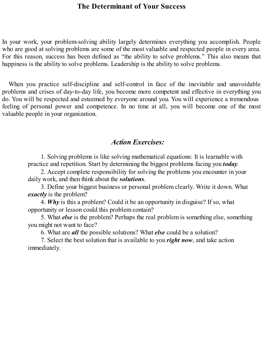#### **The Determinant of Your Success**

In your work, your problem-solving ability largely determines everything you accomplish. People who are good at solving problems are some of the most valuable and respected people in every area. For this reason, success has been defined as "the ability to solve problems." This also means that happiness is the ability to solve problems. Leadership is the ability to solve problems.

When you practice self-discipline and self-control in face of the inevitable and unavoidable problems and crises of day-to-day life, you become more competent and effective in everything you do. You will be respected and esteemed by everyone around you. You will experience a tremendous feeling of personal power and competence. In no time at all, you will become one of the most valuable people in your organization.

#### *Action Exercises:*

1. Solving problems is like solving mathematical equations: It is learnable with practice and repetition. Start by determining the biggest problems facing you *today*.

2. Accept complete responsibility for solving the problems you encounter in your daily work, and then think about the *solutions*.

3. Define your biggest business or personal problem clearly. Write it down. What *exactly* is the problem?

4. *Why* is this a problem? Could it be an opportunity in disguise? If so, what opportunity or lesson could this problem contain?

5. What *else* is the problem? Perhaps the real problem is something else, something you might not want to face?

6. What are *all* the possible solutions? What *else* could be a solution?

7. Select the best solution that is available to you *right now*, and take action immediately.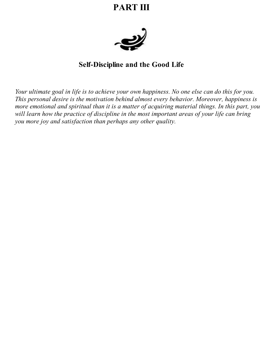# **PART III**



# **Self-Discipline and the Good Life**

Your ultimate goal in life is to achieve your own happiness. No one else can do this for you. *This personal desire is the motivation behind almost every behavior. Moreover, happiness is more emotional and spiritual than it is a matter of acquiring material things. In this part, you will learn how the practice of discipline in the most important areas of your life can bring you more joy and satisfaction than perhaps any other quality.*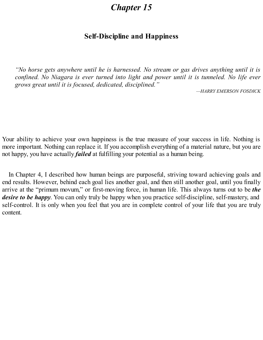# *Chapter 15*

#### **Self-Discipline and Happiness**

*"No horse gets anywhere until he is harnessed. No stream or gas drives anything until it is confined. No Niagara is ever turned into light and power until it is tunneled. No life ever grows great until it is focused, dedicated, disciplined."*

*—HARRY EMERSON FOSDICK*

Your ability to achieve your own happiness is the true measure of your success in life. Nothing is more important. Nothing can replace it. If you accomplish everything of a material nature, but you are not happy, you have actually *failed* at fulfilling your potential as a human being.

In Chapter 4, I described how human beings are purposeful, striving toward achieving goals and end results. However, behind each goal lies another goal, and then still another goal, until you finally arrive at the "primum movum," or first-moving force, in human life. This always turns out to be *the desire to be happy*. You can only truly be happy when you practice self-discipline, self-mastery, and self-control. It is only when you feel that you are in complete control of your life that you are truly content.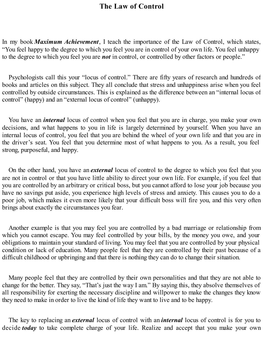#### **The Law of Control**

In my book *Maximum Achievement*, I teach the importance of the Law of Control, which states, "You feel happy to the degree to which you feel you are in control of your own life. You feel unhappy to the degree to which you feel you are *not* in control, or controlled by other factors or people."

Psychologists call this your "locus of control." There are fifty years of research and hundreds of books and articles on this subject. They all conclude that stress and unhappiness arise when you feel controlled by outside circumstances. This is explained as the difference between an "internal locus of control" (happy) and an "external locus of control" (unhappy).

You have an *internal* locus of control when you feel that you are in charge, you make your own decisions, and what happens to you in life is largely determined by yourself. When you have an internal locus of control, you feel that you are behind the wheel of your own life and that you are in the driver's seat. You feel that you determine most of what happens to you. As a result, you feel strong, purposeful, and happy.

On the other hand, you have an *external* locus of control to the degree to which you feel that you are not in control or that you have little ability to direct your own life. For example, if you feel that you are controlled by an arbitrary or critical boss, but you cannot afford to lose your job because you have no savings put aside, you experience high levels of stress and anxiety. This causes you to do a poor job, which makes it even more likely that your difficult boss will fire you, and this very often brings about exactly the circumstances you fear.

Another example is that you may feel you are controlled by a bad marriage or relationship from which you cannot escape. You may feel controlled by your bills, by the money you owe, and your obligations to maintain your standard of living. You may feel that you are controlled by your physical condition or lack of education. Many people feel that they are controlled by their past because of a difficult childhood or upbringing and that there is nothing they can do to change their situation.

Many people feel that they are controlled by their own personalities and that they are not able to change for the better. They say, "That's just the way I am." By saying this, they absolve themselves of all responsibility for exerting the necessary discipline and willpower to make the changes they know they need to make in order to live the kind of life they want to live and to be happy.

The key to replacing an *external* locus of control with an *internal* locus of control is for you to decide *today* to take complete charge of your life. Realize and accept that you make your own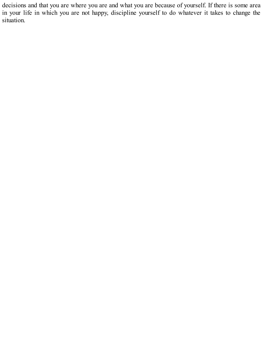decisions and that you are where you are and what you are because of yourself. If there is some area in your life in which you are not happy, discipline yourself to do whatever it takes to change the situation.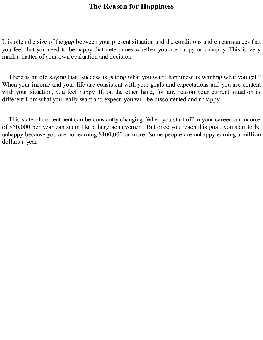### **The Reason for Happiness**

It is often the size of the *gap* between your present situation and the conditions and circumstances that you feel that you need to be happy that determines whether you are happy or unhappy. This is very much a matter of your own evaluation and decision.

There is an old saying that "success is getting what you want; happiness is wanting what you get." When your income and your life are consistent with your goals and expectations and you are content with your situation, you feel happy. If, on the other hand, for any reason your current situation is different from what you really want and expect, you will be discontented and unhappy.

This state of contentment can be constantly changing. When you start off in your career, an income of \$50,000 per year can seem like a huge achievement. But once you reach this goal, you start to be unhappy because you are not earning \$100,000 or more. Some people are unhappy earning a million dollars a year.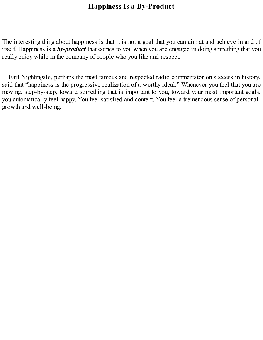# **Happiness Is a By-Product**

The interesting thing about happiness is that it is not a goal that you can aim at and achieve in and of itself. Happiness is a *by-product* that comes to you when you are engaged in doing something that you really enjoy while in the company of people who you like and respect.

Earl Nightingale, perhaps the most famous and respected radio commentator on success in history, said that "happiness is the progressive realization of a worthy ideal." Whenever you feel that you are moving, step-by-step, toward something that is important to you, toward your most important goals, you automatically feel happy. You feel satisfied and content. You feel a tremendous sense of personal growth and well-being.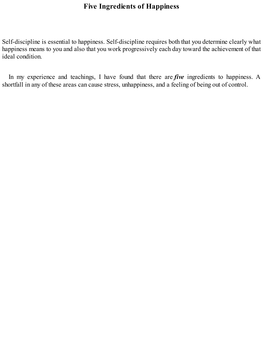# **Five Ingredients of Happiness**

Self-discipline is essential to happiness. Self-discipline requires both that you determine clearly what happiness means to you and also that you work progressively each day toward the achievement of that ideal condition.

In my experience and teachings, I have found that there are *five* ingredients to happiness. A shortfall in any of these areas can cause stress, unhappiness, and a feeling of being out of control.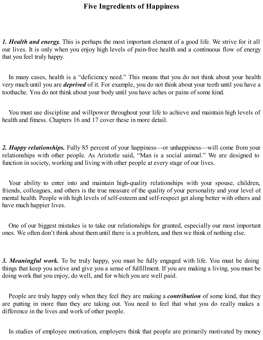# **Five Ingredients of Happiness**

*1. Health and energy.* This is perhaps the most important element of a good life. We strive for it all our lives. It is only when you enjoy high levels of pain-free health and a continuous flow of energy that you feel truly happy.

In many cases, health is a "deficiency need." This means that you do not think about your health very much until you are *deprived* of it. For example, you do not think about your teeth until you have a toothache. You do not think about your body until you have aches or pains of some kind.

You must use discipline and willpower throughout your life to achieve and maintain high levels of health and fitness. Chapters 16 and 17 cover these in more detail.

*2. Happy relationships.* Fully 85 percent of your happiness—or unhappiness—will come from your relationships with other people. As Aristotle said, "Man is a social animal." We are designed to function in society, working and living with other people at every stage of our lives.

Your ability to enter into and maintain high-quality relationships with your spouse, children, friends, colleagues, and others is the true measure of the quality of your personality and your level of mental health. People with high levels of self-esteem and self-respect get along better with others and have much happier lives.

One of our biggest mistakes is to take our relationships for granted, especially our most important ones. We often don't think about them until there is a problem, and then we think of nothing else.

*3. Meaningful work.* To be truly happy, you must be fully engaged with life. You must be doing things that keep you active and give you a sense of fulfillment. If you are making a living, you must be doing work that you enjoy, do well, and for which you are well paid.

People are truly happy only when they feel they are making a *contribution* of some kind, that they are putting in more than they are taking out. You need to feel that what you do really makes a difference in the lives and work of other people.

In studies of employee motivation, employers think that people are primarily motivated by money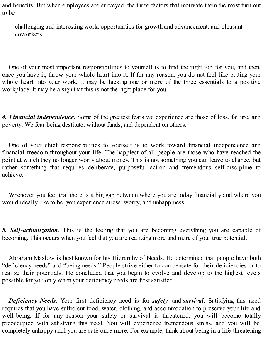and benefits. But when employees are surveyed, the three factors that motivate them the most turn out to be

challenging and interesting work; opportunities for growth and advancement; and pleasant coworkers.

One of your most important responsibilities to yourself is to find the right job for you, and then, once you have it, throw your whole heart into it. If for any reason, you do not feel like putting your whole heart into your work, it may be lacking one or more of the three essentials to a positive workplace. It may be a sign that this is not the right place for you.

*4. Financial independence.* Some of the greatest fears we experience are those of loss, failure, and poverty. We fear being destitute, without funds, and dependent on others.

One of your chief responsibilities to yourself is to work toward financial independence and financial freedom throughout your life. The happiest of all people are those who have reached the point at which they no longer worry about money. This is not something you can leave to chance, but rather something that requires deliberate, purposeful action and tremendous self-discipline to achieve.

Whenever you feel that there is a big gap between where you are today financially and where you would ideally like to be, you experience stress, worry, and unhappiness.

*5. Self-actualization*. This is the feeling that you are becoming everything you are capable of becoming. This occurs when you feel that you are realizing more and more of your true potential.

Abraham Maslow is best known for his Hierarchy of Needs. He determined that people have both "deficiency needs" and "being needs." People strive either to compensate for their deficiencies or to realize their potentials. He concluded that you begin to evolve and develop to the highest levels possible for you only when your deficiency needs are first satisfied.

*Deficiency Needs.* Your first deficiency need is for *safety* and *survival*. Satisfying this need requires that you have sufficient food, water, clothing, and accommodation to preserve your life and well-being. If for any reason your safety or survival is threatened, you will become totally preoccupied with satisfying this need. You will experience tremendous stress, and you will be completely unhappy until you are safe once more. For example, think about being in a life-threatening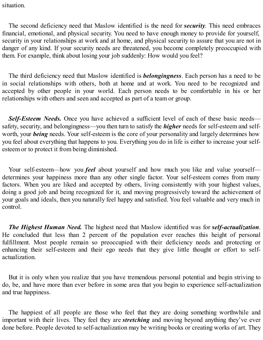situation.

The second deficiency need that Maslow identified is the need for *security*. This need embraces financial, emotional, and physical security. You need to have enough money to provide for yourself, security in your relationships at work and at home, and physical security to assure that you are not in danger of any kind. If your security needs are threatened, you become completely preoccupied with them. For example, think about losing your job suddenly: How would you feel?

The third deficiency need that Maslow identified is *belongingness*. Each person has a need to be in social relationships with others, both at home and at work. You need to be recognized and accepted by other people in your world. Each person needs to be comfortable in his or her relationships with others and seen and accepted as part of a team or group.

*Self-Esteem Needs.* Once you have achieved a sufficient level of each of these basic needs safety, security, and belongingness—you then turn to satisfy the *higher* needs for self-esteem and selfworth, your *being* needs. Your self-esteem is the core of your personality and largely determines how you feel about everything that happens to you. Everything you do in life is either to increase your selfesteem or to protect it from being diminished.

Your self-esteem—how you *feel* about yourself and how much you like and value yourself determines your happiness more than any other single factor. Your self-esteem comes from many factors. When you are liked and accepted by others, living consistently with your highest values, doing a good job and being recognized for it, and moving progressively toward the achievement of your goals and ideals, then you naturally feel happy and satisfied. You feel valuable and very much in control.

*The Highest Human Need.* The highest need that Maslow identified was for *self-actualization*. He concluded that less than 2 percent of the population ever reaches this height of personal fulfillment. Most people remain so preoccupied with their deficiency needs and protecting or enhancing their self-esteem and their ego needs that they give little thought or effort to selfactualization.

But it is only when you realize that you have tremendous personal potential and begin striving to do, be, and have more than ever before in some area that you begin to experience self-actualization and true happiness.

The happiest of all people are those who feel that they are doing something worthwhile and important with their lives. They feel they are *stretching* and moving beyond anything they've ever done before. People devoted to self-actualization may be writing books or creating works of art. They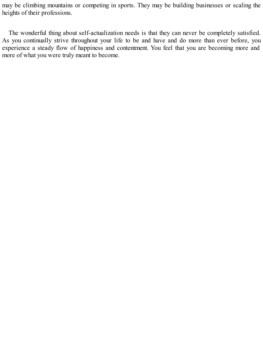may be climbing mountains or competing in sports. They may be building businesses or scaling the heights of their professions.

The wonderful thing about self-actualization needs is that they can never be completely satisfied. As you continually strive throughout your life to be and have and do more than ever before, you experience a steady flow of happiness and contentment. You feel that you are becoming more and more of what you were truly meant to become.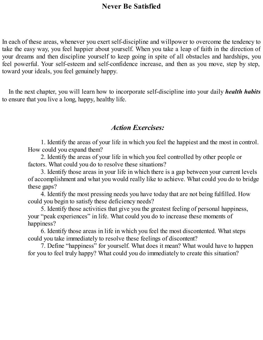#### **Never Be Satisfied**

In each of these areas, whenever you exert self-discipline and willpower to overcome the tendency to take the easy way, you feel happier about yourself. When you take a leap of faith in the direction of your dreams and then discipline yourself to keep going in spite of all obstacles and hardships, you feel powerful. Your self-esteem and self-confidence increase, and then as you move, step by step, toward your ideals, you feel genuinely happy.

In the next chapter, you will learn how to incorporate self-discipline into your daily *health habits* to ensure that you live a long, happy, healthy life.

### *Action Exercises:*

1. Identify the areas of your life in which you feel the happiest and the most in control. How could you expand them?

2. Identify the areas of your life in which you feel controlled by other people or factors. What could you do to resolve these situations?

3. Identify those areas in your life in which there is a gap between your current levels of accomplishment and what you would really like to achieve. What could you do to bridge these gaps?

4. Identify the most pressing needs you have today that are not being fulfilled. How could you begin to satisfy these deficiency needs?

5. Identify those activities that give you the greatest feeling of personal happiness, your "peak experiences" in life. What could you do to increase these moments of happiness?

6. Identify those areas in life in which you feel the most discontented. What steps could you take immediately to resolve these feelings of discontent?

7. Define "happiness" for yourself. What does it mean? What would have to happen for you to feel truly happy? What could you do immediately to create this situation?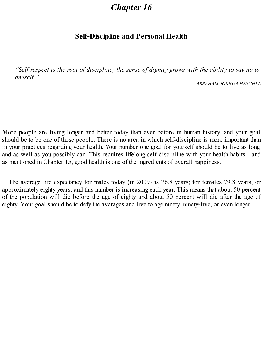# *Chapter 16*

### **Self-Discipline and Personal Health**

"Self respect is the root of discipline; the sense of dignity grows with the ability to say no to *oneself."*

*—ABRAHAM JOSHUA HESCHEL*

**M**ore people are living longer and better today than ever before in human history, and your goal should be to be one of those people. There is no area in which self-discipline is more important than in your practices regarding your health. Your number one goal for yourself should be to live as long and as well as you possibly can. This requires lifelong self-discipline with your health habits—and as mentioned in Chapter 15, good health is one of the ingredients of overall happiness.

The average life expectancy for males today (in 2009) is 76.8 years; for females 79.8 years, or approximately eighty years, and this number is increasing each year. This means that about 50 percent of the population will die before the age of eighty and about 50 percent will die after the age of eighty. Your goal should be to defy the averages and live to age ninety, ninety-five, or even longer.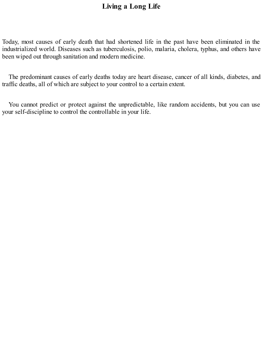# **Living a Long Life**

Today, most causes of early death that had shortened life in the past have been eliminated in the industrialized world. Diseases such as tuberculosis, polio, malaria, cholera, typhus, and others have been wiped out through sanitation and modern medicine.

The predominant causes of early deaths today are heart disease, cancer of all kinds, diabetes, and traffic deaths, all of which are subject to your control to a certain extent.

You cannot predict or protect against the unpredictable, like random accidents, but you can use your self-discipline to control the controllable in your life.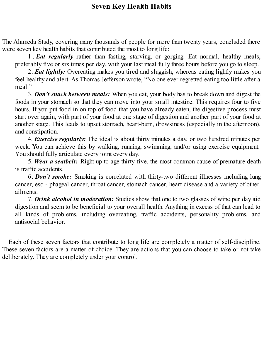# **Seven Key Health Habits**

The Alameda Study, covering many thousands of people for more than twenty years, concluded there were seven key health habits that contributed the most to long life:

1 . *Eat regularly* rather than fasting, starving, or gorging. Eat normal, healthy meals, preferably five or six times per day, with your last meal fully three hours before you go to sleep.

2. *Eat lightly:* Overeating makes you tired and sluggish, whereas eating lightly makes you feel healthy and alert. As Thomas Jefferson wrote, "No one ever regretted eating too little after a meal."

3. *Don't snack between meals:* When you eat, your body has to break down and digest the foods in your stomach so that they can move into your small intestine. This requires four to five hours. If you put food in on top of food that you have already eaten, the digestive process must start over again, with part of your food at one stage of digestion and another part of your food at another stage. This leads to upset stomach, heart-burn, drowsiness (especially in the afternoon), and constipation.

4. *Exercise regularly:* The ideal is about thirty minutes a day, or two hundred minutes per week. You can achieve this by walking, running, swimming, and/or using exercise equipment. You should fully articulate every joint every day.

5. *Wear a seatbelt:* Right up to age thirty-five, the most common cause of premature death is traffic accidents.

6. *Don't smoke:* Smoking is correlated with thirty-two different illnesses including lung cancer, eso - phageal cancer, throat cancer, stomach cancer, heart disease and a variety of other ailments.

7. *Drink alcohol in moderation:* Studies show that one to two glasses of wine per day aid digestion and seem to be beneficial to your overall health. Anything in excess of that can lead to all kinds of problems, including overeating, traffic accidents, personality problems, and antisocial behavior.

Each of these seven factors that contribute to long life are completely a matter of self-discipline. These seven factors are a matter of choice. They are actions that you can choose to take or not take deliberately. They are completely under your control.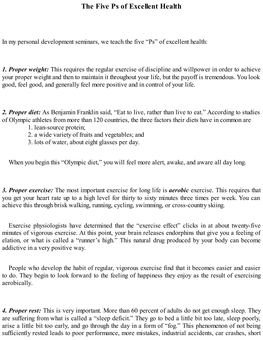# **The Five Ps of Excellent Health**

In my personal development seminars, we teach the five "Ps" of excellent health:

*1. Proper weight:* This requires the regular exercise of discipline and willpower in order to achieve your proper weight and then to maintain it throughout your life, but the payoff is tremendous. You look good, feel good, and generally feel more positive and in control of your life.

*2. Proper diet:* As Benjamin Franklin said, "Eat to live, rather than live to eat." According to studies of Olympic athletes from more than 120 countries, the three factors their diets have in common are

- 1. lean-source protein;
- 2. a wide variety of fruits and vegetables; and
- 3. lots of water, about eight glasses per day.

When you begin this "Olympic diet," you will feel more alert, awake, and aware all day long.

*3. Proper exercise:* The most important exercise for long life is *aerobic* exercise. This requires that you get your heart rate up to a high level for thirty to sixty minutes three times per week. You can achieve this through brisk walking, running, cycling, swimming, or cross-country skiing.

Exercise physiologists have determined that the "exercise effect" clicks in at about twenty-five minutes of vigorous exercise. At this point, your brain releases endorphins that give you a feeling of elation, or what is called a "runner's high." This natural drug produced by your body can become addictive in a very positive way.

People who develop the habit of regular, vigorous exercise find that it becomes easier and easier to do. They begin to look forward to the feeling of happiness they enjoy as the result of exercising aerobically.

*4. Proper rest:* This is very important. More than 60 percent of adults do not get enough sleep. They are suffering from what is called a "sleep deficit." They go to bed a little bit too late, sleep poorly, arise a little bit too early, and go through the day in a form of "fog." This phenomenon of not being sufficiently rested leads to poor performance, more mistakes, industrial accidents, car crashes, short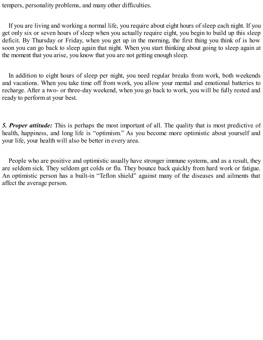tempers, personality problems, and many other difficulties.

If you are living and working a normal life, you require about eight hours of sleep each night. If you get only six or seven hours of sleep when you actually require eight, you begin to build up this sleep deficit. By Thursday or Friday, when you get up in the morning, the first thing you think of is how soon you can go back to sleep again that night. When you start thinking about going to sleep again at the moment that you arise, you know that you are not getting enough sleep.

In addition to eight hours of sleep per night, you need regular breaks from work, both weekends and vacations. When you take time off from work, you allow your mental and emotional batteries to recharge. After a two- or three-day weekend, when you go back to work, you will be fully rested and ready to perform at your best.

*5. Proper attitude:* This is perhaps the most important of all. The quality that is most predictive of health, happiness, and long life is "optimism." As you become more optimistic about yourself and your life, your health will also be better in every area.

People who are positive and optimistic usually have stronger immune systems, and as a result, they are seldom sick. They seldom get colds or flu. They bounce back quickly from hard work or fatigue. An optimistic person has a built-in "Teflon shield" against many of the diseases and ailments that affect the average person.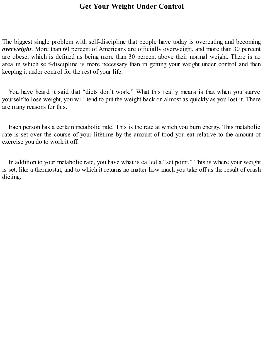#### **Get Your Weight Under Control**

The biggest single problem with self-discipline that people have today is overeating and becoming *overweight*. More than 60 percent of Americans are officially overweight, and more than 30 percent are obese, which is defined as being more than 30 percent above their normal weight. There is no area in which self-discipline is more necessary than in getting your weight under control and then keeping it under control for the rest of your life.

You have heard it said that "diets don't work." What this really means is that when you starve yourself to lose weight, you will tend to put the weight back on almost as quickly as you lost it. There are many reasons for this.

Each person has a certain metabolic rate. This is the rate at which you burn energy. This metabolic rate is set over the course of your lifetime by the amount of food you eat relative to the amount of exercise you do to work it off.

In addition to your metabolic rate, you have what is called a "set point." This is where your weight is set, like a thermostat, and to which it returns no matter how much you take off as the result of crash dieting.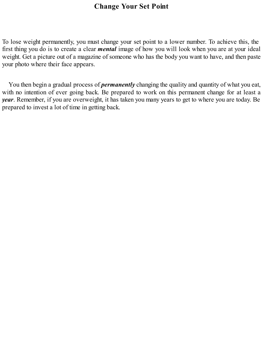# **Change Your Set Point**

To lose weight permanently, you must change your set point to a lower number. To achieve this, the first thing you do is to create a clear *mental* image of how you will look when you are at your ideal weight. Get a picture out of a magazine of someone who has the body you want to have, and then paste your photo where their face appears.

You then begin a gradual process of *permanently* changing the quality and quantity of what you eat, with no intention of ever going back. Be prepared to work on this permanent change for at least a *year*. Remember, if you are overweight, it has taken you many years to get to where you are today. Be prepared to invest a lot of time in getting back.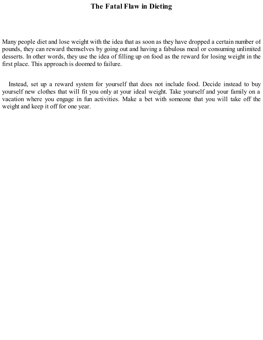# **The Fatal Flaw in Dieting**

Many people diet and lose weight with the idea that as soon as they have dropped a certain number of pounds, they can reward themselves by going out and having a fabulous meal or consuming unlimited desserts. In other words, they use the idea of filling up on food as the reward for losing weight in the first place. This approach is doomed to failure.

Instead, set up a reward system for yourself that does not include food. Decide instead to buy yourself new clothes that will fit you only at your ideal weight. Take yourself and your family on a vacation where you engage in fun activities. Make a bet with someone that you will take off the weight and keep it off for one year.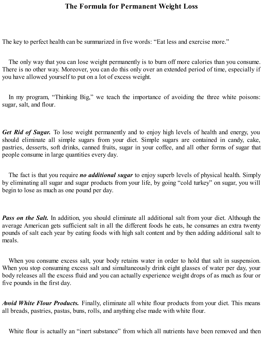### **The Formula for Permanent Weight Loss**

The key to perfect health can be summarized in five words: "Eat less and exercise more."

The only way that you can lose weight permanently is to burn off more calories than you consume. There is no other way. Moreover, you can do this only over an extended period of time, especially if you have allowed yourself to put on a lot of excess weight.

In my program, "Thinking Big," we teach the importance of avoiding the three white poisons: sugar, salt, and flour.

*Get Rid of Sugar.* To lose weight permanently and to enjoy high levels of health and energy, you should eliminate all simple sugars from your diet. Simple sugars are contained in candy, cake, pastries, desserts, soft drinks, canned fruits, sugar in your coffee, and all other forms of sugar that people consume in large quantities every day.

The fact is that you require *no additional sugar* to enjoy superb levels of physical health. Simply by eliminating all sugar and sugar products from your life, by going "cold turkey" on sugar, you will begin to lose as much as one pound per day.

*Pass on the Salt.* In addition, you should eliminate all additional salt from your diet. Although the average American gets sufficient salt in all the different foods he eats, he consumes an extra twenty pounds of salt each year by eating foods with high salt content and by then adding additional salt to meals.

When you consume excess salt, your body retains water in order to hold that salt in suspension. When you stop consuming excess salt and simultaneously drink eight glasses of water per day, your body releases all the excess fluid and you can actually experience weight drops of as much as four or five pounds in the first day.

*Avoid White Flour Products.* Finally, eliminate all white flour products from your diet. This means all breads, pastries, pastas, buns, rolls, and anything else made with white flour.

White flour is actually an "inert substance" from which all nutrients have been removed and then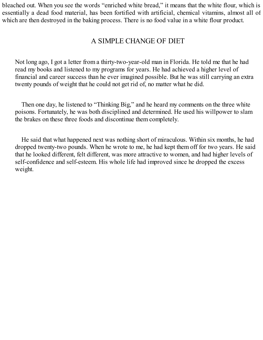bleached out. When you see the words "enriched white bread," it means that the white flour, which is essentially a dead food material, has been fortified with artificial, chemical vitamins, almost all of which are then destroyed in the baking process. There is no food value in a white flour product.

#### A SIMPLE CHANGE OF DIET

Not long ago, I got a letter from a thirty-two-year-old man in Florida. He told me that he had read my books and listened to my programs for years. He had achieved a higher level of financial and career success than he ever imagined possible. But he was still carrying an extra twenty pounds of weight that he could not get rid of, no matter what he did.

Then one day, he listened to "Thinking Big," and he heard my comments on the three white poisons. Fortunately, he was both disciplined and determined. He used his willpower to slam the brakes on these three foods and discontinue them completely.

He said that what happened next was nothing short of miraculous. Within six months, he had dropped twenty-two pounds. When he wrote to me, he had kept them off for two years. He said that he looked different, felt different, was more attractive to women, and had higher levels of self-confidence and self-esteem. His whole life had improved since he dropped the excess weight.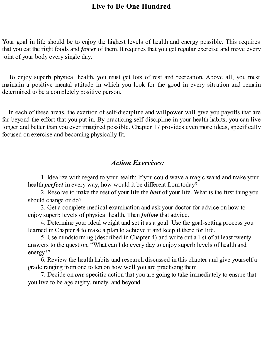#### **Live to Be One Hundred**

Your goal in life should be to enjoy the highest levels of health and energy possible. This requires that you eat the right foods and *fewer* of them. It requires that you get regular exercise and move every joint of your body every single day.

To enjoy superb physical health, you must get lots of rest and recreation. Above all, you must maintain a positive mental attitude in which you look for the good in every situation and remain determined to be a completely positive person.

In each of these areas, the exertion of self-discipline and willpower will give you payoffs that are far beyond the effort that you put in. By practicing self-discipline in your health habits, you can live longer and better than you ever imagined possible. Chapter 17 provides even more ideas, specifically focused on exercise and becoming physically fit.

#### *Action Exercises:*

1. Idealize with regard to your health: If you could wave a magic wand and make your health *perfect* in every way, how would it be different from today?

2. Resolve to make the rest of your life the *best* of your life. What is the first thing you should change or do?

3. Get a complete medical examination and ask your doctor for advice on how to enjoy superb levels of physical health. Then *follow* that advice.

4. Determine your ideal weight and set it as a goal. Use the goal-setting process you learned in Chapter 4 to make a plan to achieve it and keep it there for life.

5. Use mindstorming (described in Chapter 4) and write out a list of at least twenty answers to the question, "What can I do every day to enjoy superb levels of health and energy?"

6. Review the health habits and research discussed in this chapter and give yourself a grade ranging from one to ten on how well you are practicing them.

7. Decide on *one* specific action that you are going to take immediately to ensure that you live to be age eighty, ninety, and beyond.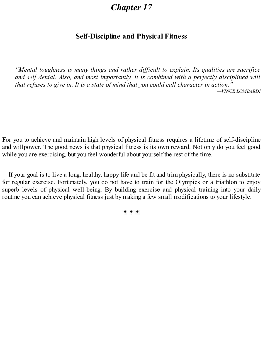# *Chapter 17*

#### **Self-Discipline and Physical Fitness**

*"Mental toughness is many things and rather dif icult to explain. Its qualities are sacrifice and self denial. Also, and most importantly, it is combined with a perfectly disciplined will that refuses to give in. It is a state of mind that you could call character in action." —VINCE LOMBARDI*

For you to achieve and maintain high levels of physical fitness requires a lifetime of self-discipline and willpower. The good news is that physical fitness is its own reward. Not only do you feel good while you are exercising, but you feel wonderful about yourself the rest of the time.

If your goal is to live a long, healthy, happy life and be fit and trim physically, there is no substitute for regular exercise. Fortunately, you do not have to train for the Olympics or a triathlon to enjoy superb levels of physical well-being. By building exercise and physical training into your daily routine you can achieve physical fitness just by making a few small modifications to your lifestyle.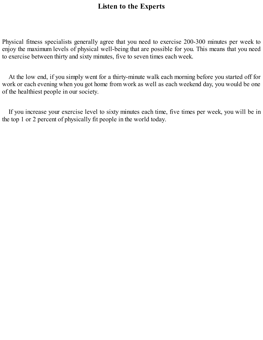### **Listen to the Experts**

Physical fitness specialists generally agree that you need to exercise 200-300 minutes per week to enjoy the maximum levels of physical well-being that are possible for you. This means that you need to exercise between thirty and sixty minutes, five to seven times each week.

At the low end, if you simply went for a thirty-minute walk each morning before you started off for work or each evening when you got home from work as well as each weekend day, you would be one of the healthiest people in our society.

If you increase your exercise level to sixty minutes each time, five times per week, you will be in the top 1 or 2 percent of physically fit people in the world today.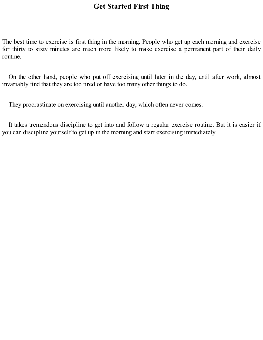# **Get Started First Thing**

The best time to exercise is first thing in the morning. People who get up each morning and exercise for thirty to sixty minutes are much more likely to make exercise a permanent part of their daily routine.

On the other hand, people who put off exercising until later in the day, until after work, almost invariably find that they are too tired or have too many other things to do.

They procrastinate on exercising until another day, which often never comes.

It takes tremendous discipline to get into and follow a regular exercise routine. But it is easier if you can discipline yourself to get up in the morning and start exercising immediately.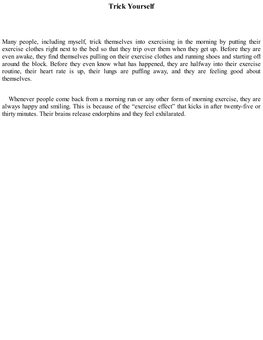# **Trick Yourself**

Many people, including myself, trick themselves into exercising in the morning by putting their exercise clothes right next to the bed so that they trip over them when they get up. Before they are even awake, they find themselves pulling on their exercise clothes and running shoes and starting off around the block. Before they even know what has happened, they are halfway into their exercise routine, their heart rate is up, their lungs are puffing away, and they are feeling good about themselves.

Whenever people come back from a morning run or any other form of morning exercise, they are always happy and smiling. This is because of the "exercise effect" that kicks in after twenty-five or thirty minutes. Their brains release endorphins and they feel exhilarated.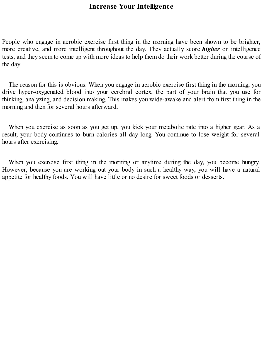#### **Increase Your Intelligence**

People who engage in aerobic exercise first thing in the morning have been shown to be brighter, more creative, and more intelligent throughout the day. They actually score *higher* on intelligence tests, and they seem to come up with more ideas to help them do their work better during the course of the day.

The reason for this is obvious. When you engage in aerobic exercise first thing in the morning, you drive hyper-oxygenated blood into your cerebral cortex, the part of your brain that you use for thinking, analyzing, and decision making. This makes you wide-awake and alert from first thing in the morning and then for several hours afterward.

When you exercise as soon as you get up, you kick your metabolic rate into a higher gear. As a result, your body continues to burn calories all day long. You continue to lose weight for several hours after exercising.

When you exercise first thing in the morning or anytime during the day, you become hungry. However, because you are working out your body in such a healthy way, you will have a natural appetite for healthy foods. You will have little or no desire for sweet foods or desserts.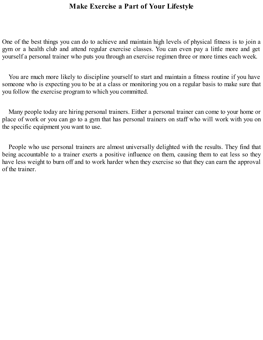#### **Make Exercise a Part of Your Lifestyle**

One of the best things you can do to achieve and maintain high levels of physical fitness is to join a gym or a health club and attend regular exercise classes. You can even pay a little more and get yourself a personal trainer who puts you through an exercise regimen three or more times each week.

You are much more likely to discipline yourself to start and maintain a fitness routine if you have someone who is expecting you to be at a class or monitoring you on a regular basis to make sure that you follow the exercise program to which you committed.

Many people today are hiring personal trainers. Either a personal trainer can come to your home or place of work or you can go to a gym that has personal trainers on staff who will work with you on the specific equipment you want to use.

People who use personal trainers are almost universally delighted with the results. They find that being accountable to a trainer exerts a positive influence on them, causing them to eat less so they have less weight to burn off and to work harder when they exercise so that they can earn the approval of the trainer.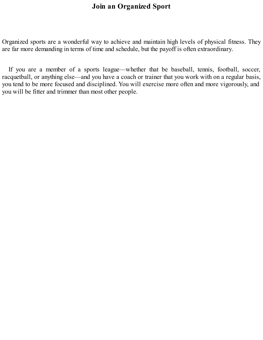## **Join an Organized Sport**

Organized sports are a wonderful way to achieve and maintain high levels of physical fitness. They are far more demanding in terms of time and schedule, but the payoff is often extraordinary.

If you are a member of a sports league—whether that be baseball, tennis, football, soccer, racquetball, or anything else—and you have a coach or trainer that you work with on a regular basis, you tend to be more focused and disciplined. You will exercise more often and more vigorously, and you will be fitter and trimmer than most other people.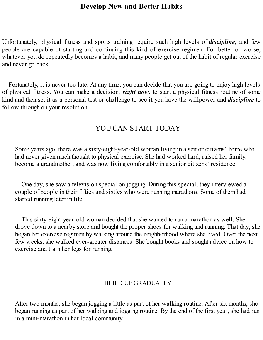#### **Develop New and Better Habits**

Unfortunately, physical fitness and sports training require such high levels of *discipline*, and few people are capable of starting and continuing this kind of exercise regimen. For better or worse, whatever you do repeatedly becomes a habit, and many people get out of the habit of regular exercise and never go back.

Fortunately, it is never too late. At any time, you can decide that you are going to enjoy high levels of physical fitness. You can make a decision, *right now,* to start a physical fitness routine of some kind and then set it as a personal test or challenge to see if you have the willpower and *discipline* to follow through on your resolution.

### YOU CAN START TODAY

Some years ago, there was a sixty-eight-year-old woman living in a senior citizens' home who had never given much thought to physical exercise. She had worked hard, raised her family, become a grandmother, and was now living comfortably in a senior citizens' residence.

One day, she saw a television special on jogging. During this special, they interviewed a couple of people in their fifties and sixties who were running marathons. Some of them had started running later in life.

This sixty-eight-year-old woman decided that she wanted to run a marathon as well. She drove down to a nearby store and bought the proper shoes for walking and running. That day, she began her exercise regimen by walking around the neighborhood where she lived. Over the next few weeks, she walked ever-greater distances. She bought books and sought advice on how to exercise and train her legs for running.

#### BUILD UP GRADUALLY

After two months, she began jogging a little as part of her walking routine. After six months, she began running as part of her walking and jogging routine. By the end of the first year, she had run in a mini-marathon in her local community.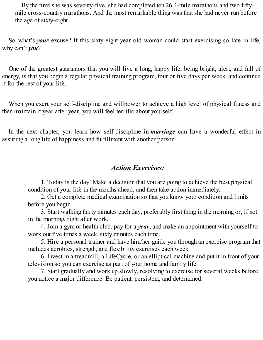By the time she was seventy-five, she had completed ten 26.4-mile marathons and two fiftymile cross-country marathons. And the most remarkable thing was that she had never run before the age of sixty-eight.

So what's *your* excuse? If this sixty-eight-year-old woman could start exercising so late in life, why can't *you*?

One of the greatest guarantors that you will live a long, happy life, being bright, alert, and full of energy, is that you begin a regular physical training program, four or five days per week, and continue it for the rest of your life.

When you exert your self-discipline and willpower to achieve a high level of physical fitness and then maintain it year after year, you will feel terrific about yourself.

In the next chapter, you learn how self-discipline in *marriage* can have a wonderful effect in assuring a long life of happiness and fulfillment with another person.

#### *Action Exercises:*

1. Today is the day! Make a decision that you are going to achieve the best physical condition of your life in the months ahead, and then take action immediately.

2. Get a complete medical examination so that you know your condition and limits before you begin.

3. Start walking thirty minutes each day, preferably first thing in the morning or, if not in the morning, right after work.

4. Join a gym or health club, pay for a *year*, and make an appointment with yourself to work out five times a week, sixty minutes each time.

5. Hire a personal trainer and have him/her guide you through an exercise program that includes aerobics, strength, and flexibility exercises each week.

6. Invest in a treadmill, a LifeCycle, or an elliptical machine and put it in front of your television so you can exercise as part of your home and family life.

7. Start gradually and work up slowly, resolving to exercise for several weeks before you notice a major difference. Be patient, persistent, and determined.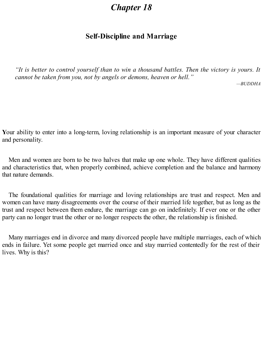# *Chapter 18*

#### **Self-Discipline and Marriage**

*"It is better to control yourself than to win a thousand battles. Then the victory is yours. It cannot be taken from you, not by angels or demons, heaven or hell."*

*—BUDDHA*

**Y**our ability to enter into a long-term, loving relationship is an important measure of your character and personality.

Men and women are born to be two halves that make up one whole. They have different qualities and characteristics that, when properly combined, achieve completion and the balance and harmony that nature demands.

The foundational qualities for marriage and loving relationships are trust and respect. Men and women can have many disagreements over the course of their married life together, but as long as the trust and respect between them endure, the marriage can go on indefinitely. If ever one or the other party can no longer trust the other or no longer respects the other, the relationship is finished.

Many marriages end in divorce and many divorced people have multiple marriages, each of which ends in failure. Yet some people get married once and stay married contentedly for the rest of their lives. Why is this?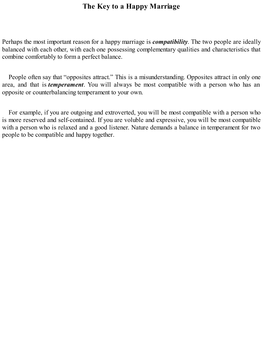## **The Key to a Happy Marriage**

Perhaps the most important reason for a happy marriage is *compatibility*. The two people are ideally balanced with each other, with each one possessing complementary qualities and characteristics that combine comfortably to form a perfect balance.

People often say that "opposites attract." This is a misunderstanding. Opposites attract in only one area, and that is *temperament*. You will always be most compatible with a person who has an opposite or counterbalancing temperament to your own.

For example, if you are outgoing and extroverted, you will be most compatible with a person who is more reserved and self-contained. If you are voluble and expressive, you will be most compatible with a person who is relaxed and a good listener. Nature demands a balance in temperament for two people to be compatible and happy together.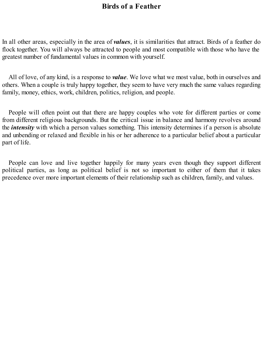#### **Birds of a Feather**

In all other areas, especially in the area of *values*, it is similarities that attract. Birds of a feather do flock together. You will always be attracted to people and most compatible with those who have the greatest number of fundamental values in common with yourself.

All of love, of any kind, is a response to *value*. We love what we most value, both in ourselves and others. When a couple is truly happy together, they seem to have very much the same values regarding family, money, ethics, work, children, politics, religion, and people.

People will often point out that there are happy couples who vote for different parties or come from different religious backgrounds. But the critical issue in balance and harmony revolves around the *intensity* with which a person values something. This intensity determines if a person is absolute and unbending or relaxed and flexible in his or her adherence to a particular belief about a particular part of life.

People can love and live together happily for many years even though they support different political parties, as long as political belief is not so important to either of them that it takes precedence over more important elements of their relationship such as children, family, and values.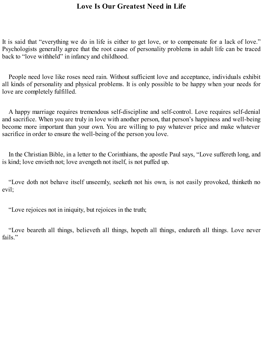#### **Love Is Our Greatest Need in Life**

It is said that "everything we do in life is either to get love, or to compensate for a lack of love." Psychologists generally agree that the root cause of personality problems in adult life can be traced back to "love withheld" in infancy and childhood.

People need love like roses need rain. Without sufficient love and acceptance, individuals exhibit all kinds of personality and physical problems. It is only possible to be happy when your needs for love are completely fulfilled.

A happy marriage requires tremendous self-discipline and self-control. Love requires self-denial and sacrifice. When you are truly in love with another person, that person's happiness and well-being become more important than your own. You are willing to pay whatever price and make whatever sacrifice in order to ensure the well-being of the person you love.

In the Christian Bible, in a letter to the Corinthians, the apostle Paul says, "Love suffereth long, and is kind; love envieth not; love avengeth not itself, is not puffed up.

"Love doth not behave itself unseemly, seeketh not his own, is not easily provoked, thinketh no evil;

"Love rejoices not in iniquity, but rejoices in the truth;

"Love beareth all things, believeth all things, hopeth all things, endureth all things. Love never fails."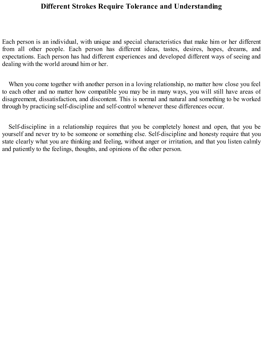#### **Different Strokes Require Tolerance and Understanding**

Each person is an individual, with unique and special characteristics that make him or her different from all other people. Each person has different ideas, tastes, desires, hopes, dreams, and expectations. Each person has had different experiences and developed different ways of seeing and dealing with the world around him or her.

When you come together with another person in a loving relationship, no matter how close you feel to each other and no matter how compatible you may be in many ways, you will still have areas of disagreement, dissatisfaction, and discontent. This is normal and natural and something to be worked through by practicing self-discipline and self-control whenever these differences occur.

Self-discipline in a relationship requires that you be completely honest and open, that you be yourself and never try to be someone or something else. Self-discipline and honesty require that you state clearly what you are thinking and feeling, without anger or irritation, and that you listen calmly and patiently to the feelings, thoughts, and opinions of the other person.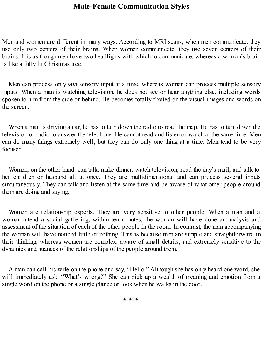#### **Male-Female Communication Styles**

Men and women are different in many ways. According to MRI scans, when men communicate, they use only two centers of their brains. When women communicate, they use seven centers of their brains. It is as though men have two headlights with which to communicate, whereas a woman's brain is like a fully lit Christmas tree.

Men can process only *one* sensory input at a time, whereas women can process multiple sensory inputs. When a man is watching television, he does not see or hear anything else, including words spoken to him from the side or behind. He becomes totally fixated on the visual images and words on the screen.

When a man is driving a car, he has to turn down the radio to read the map. He has to turn down the television or radio to answer the telephone. He cannot read and listen or watch at the same time. Men can do many things extremely well, but they can do only one thing at a time. Men tend to be very focused.

Women, on the other hand, can talk, make dinner, watch television, read the day's mail, and talk to her children or husband all at once. They are multidimensional and can process several inputs simultaneously. They can talk and listen at the same time and be aware of what other people around them are doing and saying.

Women are relationship experts. They are very sensitive to other people. When a man and a woman attend a social gathering, within ten minutes, the woman will have done an analysis and assessment of the situation of each of the other people in the room. In contrast, the man accompanying the woman will have noticed little or nothing. This is because men are simple and straightforward in their thinking, whereas women are complex, aware of small details, and extremely sensitive to the dynamics and nuances of the relationships of the people around them.

A man can call his wife on the phone and say, "Hello." Although she has only heard one word, she will immediately ask, "What's wrong?" She can pick up a wealth of meaning and emotion from a single word on the phone or a single glance or look when he walks in the door.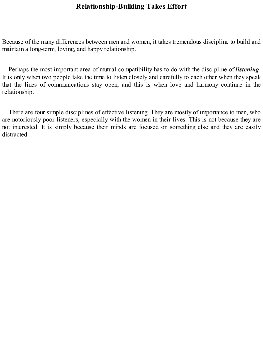## **Relationship-Building Takes Effort**

Because of the many differences between men and women, it takes tremendous discipline to build and maintain a long-term, loving, and happy relationship.

Perhaps the most important area of mutual compatibility has to do with the discipline of *listening*. It is only when two people take the time to listen closely and carefully to each other when they speak that the lines of communications stay open, and this is when love and harmony continue in the relationship.

There are four simple disciplines of effective listening. They are mostly of importance to men, who are notoriously poor listeners, especially with the women in their lives. This is not because they are not interested. It is simply because their minds are focused on something else and they are easily distracted.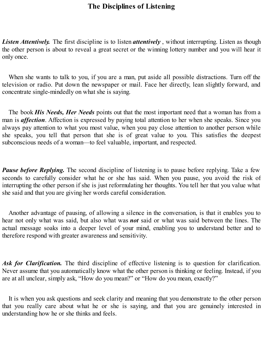### **The Disciplines of Listening**

*Listen Attentively.* The first discipline is to listen *attentively* , without interrupting. Listen as though the other person is about to reveal a great secret or the winning lottery number and you will hear it only once.

When she wants to talk to you, if you are a man, put aside all possible distractions. Turn off the television or radio. Put down the newspaper or mail. Face her directly, lean slightly forward, and concentrate single-mindedly on what she is saying.

The book *His Needs, Her Needs* points out that the most important need that a woman has from a man is *affection*. Affection is expressed by paying total attention to her when she speaks. Since you always pay attention to what you most value, when you pay close attention to another person while she speaks, you tell that person that she is of great value to you. This satisfies the deepest subconscious needs of a woman—to feel valuable, important, and respected.

*Pause before Replying.* The second discipline of listening is to pause before replying. Take a few seconds to carefully consider what he or she has said. When you pause, you avoid the risk of interrupting the other person if she is just reformulating her thoughts. You tell her that you value what she said and that you are giving her words careful consideration.

Another advantage of pausing, of allowing a silence in the conversation, is that it enables you to hear not only what was said, but also what was *not* said or what was said between the lines. The actual message soaks into a deeper level of your mind, enabling you to understand better and to therefore respond with greater awareness and sensitivity.

*Ask for Clarification.* The third discipline of effective listening is to question for clarification. Never assume that you automatically know what the other person is thinking or feeling. Instead, if you are at all unclear, simply ask, "How do you mean?" or "How do you mean, exactly?"

It is when you ask questions and seek clarity and meaning that you demonstrate to the other person that you really care about what he or she is saying, and that you are genuinely interested in understanding how he or she thinks and feels.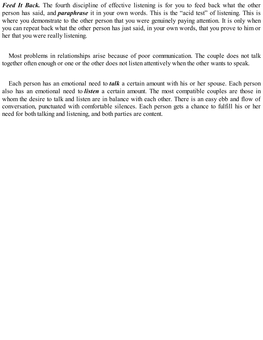*Feed It Back.* The fourth discipline of effective listening is for you to feed back what the other person has said, and *paraphrase* it in your own words. This is the "acid test" of listening. This is where you demonstrate to the other person that you were genuinely paying attention. It is only when you can repeat back what the other person has just said, in your own words, that you prove to him or her that you were really listening.

Most problems in relationships arise because of poor communication. The couple does not talk together often enough or one or the other does not listen attentively when the other wants to speak.

Each person has an emotional need to *talk* a certain amount with his or her spouse. Each person also has an emotional need to *listen* a certain amount. The most compatible couples are those in whom the desire to talk and listen are in balance with each other. There is an easy ebb and flow of conversation, punctuated with comfortable silences. Each person gets a chance to fulfill his or her need for both talking and listening, and both parties are content.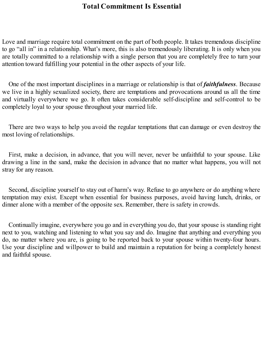## **Total Commitment Is Essential**

Love and marriage require total commitment on the part of both people. It takes tremendous discipline to go "all in" in a relationship. What's more, this is also tremendously liberating. It is only when you are totally committed to a relationship with a single person that you are completely free to turn your attention toward fulfilling your potential in the other aspects of your life.

One of the most important disciplines in a marriage or relationship is that of *faithfulness*. Because we live in a highly sexualized society, there are temptations and provocations around us all the time and virtually everywhere we go. It often takes considerable self-discipline and self-control to be completely loyal to your spouse throughout your married life.

There are two ways to help you avoid the regular temptations that can damage or even destroy the most loving of relationships.

First, make a decision, in advance, that you will never, never be unfaithful to your spouse. Like drawing a line in the sand, make the decision in advance that no matter what happens, you will not stray for any reason.

Second, discipline yourself to stay out of harm's way. Refuse to go anywhere or do anything where temptation may exist. Except when essential for business purposes, avoid having lunch, drinks, or dinner alone with a member of the opposite sex. Remember, there is safety in crowds.

Continually imagine, everywhere you go and in everything you do, that your spouse is standing right next to you, watching and listening to what you say and do. Imagine that anything and everything you do, no matter where you are, is going to be reported back to your spouse within twenty-four hours. Use your discipline and willpower to build and maintain a reputation for being a completely honest and faithful spouse.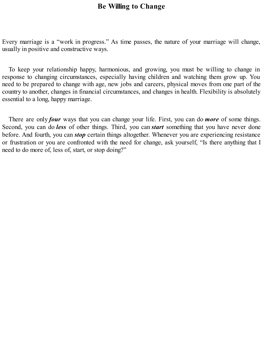#### **Be Willing to Change**

Every marriage is a "work in progress." As time passes, the nature of your marriage will change, usually in positive and constructive ways.

To keep your relationship happy, harmonious, and growing, you must be willing to change in response to changing circumstances, especially having children and watching them grow up. You need to be prepared to change with age, new jobs and careers, physical moves from one part of the country to another, changes in financial circumstances, and changes in health. Flexibility is absolutely essential to a long, happy marriage.

There are only *four* ways that you can change your life. First, you can do *more* of some things. Second, you can do *less* of other things. Third, you can *start* something that you have never done before. And fourth, you can *stop* certain things altogether. Whenever you are experiencing resistance or frustration or you are confronted with the need for change, ask yourself, "Is there anything that I need to do more of, less of, start, or stop doing?"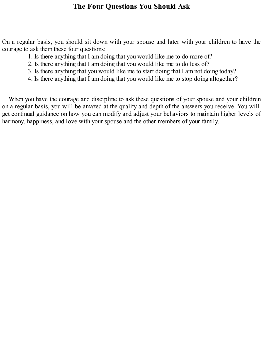## **The Four Questions You Should Ask**

On a regular basis, you should sit down with your spouse and later with your children to have the courage to ask them these four questions:

- 1. Is there anything that I am doing that you would like me to do more of?
- 2. Is there anything that I am doing that you would like me to do less of?
- 3. Is there anything that you would like me to start doing that I am not doing today?
- 4. Is there anything that I am doing that you would like me to stop doing altogether?

When you have the courage and discipline to ask these questions of your spouse and your children on a regular basis, you will be amazed at the quality and depth of the answers you receive. You will get continual guidance on how you can modify and adjust your behaviors to maintain higher levels of harmony, happiness, and love with your spouse and the other members of your family.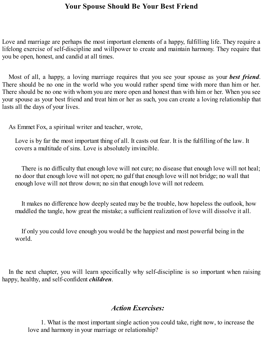#### **Your Spouse Should Be Your Best Friend**

Love and marriage are perhaps the most important elements of a happy, fulfilling life. They require a lifelong exercise of self-discipline and willpower to create and maintain harmony. They require that you be open, honest, and candid at all times.

Most of all, a happy, a loving marriage requires that you see your spouse as your *best friend*. There should be no one in the world who you would rather spend time with more than him or her. There should be no one with whom you are more open and honest than with him or her. When you see your spouse as your best friend and treat him or her as such, you can create a loving relationship that lasts all the days of your lives.

As Emmet Fox, a spiritual writer and teacher, wrote,

Love is by far the most important thing of all. It casts out fear. It is the fulfilling of the law. It covers a multitude of sins. Love is absolutely invincible.

There is no difficulty that enough love will not cure; no disease that enough love will not heal; no door that enough love will not open; no gulf that enough love will not bridge; no wall that enough love will not throw down; no sin that enough love will not redeem.

It makes no difference how deeply seated may be the trouble, how hopeless the outlook, how muddled the tangle, how great the mistake; a sufficient realization of love will dissolve it all.

If only you could love enough you would be the happiest and most powerful being in the world.

In the next chapter, you will learn specifically why self-discipline is so important when raising happy, healthy, and self-confident *children*.

#### *Action Exercises:*

1. What is the most important single action you could take, right now, to increase the love and harmony in your marriage or relationship?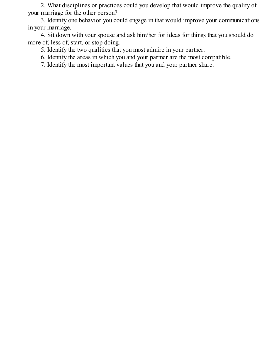2. What disciplines or practices could you develop that would improve the quality of your marriage for the other person?

3. Identify one behavior you could engage in that would improve your communications in your marriage.

4. Sit down with your spouse and ask him/her for ideas for things that you should do more of, less of, start, or stop doing.

5. Identify the two qualities that you most admire in your partner.

6. Identify the areas in which you and your partner are the most compatible.

7. Identify the most important values that you and your partner share.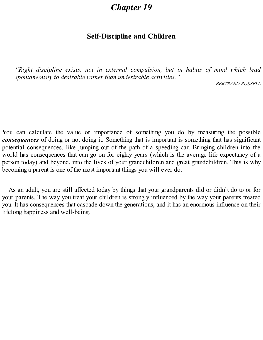# *Chapter 19*

#### **Self-Discipline and Children**

*"Right discipline exists, not in external compulsion, but in habits of mind which lead spontaneously to desirable rather than undesirable activities."*

*—BERTRAND RUSSELL*

**Y**ou can calculate the value or importance of something you do by measuring the possible *consequences* of doing or not doing it. Something that is important is something that has significant potential consequences, like jumping out of the path of a speeding car. Bringing children into the world has consequences that can go on for eighty years (which is the average life expectancy of a person today) and beyond, into the lives of your grandchildren and great grandchildren. This is why becoming a parent is one of the most important things you will ever do.

As an adult, you are still affected today by things that your grandparents did or didn't do to or for your parents. The way you treat your children is strongly influenced by the way your parents treated you. It has consequences that cascade down the generations, and it has an enormous influence on their lifelong happiness and well-being.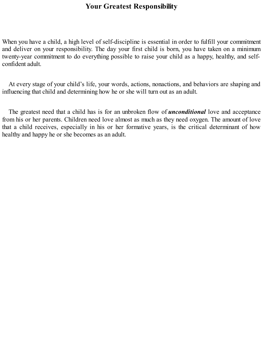## **Your Greatest Responsibility**

When you have a child, a high level of self-discipline is essential in order to fulfill your commitment and deliver on your responsibility. The day your first child is born, you have taken on a minimum twenty-year commitment to do everything possible to raise your child as a happy, healthy, and selfconfident adult.

At every stage of your child's life, your words, actions, nonactions, and behaviors are shaping and influencing that child and determining how he or she will turn out as an adult.

The greatest need that a child has is for an unbroken flow of *unconditional* love and acceptance from his or her parents. Children need love almost as much as they need oxygen. The amount of love that a child receives, especially in his or her formative years, is the critical determinant of how healthy and happy he or she becomes as an adult.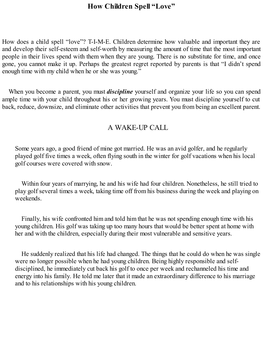#### **How Children Spell "Love"**

How does a child spell "love"? T-I-M-E. Children determine how valuable and important they are and develop their self-esteem and self-worth by measuring the amount of time that the most important people in their lives spend with them when they are young. There is no substitute for time, and once gone, you cannot make it up. Perhaps the greatest regret reported by parents is that "I didn't spend enough time with my child when he or she was young."

When you become a parent, you must *discipline* yourself and organize your life so you can spend ample time with your child throughout his or her growing years. You must discipline yourself to cut back, reduce, downsize, and eliminate other activities that prevent you from being an excellent parent.

#### A WAKE-UP CALL

Some years ago, a good friend of mine got married. He was an avid golfer, and he regularly played golf five times a week, often flying south in the winter for golf vacations when his local golf courses were covered with snow.

Within four years of marrying, he and his wife had four children. Nonetheless, he still tried to play golf several times a week, taking time off from his business during the week and playing on weekends.

Finally, his wife confronted him and told him that he was not spending enough time with his young children. His golf was taking up too many hours that would be better spent at home with her and with the children, especially during their most vulnerable and sensitive years.

He suddenly realized that his life had changed. The things that he could do when he was single were no longer possible when he had young children. Being highly responsible and selfdisciplined, he immediately cut back his golf to once per week and rechanneled his time and energy into his family. He told me later that it made an extraordinary difference to his marriage and to his relationships with his young children.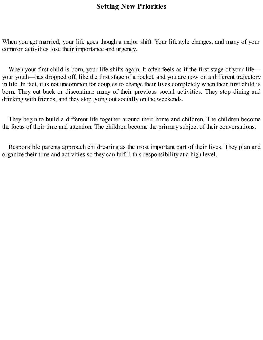### **Setting New Priorities**

When you get married, your life goes though a major shift. Your lifestyle changes, and many of your common activities lose their importance and urgency.

When your first child is born, your life shifts again. It often feels as if the first stage of your life your youth—has dropped off, like the first stage of a rocket, and you are now on a different trajectory in life. In fact, it is not uncommon for couples to change their lives completely when their first child is born. They cut back or discontinue many of their previous social activities. They stop dining and drinking with friends, and they stop going out socially on the weekends.

They begin to build a different life together around their home and children. The children become the focus of their time and attention. The children become the primary subject of their conversations.

Responsible parents approach childrearing as the most important part of their lives. They plan and organize their time and activities so they can fulfill this responsibility at a high level.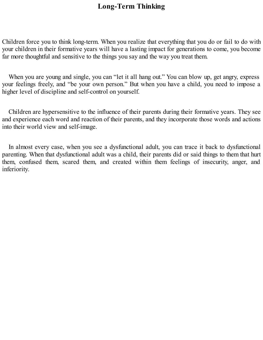## **Long-Term Thinking**

Children force you to think long-term. When you realize that everything that you do or fail to do with your children in their formative years will have a lasting impact for generations to come, you become far more thoughtful and sensitive to the things you say and the way you treat them.

When you are young and single, you can "let it all hang out." You can blow up, get angry, express your feelings freely, and "be your own person." But when you have a child, you need to impose a higher level of discipline and self-control on yourself.

Children are hypersensitive to the influence of their parents during their formative years. They see and experience each word and reaction of their parents, and they incorporate those words and actions into their world view and self-image.

In almost every case, when you see a dysfunctional adult, you can trace it back to dysfunctional parenting. When that dysfunctional adult was a child, their parents did or said things to them that hurt them, confused them, scared them, and created within them feelings of insecurity, anger, and inferiority.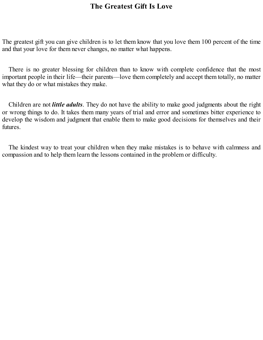### **The Greatest Gift Is Love**

The greatest gift you can give children is to let them know that you love them 100 percent of the time and that your love for them never changes, no matter what happens.

There is no greater blessing for children than to know with complete confidence that the most important people in their life—their parents—love them completely and accept them totally, no matter what they do or what mistakes they make.

Children are not *little adults*. They do not have the ability to make good judgments about the right or wrong things to do. It takes them many years of trial and error and sometimes bitter experience to develop the wisdom and judgment that enable them to make good decisions for themselves and their futures.

The kindest way to treat your children when they make mistakes is to behave with calmness and compassion and to help them learn the lessons contained in the problem or difficulty.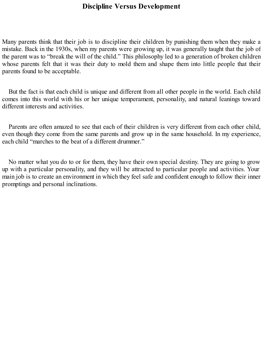#### **Discipline Versus Development**

Many parents think that their job is to discipline their children by punishing them when they make a mistake. Back in the 1930s, when my parents were growing up, it was generally taught that the job of the parent was to "break the will of the child." This philosophy led to a generation of broken children whose parents felt that it was their duty to mold them and shape them into little people that their parents found to be acceptable.

But the fact is that each child is unique and different from all other people in the world. Each child comes into this world with his or her unique temperament, personality, and natural leanings toward different interests and activities.

Parents are often amazed to see that each of their children is very different from each other child, even though they come from the same parents and grow up in the same household. In my experience, each child "marches to the beat of a different drummer."

No matter what you do to or for them, they have their own special destiny. They are going to grow up with a particular personality, and they will be attracted to particular people and activities. Your main job is to create an environment in which they feel safe and confident enough to follow their inner promptings and personal inclinations.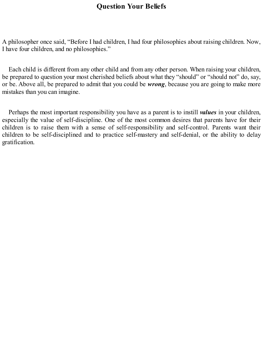## **Question Your Beliefs**

A philosopher once said, "Before I had children, I had four philosophies about raising children. Now, I have four children, and no philosophies."

Each child is different from any other child and from any other person. When raising your children, be prepared to question your most cherished beliefs about what they "should" or "should not" do, say, or be. Above all, be prepared to admit that you could be *wrong*, because you are going to make more mistakes than you can imagine.

Perhaps the most important responsibility you have as a parent is to instill *values* in your children, especially the value of self-discipline. One of the most common desires that parents have for their children is to raise them with a sense of self-responsibility and self-control. Parents want their children to be self-disciplined and to practice self-mastery and self-denial, or the ability to delay gratification.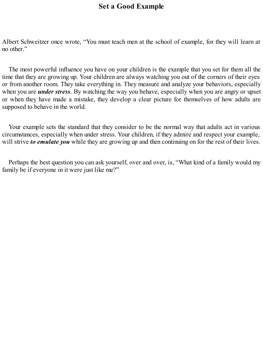#### **Set a Good Example**

Albert Schweitzer once wrote, "You must teach men at the school of example, for they will learn at no other."

The most powerful influence you have on your children is the example that you set for them all the time that they are growing up. Your children are always watching you out of the corners of their eyes or from another room. They take everything in. They measure and analyze your behaviors, especially when you are *under stress*. By watching the way you behave, especially when you are angry or upset or when they have made a mistake, they develop a clear picture for themselves of how adults are supposed to behave in the world.

Your example sets the standard that they consider to be the normal way that adults act in various circumstances, especially when under stress. Your children, if they admire and respect your example, will strive *to emulate you* while they are growing up and then continuing on for the rest of their lives.

Perhaps the best question you can ask yourself, over and over, is, "What kind of a family would my family be if everyone in it were just like me?"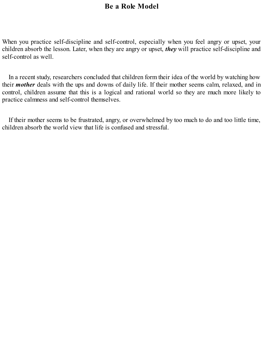#### **Be a Role Model**

When you practice self-discipline and self-control, especially when you feel angry or upset, your children absorb the lesson. Later, when they are angry or upset, *they* will practice self-discipline and self-control as well.

In a recent study, researchers concluded that children form their idea of the world by watching how their *mother* deals with the ups and downs of daily life. If their mother seems calm, relaxed, and in control, children assume that this is a logical and rational world so they are much more likely to practice calmness and self-control themselves.

If their mother seems to be frustrated, angry, or overwhelmed by too much to do and too little time, children absorb the world view that life is confused and stressful.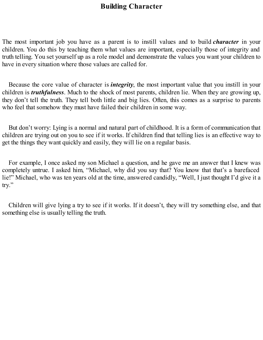## **Building Character**

The most important job you have as a parent is to instill values and to build *character* in your children. You do this by teaching them what values are important, especially those of integrity and truth telling. You set yourself up as a role model and demonstrate the values you want your children to have in every situation where those values are called for.

Because the core value of character is *integrity*, the most important value that you instill in your children is *truthfulness*. Much to the shock of most parents, children lie. When they are growing up, they don't tell the truth. They tell both little and big lies. Often, this comes as a surprise to parents who feel that somehow they must have failed their children in some way.

But don't worry: Lying is a normal and natural part of childhood. It is a form of communication that children are trying out on you to see if it works. If children find that telling lies is an effective way to get the things they want quickly and easily, they will lie on a regular basis.

For example, I once asked my son Michael a question, and he gave me an answer that I knew was completely untrue. I asked him, "Michael, why did you say that? You know that that's a barefaced lie!" Michael, who was ten years old at the time, answered candidly, "Well, I just thought I'd give it a try."

Children will give lying a try to see if it works. If it doesn't, they will try something else, and that something else is usually telling the truth.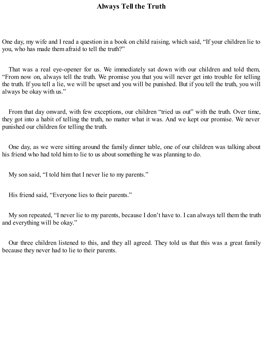### **Always Tell the Truth**

One day, my wife and I read a question in a book on child raising, which said, "If your children lie to you, who has made them afraid to tell the truth?"

That was a real eye-opener for us. We immediately sat down with our children and told them, "From now on, always tell the truth. We promise you that you will never get into trouble for telling the truth. If you tell a lie, we will be upset and you will be punished. But if you tell the truth, you will always be okay with us."

From that day onward, with few exceptions, our children "tried us out" with the truth. Over time, they got into a habit of telling the truth, no matter what it was. And we kept our promise. We never punished our children for telling the truth.

One day, as we were sitting around the family dinner table, one of our children was talking about his friend who had told him to lie to us about something he was planning to do.

My son said, "I told him that I never lie to my parents."

His friend said, "Everyone lies to their parents."

My son repeated, "I never lie to my parents, because I don't have to. I can always tell them the truth and everything will be okay."

Our three children listened to this, and they all agreed. They told us that this was a great family because they never had to lie to their parents.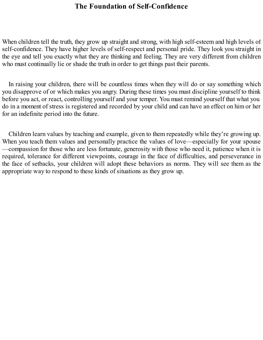### **The Foundation of Self-Confidence**

When children tell the truth, they grow up straight and strong, with high self-esteem and high levels of self-confidence. They have higher levels of self-respect and personal pride. They look you straight in the eye and tell you exactly what they are thinking and feeling. They are very different from children who must continually lie or shade the truth in order to get things past their parents.

In raising your children, there will be countless times when they will do or say something which you disapprove of or which makes you angry. During these times you must discipline yourself to think before you act, or react, controlling yourself and your temper. You must remind yourself that what you do in a moment of stress is registered and recorded by your child and can have an effect on him or her for an indefinite period into the future.

Children learn values by teaching and example, given to them repeatedly while they're growing up. When you teach them values and personally practice the values of love—especially for your spouse —compassion for those who are less fortunate, generosity with those who need it, patience when it is required, tolerance for different viewpoints, courage in the face of difficulties, and perseverance in the face of setbacks, your children will adopt these behaviors as norms. They will see them as the appropriate way to respond to these kinds of situations as they grow up.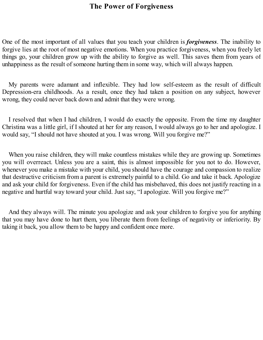#### **The Power of Forgiveness**

One of the most important of all values that you teach your children is *forgiveness*. The inability to forgive lies at the root of most negative emotions. When you practice forgiveness, when you freely let things go, your children grow up with the ability to forgive as well. This saves them from years of unhappiness as the result of someone hurting them in some way, which will always happen.

My parents were adamant and inflexible. They had low self-esteem as the result of difficult Depression-era childhoods. As a result, once they had taken a position on any subject, however wrong, they could never back down and admit that they were wrong.

I resolved that when I had children, I would do exactly the opposite. From the time my daughter Christina was a little girl, if I shouted at her for any reason, I would always go to her and apologize. I would say, "I should not have shouted at you. I was wrong. Will you forgive me?"

When you raise children, they will make countless mistakes while they are growing up. Sometimes you will overreact. Unless you are a saint, this is almost impossible for you not to do. However, whenever you make a mistake with your child, you should have the courage and compassion to realize that destructive criticism from a parent is extremely painful to a child. Go and take it back. Apologize and ask your child for forgiveness. Even if the child has misbehaved, this does not justify reacting in a negative and hurtful way toward your child. Just say, "I apologize. Will you forgive me?"

And they always will. The minute you apologize and ask your children to forgive you for anything that you may have done to hurt them, you liberate them from feelings of negativity or inferiority. By taking it back, you allow them to be happy and confident once more.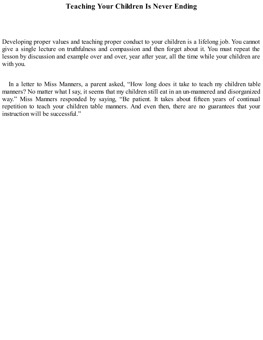## **Teaching Your Children Is Never Ending**

Developing proper values and teaching proper conduct to your children is a lifelong job. You cannot give a single lecture on truthfulness and compassion and then forget about it. You must repeat the lesson by discussion and example over and over, year after year, all the time while your children are with you.

In a letter to Miss Manners, a parent asked, "How long does it take to teach my children table manners? No matter what I say, it seems that my children still eat in an un-mannered and disorganized way." Miss Manners responded by saying, "Be patient. It takes about fifteen years of continual repetition to teach your children table manners. And even then, there are no guarantees that your instruction will be successful."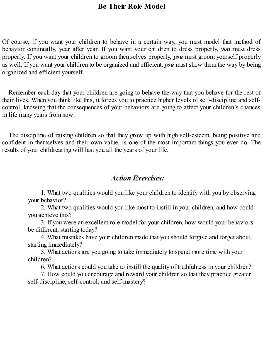#### **Be Their Role Model**

Of course, if you want your children to behave in a certain way, you must model that method of behavior continually, year after year. If you want your children to dress properly, *you* must dress properly. If you want your children to groom themselves properly, *you* must groom yourself properly as well. If you want your children to be organized and efficient, *you* must show them the way by being organized and efficient yourself.

Remember each day that your children are going to behave the way that you behave for the rest of their lives. When you think like this, it forces you to practice higher levels of self-discipline and selfcontrol, knowing that the consequences of your behaviors are going to affect your children's chances in life many years from now.

The discipline of raising children so that they grow up with high self-esteem, being positive and confident in themselves and their own value, is one of the most important things you ever do. The results of your childrearing will last you all the years of your life.

#### *Action Exercises:*

1. What two qualities would you like your children to identify with you by observing your behavior?

2. What two qualities would you like most to instill in your children, and how could you achieve this?

3. If you were an excellent role model for your children, how would your behaviors be different, starting today?

4. What mistakes have your children made that you should forgive and forget about, starting immediately?

5. What actions are you going to take immediately to spend more time with your children?

6. What actions could you take to instill the quality of truthfulness in your children?

7. How could you encourage and reward your children so that they practice greater self-discipline, self-control, and self-mastery?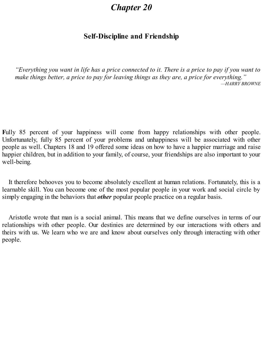# *Chapter 20*

#### **Self-Discipline and Friendship**

"Everything you want in life has a price connected to it. There is a price to pay if you want to *make things better, a price to pay for leaving things as they are, a price for everything." —HARRY BROWNE*

Fully 85 percent of your happiness will come from happy relationships with other people. Unfortunately, fully 85 percent of your problems and unhappiness will be associated with other people as well. Chapters 18 and 19 offered some ideas on how to have a happier marriage and raise happier children, but in addition to your family, of course, your friendships are also important to your well-being.

It therefore behooves you to become absolutely excellent at human relations. Fortunately, this is a learnable skill. You can become one of the most popular people in your work and social circle by simply engaging in the behaviors that *other* popular people practice on a regular basis.

Aristotle wrote that man is a social animal. This means that we define ourselves in terms of our relationships with other people. Our destinies are determined by our interactions with others and theirs with us. We learn who we are and know about ourselves only through interacting with other people.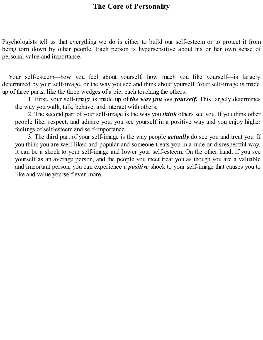#### **The Core of Personality**

Psychologists tell us that everything we do is either to build our self-esteem or to protect it from being torn down by other people. Each person is hypersensitive about his or her own sense of personal value and importance.

Your self-esteem—how you feel about yourself, how much you like yourself—is largely determined by your self-image, or the way you see and think about yourself. Your self-image is made up of three parts, like the three wedges of a pie, each touching the others:

1. First, your self-image is made up of *the way you see yourself.* This largely determines the way you walk, talk, behave, and interact with others.

2. The second part of your self-image is the way you *think* others see you. If you think other people like, respect, and admire you, you see yourself in a positive way and you enjoy higher feelings of self-esteem and self-importance.

3. The third part of your self-image is the way people *actually* do see you and treat you. If you think you are well liked and popular and someone treats you in a rude or disrespectful way, it can be a shock to your self-image and lower your self-esteem. On the other hand, if you see yourself as an average person, and the people you meet treat you as though you are a valuable and important person, you can experience a *positive* shock to your self-image that causes you to like and value yourself even more.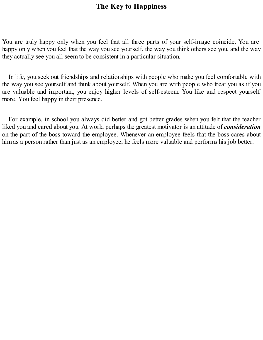## **The Key to Happiness**

You are truly happy only when you feel that all three parts of your self-image coincide. You are happy only when you feel that the way you see yourself, the way you think others see you, and the way they actually see you all seem to be consistent in a particular situation.

In life, you seek out friendships and relationships with people who make you feel comfortable with the way you see yourself and think about yourself. When you are with people who treat you as if you are valuable and important, you enjoy higher levels of self-esteem. You like and respect yourself more. You feel happy in their presence.

For example, in school you always did better and got better grades when you felt that the teacher liked you and cared about you. At work, perhaps the greatest motivator is an attitude of *consideration* on the part of the boss toward the employee. Whenever an employee feels that the boss cares about him as a person rather than just as an employee, he feels more valuable and performs his job better.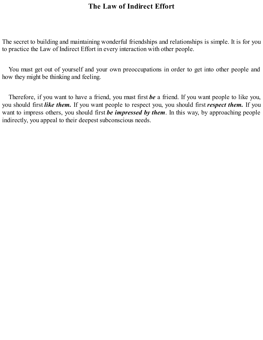## **The Law of Indirect Effort**

The secret to building and maintaining wonderful friendships and relationships is simple. It is for you to practice the Law of Indirect Effort in every interaction with other people.

You must get out of yourself and your own preoccupations in order to get into other people and how they might be thinking and feeling.

Therefore, if you want to have a friend, you must first *be* a friend. If you want people to like you, you should first *like them.* If you want people to respect you, you should first *respect them.* If you want to impress others, you should first *be impressed by them*. In this way, by approaching people indirectly, you appeal to their deepest subconscious needs.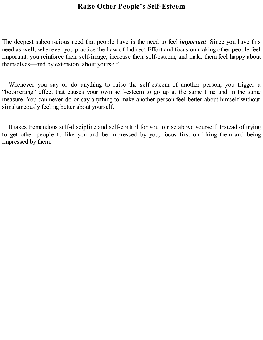#### **Raise Other People's Self-Esteem**

The deepest subconscious need that people have is the need to feel *important*. Since you have this need as well, whenever you practice the Law of Indirect Effort and focus on making other people feel important, you reinforce their self-image, increase their self-esteem, and make them feel happy about themselves—and by extension, about yourself.

Whenever you say or do anything to raise the self-esteem of another person, you trigger a "boomerang" effect that causes your own self-esteem to go up at the same time and in the same measure. You can never do or say anything to make another person feel better about himself without simultaneously feeling better about yourself.

It takes tremendous self-discipline and self-control for you to rise above yourself. Instead of trying to get other people to like you and be impressed by you, focus first on liking them and being impressed by them.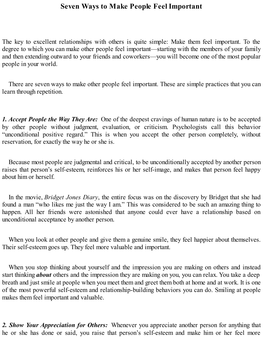### **Seven Ways to Make People Feel Important**

The key to excellent relationships with others is quite simple: Make them feel important. To the degree to which you can make other people feel important—starting with the members of your family and then extending outward to your friends and coworkers—you will become one of the most popular people in your world.

There are seven ways to make other people feel important. These are simple practices that you can learn through repetition.

*1. Accept People the Way They Are:* One of the deepest cravings of human nature is to be accepted by other people without judgment, evaluation, or criticism. Psychologists call this behavior "unconditional positive regard." This is when you accept the other person completely, without reservation, for exactly the way he or she is.

Because most people are judgmental and critical, to be unconditionally accepted by another person raises that person's self-esteem, reinforces his or her self-image, and makes that person feel happy about him or herself.

In the movie, *Bridget Jones Diary*, the entire focus was on the discovery by Bridget that she had found a man "who likes me just the way I am." This was considered to be such an amazing thing to happen. All her friends were astonished that anyone could ever have a relationship based on unconditional acceptance by another person.

When you look at other people and give them a genuine smile, they feel happier about themselves. Their self-esteem goes up. They feel more valuable and important.

When you stop thinking about yourself and the impression you are making on others and instead start thinking *about* others and the impression they are making on you, you can relax. You take a deep breath and just smile at people when you meet them and greet them both at home and at work. It is one of the most powerful self-esteem and relationship-building behaviors you can do. Smiling at people makes them feel important and valuable.

*2. Show Your Appreciation for Others:* Whenever you appreciate another person for anything that he or she has done or said, you raise that person's self-esteem and make him or her feel more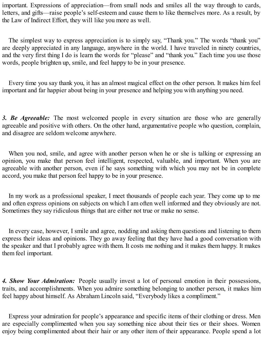important. Expressions of appreciation—from small nods and smiles all the way through to cards, letters, and gifts—raise people's self-esteem and cause them to like themselves more. As a result, by the Law of Indirect Effort, they will like you more as well.

The simplest way to express appreciation is to simply say, "Thank you." The words "thank you" are deeply appreciated in any language, anywhere in the world. I have traveled in ninety countries, and the very first thing I do is learn the words for "please" and "thank you." Each time you use those words, people brighten up, smile, and feel happy to be in your presence.

Every time you say thank you, it has an almost magical effect on the other person. It makes him feel important and far happier about being in your presence and helping you with anything you need.

*3. Be Agreeable:* The most welcomed people in every situation are those who are generally agreeable and positive with others. On the other hand, argumentative people who question, complain, and disagree are seldom welcome anywhere.

When you nod, smile, and agree with another person when he or she is talking or expressing an opinion, you make that person feel intelligent, respected, valuable, and important. When you are agreeable with another person, even if he says something with which you may not be in complete accord, you make that person feel happy to be in your presence.

In my work as a professional speaker, I meet thousands of people each year. They come up to me and often express opinions on subjects on which I am often well informed and they obviously are not. Sometimes they say ridiculous things that are either not true or make no sense.

In every case, however, I smile and agree, nodding and asking them questions and listening to them express their ideas and opinions. They go away feeling that they have had a good conversation with the speaker and that I probably agree with them. It costs me nothing and it makes them happy. It makes them feel important.

*4. Show Your Admiration:* People usually invest a lot of personal emotion in their possessions, traits, and accomplishments. When you admire something belonging to another person, it makes him feel happy about himself. As Abraham Lincoln said, "Everybody likes a compliment."

Express your admiration for people's appearance and specific items of their clothing or dress. Men are especially complimented when you say something nice about their ties or their shoes. Women enjoy being complimented about their hair or any other item of their appearance. People spend a lot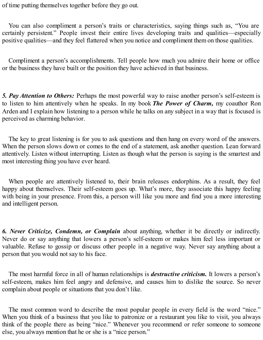of time putting themselves together before they go out.

You can also compliment a person's traits or characteristics, saying things such as, "You are certainly persistent." People invest their entire lives developing traits and qualities—especially positive qualities—and they feel flattered when you notice and compliment them on those qualities.

Compliment a person's accomplishments. Tell people how much you admire their home or office or the business they have built or the position they have achieved in that business.

*5. Pay Attention to Others:* Perhaps the most powerful way to raise another person's self-esteem is to listen to him attentively when he speaks. In my book *The Power of Charm,* my coauthor Ron Arden and I explain how listening to a person while he talks on any subject in a way that is focused is perceived as charming behavior.

The key to great listening is for you to ask questions and then hang on every word of the answers. When the person slows down or comes to the end of a statement, ask another question. Lean forward attentively. Listen without interrupting. Listen as though what the person is saying is the smartest and most interesting thing you have ever heard.

When people are attentively listened to, their brain releases endorphins. As a result, they feel happy about themselves. Their self-esteem goes up. What's more, they associate this happy feeling with being in your presence. From this, a person will like you more and find you a more interesting and intelligent person.

*6. Never Criticize, Condemn, or Complain* about anything, whether it be directly or indirectly. Never do or say anything that lowers a person's self-esteem or makes him feel less important or valuable. Refuse to gossip or discuss other people in a negative way. Never say anything about a person that you would not say to his face.

The most harmful force in all of human relationships is *destructive criticism.* It lowers a person's self-esteem, makes him feel angry and defensive, and causes him to dislike the source. So never complain about people or situations that you don't like.

The most common word to describe the most popular people in every field is the word "nice." When you think of a business that you like to patronize or a restaurant you like to visit, you always think of the people there as being "nice." Whenever you recommend or refer someone to someone else, you always mention that he or she is a "nice person."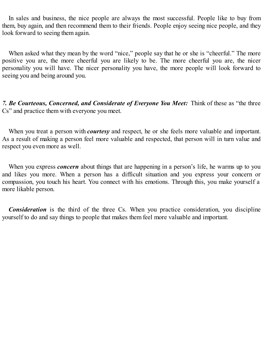In sales and business, the nice people are always the most successful. People like to buy from them, buy again, and then recommend them to their friends. People enjoy seeing nice people, and they look forward to seeing them again.

When asked what they mean by the word "nice," people say that he or she is "cheerful." The more positive you are, the more cheerful you are likely to be. The more cheerful you are, the nicer personality you will have. The nicer personality you have, the more people will look forward to seeing you and being around you.

*7. Be Courteous, Concerned, and Considerate of Everyone You Meet:* Think of these as "the three Cs" and practice them with everyone you meet.

When you treat a person with *courtesy* and respect, he or she feels more valuable and important. As a result of making a person feel more valuable and respected, that person will in turn value and respect you even more as well.

When you express *concern* about things that are happening in a person's life, he warms up to you and likes you more. When a person has a difficult situation and you express your concern or compassion, you touch his heart. You connect with his emotions. Through this, you make yourself a more likable person.

**Consideration** is the third of the three Cs. When you practice consideration, you discipline yourself to do and say things to people that makes them feel more valuable and important.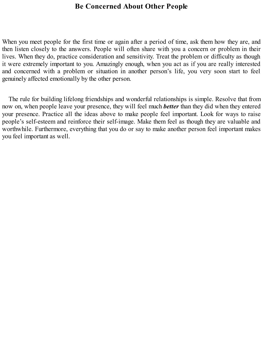## **Be Concerned About Other People**

When you meet people for the first time or again after a period of time, ask them how they are, and then listen closely to the answers. People will often share with you a concern or problem in their lives. When they do, practice consideration and sensitivity. Treat the problem or difficulty as though it were extremely important to you. Amazingly enough, when you act as if you are really interested and concerned with a problem or situation in another person's life, you very soon start to feel genuinely affected emotionally by the other person.

The rule for building lifelong friendships and wonderful relationships is simple. Resolve that from now on, when people leave your presence, they will feel much *better* than they did when they entered your presence. Practice all the ideas above to make people feel important. Look for ways to raise people's self-esteem and reinforce their self-image. Make them feel as though they are valuable and worthwhile. Furthermore, everything that you do or say to make another person feel important makes you feel important as well.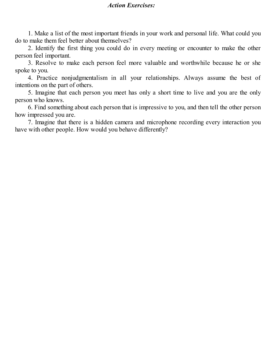#### *Action Exercises:*

1. Make a list of the most important friends in your work and personal life. What could you do to make them feel better about themselves?

2. Identify the first thing you could do in every meeting or encounter to make the other person feel important.

3. Resolve to make each person feel more valuable and worthwhile because he or she spoke to you.

4. Practice nonjudgmentalism in all your relationships. Always assume the best of intentions on the part of others.

5. Imagine that each person you meet has only a short time to live and you are the only person who knows.

6. Find something about each person that is impressive to you, and then tell the other person how impressed you are.

7. Imagine that there is a hidden camera and microphone recording every interaction you have with other people. How would you behave differently?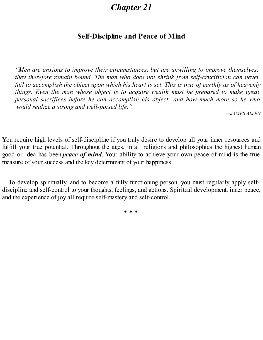# *Chapter 21*

### **Self-Discipline and Peace of Mind**

*"Men are anxious to improve their circumstances, but are unwilling to improve themselves; they therefore remain bound. The man who does not shrink from self-crucifixion can never* fail to accomplish the object upon which his heart is set. This is true of earthly as of heavenly *things. Even the man whose object is to acquire wealth must be prepared to make great personal sacrifices before he can accomplish his object; and how much more so he who would realize a strong and well-poised life."*

*—JAMES ALLEN*

**Y**ou require high levels of self-discipline if you truly desire to develop all your inner resources and fulfill your true potential. Throughout the ages, in all religions and philosophies the highest human good or idea has been *peace of mind*. Your ability to achieve your own peace of mind is the true measure of your success and the key determinant of your happiness.

To develop spiritually, and to become a fully functioning person, you must regularly apply selfdiscipline and self-control to your thoughts, feelings, and actions. Spiritual development, inner peace, and the experience of joy all require self-mastery and self-control.

 $\bullet\hspace{0.1cm} \bullet\hspace{0.1cm} \bullet\hspace{0.1cm} \bullet$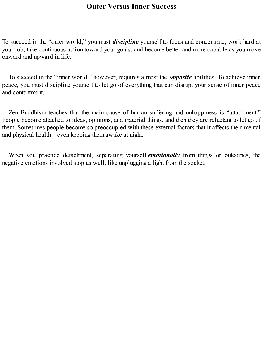## **Outer Versus Inner Success**

To succeed in the "outer world," you must *discipline* yourself to focus and concentrate, work hard at your job, take continuous action toward your goals, and become better and more capable as you move onward and upward in life.

To succeed in the "inner world," however, requires almost the *opposite* abilities. To achieve inner peace, you must discipline yourself to let go of everything that can disrupt your sense of inner peace and contentment.

Zen Buddhism teaches that the main cause of human suffering and unhappiness is "attachment." People become attached to ideas, opinions, and material things, and then they are reluctant to let go of them. Sometimes people become so preoccupied with these external factors that it affects their mental and physical health—even keeping them awake at night.

When you practice detachment, separating yourself *emotionally* from things or outcomes, the negative emotions involved stop as well, like unplugging a light from the socket.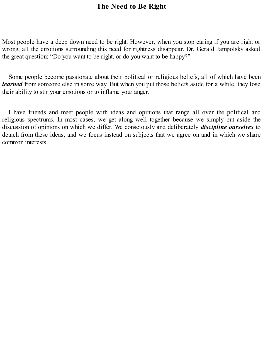## **The Need to Be Right**

Most people have a deep down need to be right. However, when you stop caring if you are right or wrong, all the emotions surrounding this need for rightness disappear. Dr. Gerald Jampolsky asked the great question: "Do you want to be right, or do you want to be happy?"

Some people become passionate about their political or religious beliefs, all of which have been *learned* from someone else in some way. But when you put those beliefs aside for a while, they lose their ability to stir your emotions or to inflame your anger.

I have friends and meet people with ideas and opinions that range all over the political and religious spectrums. In most cases, we get along well together because we simply put aside the discussion of opinions on which we differ. We consciously and deliberately *discipline ourselves* to detach from these ideas, and we focus instead on subjects that we agree on and in which we share common interests.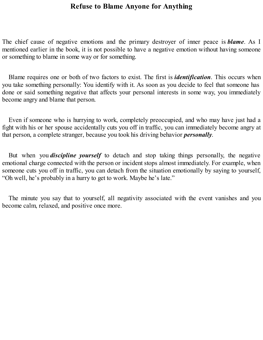#### **Refuse to Blame Anyone for Anything**

The chief cause of negative emotions and the primary destroyer of inner peace is *blame*. As I mentioned earlier in the book, it is not possible to have a negative emotion without having someone or something to blame in some way or for something.

Blame requires one or both of two factors to exist. The first is *identification*. This occurs when you take something personally: You identify with it. As soon as you decide to feel that someone has done or said something negative that affects your personal interests in some way, you immediately become angry and blame that person.

Even if someone who is hurrying to work, completely preoccupied, and who may have just had a fight with his or her spouse accidentally cuts you off in traffic, you can immediately become angry at that person, a complete stranger, because you took his driving behavior *personally*.

But when you *discipline yourself* to detach and stop taking things personally, the negative emotional charge connected with the person or incident stops almost immediately. For example, when someone cuts you off in traffic, you can detach from the situation emotionally by saying to yourself, "Oh well, he's probably in a hurry to get to work. Maybe he's late."

The minute you say that to yourself, all negativity associated with the event vanishes and you become calm, relaxed, and positive once more.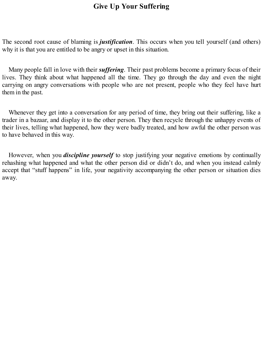## **Give Up Your Suffering**

The second root cause of blaming is *justification*. This occurs when you tell yourself (and others) why it is that you are entitled to be angry or upset in this situation.

Many people fall in love with their *suffering*. Their past problems become a primary focus of their lives. They think about what happened all the time. They go through the day and even the night carrying on angry conversations with people who are not present, people who they feel have hurt them in the past.

Whenever they get into a conversation for any period of time, they bring out their suffering, like a trader in a bazaar, and display it to the other person. They then recycle through the unhappy events of their lives, telling what happened, how they were badly treated, and how awful the other person was to have behaved in this way.

However, when you *discipline yourself* to stop justifying your negative emotions by continually rehashing what happened and what the other person did or didn't do, and when you instead calmly accept that "stuff happens" in life, your negativity accompanying the other person or situation dies away.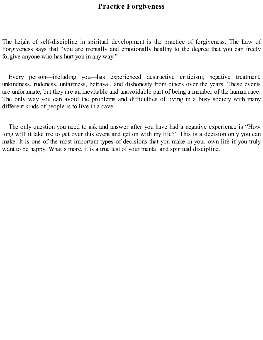## **Practice Forgiveness**

The height of self-discipline in spiritual development is the practice of forgiveness. The Law of Forgiveness says that "you are mentally and emotionally healthy to the degree that you can freely forgive anyone who has hurt you in any way."

Every person—including you—has experienced destructive criticism, negative treatment, unkindness, rudeness, unfairness, betrayal, and dishonesty from others over the years. These events are unfortunate, but they are an inevitable and unavoidable part of being a member of the human race. The only way you can avoid the problems and difficulties of living in a busy society with many different kinds of people is to live in a cave.

The only question you need to ask and answer after you have had a negative experience is "How long will it take me to get over this event and get on with my life?" This is a decision only you can make. It is one of the most important types of decisions that you make in your own life if you truly want to be happy. What's more, it is a true test of your mental and spiritual discipline.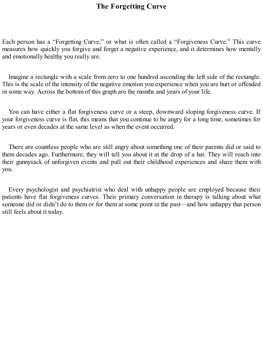## **The Forgetting Curve**

Each person has a "Forgetting Curve," or what is often called a "Forgiveness Curve." This curve measures how quickly you forgive and forget a negative experience, and it determines how mentally and emotionally healthy you really are.

Imagine a rectangle with a scale from zero to one hundred ascending the left side of the rectangle. This is the scale of the intensity of the negative emotion you experience when you are hurt or offended in some way. Across the bottom of this graph are the months and years of your life.

You can have either a flat forgiveness curve or a steep, downward sloping forgiveness curve. If your forgiveness curve is flat, this means that you continue to be angry for a long time, sometimes for years or even decades at the same level as when the event occurred.

There are countless people who are still angry about something one of their parents did or said to them decades ago. Furthermore, they will tell you about it at the drop of a hat. They will reach into their gunnysack of unforgiven events and pull out their childhood experiences and share them with you.

Every psychologist and psychiatrist who deal with unhappy people are employed because their patients have flat forgiveness curves. Their primary conversation in therapy is talking about what someone did or didn't do to them or for them at some point in the past—and how unhappy that person still feels about it today.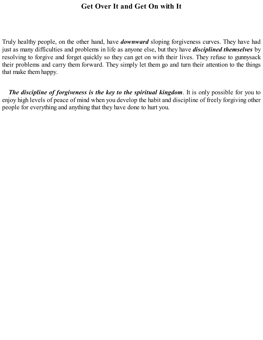## **Get Over It and Get On with It**

Truly healthy people, on the other hand, have *downward* sloping forgiveness curves. They have had just as many difficulties and problems in life as anyone else, but they have *disciplined themselves* by resolving to forgive and forget quickly so they can get on with their lives. They refuse to gunnysack their problems and carry them forward. They simply let them go and turn their attention to the things that make them happy.

*The discipline of forgiveness is the key to the spiritual kingdom*. It is only possible for you to enjoy high levels of peace of mind when you develop the habit and discipline of freely forgiving other people for everything and anything that they have done to hurt you.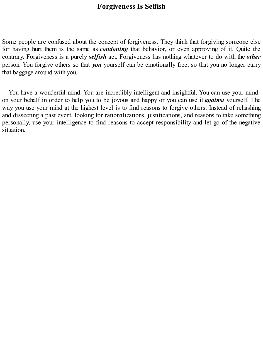## **Forgiveness Is Selfish**

Some people are confused about the concept of forgiveness. They think that forgiving someone else for having hurt them is the same as *condoning* that behavior, or even approving of it. Quite the contrary. Forgiveness is a purely *selfish* act. Forgiveness has nothing whatever to do with the *other* person. You forgive others so that *you* yourself can be emotionally free, so that you no longer carry that baggage around with you.

You have a wonderful mind. You are incredibly intelligent and insightful. You can use your mind on your behalf in order to help you to be joyous and happy or you can use it *against* yourself. The way you use your mind at the highest level is to find reasons to forgive others. Instead of rehashing and dissecting a past event, looking for rationalizations, justifications, and reasons to take something personally, use your intelligence to find reasons to accept responsibility and let go of the negative situation.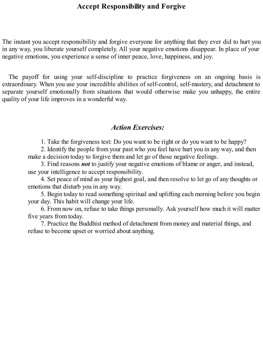### **Accept Responsibility and Forgive**

The instant you accept responsibility and forgive everyone for anything that they ever did to hurt you in any way, you liberate yourself completely. All your negative emotions disappear. In place of your negative emotions, you experience a sense of inner peace, love, happiness, and joy.

The payoff for using your self-discipline to practice forgiveness on an ongoing basis is extraordinary. When you use your incredible abilities of self-control, self-mastery, and detachment to separate yourself emotionally from situations that would otherwise make you unhappy, the entire quality of your life improves in a wonderful way.

### *Action Exercises:*

1. Take the forgiveness test: Do you want to be right or do you want to be happy?

2. Identify the people from your past who you feel have hurt you in any way, and then make a decision today to forgive them and let go of those negative feelings.

3. Find reasons *not* to justify your negative emotions of blame or anger, and instead, use your intelligence to accept responsibility.

4. Set peace of mind as your highest goal, and then resolve to let go of any thoughts or emotions that disturb you in any way.

5. Begin today to read something spiritual and uplifting each morning before you begin your day. This habit will change your life.

6. From now on, refuse to take things personally. Ask yourself how much it will matter five years from today.

7. Practice the Buddhist method of detachment from money and material things, and refuse to become upset or worried about anything.